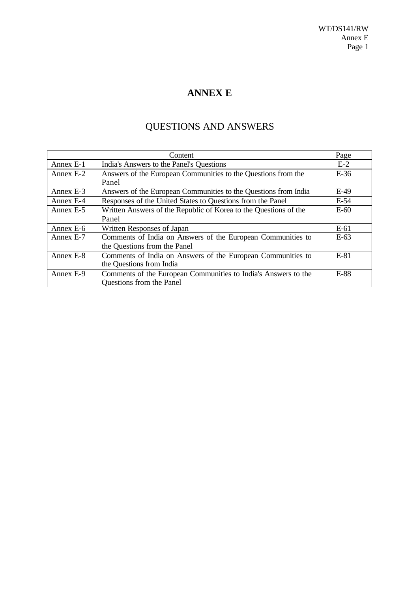## **ANNEX E**

# QUESTIONS AND ANSWERS

|           | Content                                                          | Page   |
|-----------|------------------------------------------------------------------|--------|
| Annex E-1 | India's Answers to the Panel's Questions                         | $E-2$  |
| Annex E-2 | Answers of the European Communities to the Questions from the    | $E-36$ |
|           | Panel                                                            |        |
| Annex E-3 | Answers of the European Communities to the Questions from India  | $E-49$ |
| Annex E-4 | Responses of the United States to Questions from the Panel       | $E-54$ |
| Annex E-5 | Written Answers of the Republic of Korea to the Questions of the | $E-60$ |
|           | Panel                                                            |        |
| Annex E-6 | Written Responses of Japan                                       | $E-61$ |
| Annex E-7 | Comments of India on Answers of the European Communities to      | E-63   |
|           | the Questions from the Panel                                     |        |
| Annex E-8 | Comments of India on Answers of the European Communities to      | $E-81$ |
|           | the Questions from India                                         |        |
| Annex E-9 | Comments of the European Communities to India's Answers to the   | $E-88$ |
|           | <b>Questions from the Panel</b>                                  |        |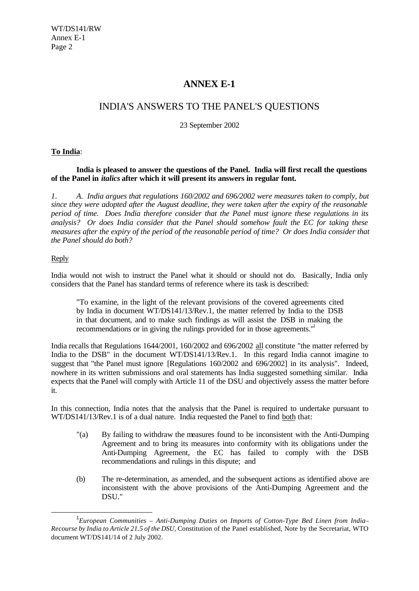### **ANNEX E-1**

### INDIA'S ANSWERS TO THE PANEL'S QUESTIONS

23 September 2002

#### **To India**:

**India is pleased to answer the questions of the Panel. India will first recall the questions of the Panel in** *italics* **after which it will present its answers in regular font.**

*1. A. India argues that regulations 160/2002 and 696/2002 were measures taken to comply, but since they were adopted after the August deadline, they were taken after the expiry of the reasonable period of time. Does India therefore consider that the Panel must ignore these regulations in its analysis? Or does India consider that the Panel should somehow fault the EC for taking these measures after the expiry of the period of the reasonable period of time? Or does India consider that the Panel should do both?*

#### Reply

l

India would not wish to instruct the Panel what it should or should not do. Basically, India only considers that the Panel has standard terms of reference where its task is described:

"To examine, in the light of the relevant provisions of the covered agreements cited by India in document WT/DS141/13/Rev.1, the matter referred by India to the DSB in that document, and to make such findings as will assist the DSB in making the recommendations or in giving the rulings provided for in those agreements."

India recalls that Regulations 1644/2001, 160/2002 and 696/2002 all constitute "the matter referred by India to the DSB" in the document WT/DS141/13/Rev.1. In this regard India cannot imagine to suggest that "the Panel must ignore [Regulations 160/2002 and 696/2002] in its analysis". Indeed, nowhere in its written submissions and oral statements has India suggested something similar. India expects that the Panel will comply with Article 11 of the DSU and objectively assess the matter before it.

In this connection, India notes that the analysis that the Panel is required to undertake pursuant to WT/DS141/13/Rev.1 is of a dual nature. India requested the Panel to find both that:

- "(a) By failing to withdraw the measures found to be inconsistent with the Anti-Dumping Agreement and to bring its measures into conformity with its obligations under the Anti-Dumping Agreement, the EC has failed to comply with the DSB recommendations and rulings in this dispute; and
- (b) The re-determination, as amended, and the subsequent actions as identified above are inconsistent with the above provisions of the Anti-Dumping Agreement and the DSU."

<sup>1</sup> *European Communities – Anti-Dumping Duties on Imports of Cotton-Type Bed Linen from India– Recourse by India to Article 21.5 of the DSU,* Constitution of the Panel established, Note by the Secretariat, WTO document WT/DS141/14 of 2 July 2002.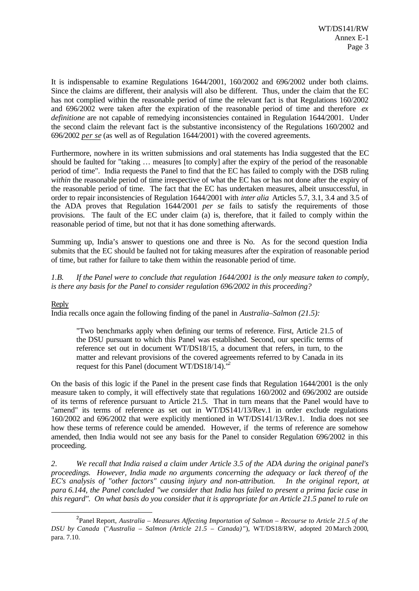It is indispensable to examine Regulations 1644/2001, 160/2002 and 696/2002 under both claims. Since the claims are different, their analysis will also be different. Thus, under the claim that the EC has not complied within the reasonable period of time the relevant fact is that Regulations 160/2002 and 696/2002 were taken after the expiration of the reasonable period of time and therefore *ex definitione* are not capable of remedying inconsistencies contained in Regulation 1644/2001. Under the second claim the relevant fact is the substantive inconsistency of the Regulations 160/2002 and 696/2002 *per se* (as well as of Regulation 1644/2001) with the covered agreements.

Furthermore, nowhere in its written submissions and oral statements has India suggested that the EC should be faulted for "taking … measures [to comply] after the expiry of the period of the reasonable period of time". India requests the Panel to find that the EC has failed to comply with the DSB ruling *within* the reasonable period of time irrespective of what the EC has or has not done after the expiry of the reasonable period of time. The fact that the EC has undertaken measures, albeit unsuccessful, in order to repair inconsistencies of Regulation 1644/2001 with *inter alia* Articles 5.7, 3.1, 3.4 and 3.5 of the ADA proves that Regulation 1644/2001 *per se* fails to satisfy the requirements of those provisions. The fault of the EC under claim (a) is, therefore, that it failed to comply within the reasonable period of time, but not that it has done something afterwards.

Summing up, India's answer to questions one and three is No. As for the second question India submits that the EC should be faulted not for taking measures after the expiration of reasonable period of time, but rather for failure to take them within the reasonable period of time.

*1.B. If the Panel were to conclude that regulation 1644/2001 is the only measure taken to comply, is there any basis for the Panel to consider regulation 696/2002 in this proceeding?*

#### Reply

l

India recalls once again the following finding of the panel in *Australia–Salmon (21.5):*

"Two benchmarks apply when defining our terms of reference. First, Article 21.5 of the DSU pursuant to which this Panel was established. Second, our specific terms of reference set out in document WT/DS18/15, a document that refers, in turn, to the matter and relevant provisions of the covered agreements referred to by Canada in its request for this Panel (document WT/DS18/14)."<sup>2</sup>

On the basis of this logic if the Panel in the present case finds that Regulation 1644/2001 is the only measure taken to comply, it will effectively state that regulations 160/2002 and 696/2002 are outside of its terms of reference pursuant to Article 21.5. That in turn means that the Panel would have to "amend" its terms of reference as set out in WT/DS141/13/Rev.1 in order exclude regulations 160/2002 and 696/2002 that were explicitly mentioned in WT/DS141/13/Rev.1. India does not see how these terms of reference could be amended. However, if the terms of reference are somehow amended, then India would not see any basis for the Panel to consider Regulation 696/2002 in this proceeding.

*2. We recall that India raised a claim under Article 3.5 of the ADA during the original panel's proceedings. However, India made no arguments concerning the adequacy or lack thereof of the EC's analysis of "other factors" causing injury and non-attribution. In the original report, at para 6.144, the Panel concluded "we consider that India has failed to present a prima facie case in this regard". On what basis do you consider that it is appropriate for an Article 21.5 panel to rule on*

<sup>2</sup> Panel Report, *Australia – Measures Affecting Importation of Salmon – Recourse to Article 21.5 of the DSU by Canada* ("*Australia – Salmon (Article 21.5 – Canada)* "), WT/DS18/RW, adopted 20 March 2000, para. 7.10.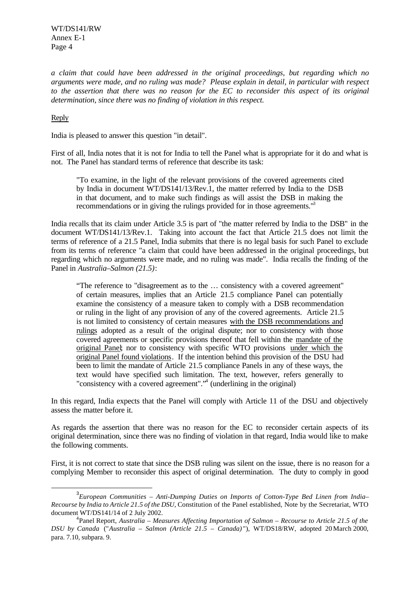*a claim that could have been addressed in the original proceedings, but regarding which no arguments were made, and no ruling was made? Please explain in detail, in particular with respect to the assertion that there was no reason for the EC to reconsider this aspect of its original determination, since there was no finding of violation in this respect.*

#### Reply

l

India is pleased to answer this question "in detail".

First of all, India notes that it is not for India to tell the Panel what is appropriate for it do and what is not. The Panel has standard terms of reference that describe its task:

"To examine, in the light of the relevant provisions of the covered agreements cited by India in document WT/DS141/13/Rev.1, the matter referred by India to the DSB in that document, and to make such findings as will assist the DSB in making the recommendations or in giving the rulings provided for in those agreements.<sup>13</sup>

India recalls that its claim under Article 3.5 is part of "the matter referred by India to the DSB" in the document WT/DS141/13/Rev.1. Taking into account the fact that Article 21.5 does not limit the terms of reference of a 21.5 Panel, India submits that there is no legal basis for such Panel to exclude from its terms of reference "a claim that could have been addressed in the original proceedings, but regarding which no arguments were made, and no ruling was made". India recalls the finding of the Panel in *Australia–Salmon (21.5)*:

"The reference to "disagreement as to the … consistency with a covered agreement" of certain measures, implies that an Article 21.5 compliance Panel can potentially examine the consistency of a measure taken to comply with a DSB recommendation or ruling in the light of any provision of any of the covered agreements. Article 21.5 is not limited to consistency of certain measures with the DSB recommendations and rulings adopted as a result of the original dispute; nor to consistency with those covered agreements or specific provisions thereof that fell within the mandate of the original Panel; nor to consistency with specific WTO provisions under which the original Panel found violations. If the intention behind this provision of the DSU had been to limit the mandate of Article 21.5 compliance Panels in any of these ways, the text would have specified such limitation. The text, however, refers generally to "consistency with a covered agreement".<sup>34</sup> (underlining in the original)

In this regard, India expects that the Panel will comply with Article 11 of the DSU and objectively assess the matter before it.

As regards the assertion that there was no reason for the EC to reconsider certain aspects of its original determination, since there was no finding of violation in that regard, India would like to make the following comments.

First, it is not correct to state that since the DSB ruling was silent on the issue, there is no reason for a complying Member to reconsider this aspect of original determination. The duty to comply in good

<sup>3</sup> *European Communities – Anti-Dumping Duties on Imports of Cotton-Type Bed Linen from India– Recourse by India to Article 21.5 of the DSU,* Constitution of the Panel established, Note by the Secretariat, WTO document WT/DS141/14 of 2 July 2002.

<sup>4</sup> Panel Report, *Australia – Measures Affecting Importation of Salmon – Recourse to Article 21.5 of the DSU by Canada* ("*Australia – Salmon (Article 21.5 – Canada)* "), WT/DS18/RW, adopted 20 March 2000, para. 7.10, subpara. 9.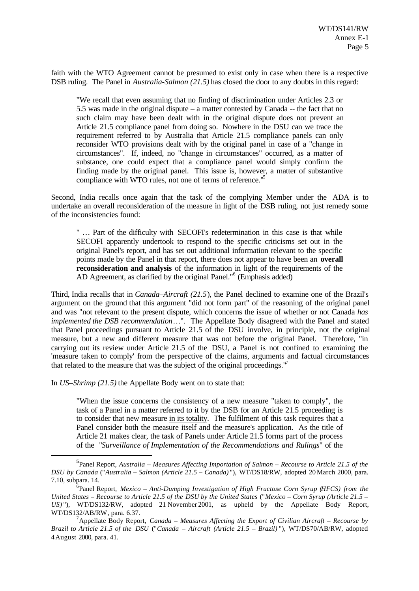faith with the WTO Agreement cannot be presumed to exist only in case when there is a respective DSB ruling. The Panel in *Australia-Salmon (21.5)* has closed the door to any doubts in this regard:

"We recall that even assuming that no finding of discrimination under Articles 2.3 or 5.5 was made in the original dispute – a matter contested by Canada -- the fact that no such claim may have been dealt with in the original dispute does not prevent an Article 21.5 compliance panel from doing so. Nowhere in the DSU can we trace the requirement referred to by Australia that Article 21.5 compliance panels can only reconsider WTO provisions dealt with by the original panel in case of a "change in circumstances". If, indeed, no "change in circumstances" occurred, as a matter of substance, one could expect that a compliance panel would simply confirm the finding made by the original panel. This issue is, however, a matter of substantive compliance with WTO rules, not one of terms of reference."<sup>5</sup>

Second, India recalls once again that the task of the complying Member under the ADA is to undertake an overall reconsideration of the measure in light of the DSB ruling, not just remedy some of the inconsistencies found:

" … Part of the difficulty with SECOFI's redetermination in this case is that while SECOFI apparently undertook to respond to the specific criticisms set out in the original Panel's report, and has set out additional information relevant to the specific points made by the Panel in that report, there does not appear to have been an **overall reconsideration and analysis** of the information in light of the requirements of the AD Agreement, as clarified by the original Panel."<sup>6</sup> (Emphasis added)

Third, India recalls that in *Canada–Aircraft (21.5*), the Panel declined to examine one of the Brazil's argument on the ground that this argument "did not form part" of the reasoning of the original panel and was "not relevant to the present dispute, which concerns the issue of whether or not Canada *has implemented the DSB recommendation*…". The Appellate Body disagreed with the Panel and stated that Panel proceedings pursuant to Article 21.5 of the DSU involve, in principle, not the original measure, but a new and different measure that was not before the original Panel. Therefore, "in carrying out its review under Article 21.5 of the DSU, a Panel is not confined to examining the 'measure taken to comply' from the perspective of the claims, arguments and factual circumstances that related to the measure that was the subject of the original proceedings."<sup>7</sup>

In *US–Shrimp (21.5)* the Appellate Body went on to state that:

l

"When the issue concerns the consistency of a new measure "taken to comply", the task of a Panel in a matter referred to it by the DSB for an Article 21.5 proceeding is to consider that new measure in its totality. The fulfilment of this task requires that a Panel consider both the measure itself and the measure's application. As the title of Article 21 makes clear, the task of Panels under Article 21.5 forms part of the process of the "*Surveillance of Implementation of the Recommendations and Rulings*" of the

<sup>5</sup> Panel Report, *Australia – Measures Affecting Importation of Salmon – Recourse to Article 21.5 of the DSU by Canada* ("*Australia – Salmon (Article 21.5 – Canada)* "), WT/DS18/RW, adopted 20 March 2000, para. 7.10, subpara. 14.

<sup>&</sup>lt;sup>6</sup> Panel Report, *Mexico – Anti-Dumping Investigation of High Fructose Corn Syrup (HFCS) from the United States – Recourse to Article 21.5 of the DSU by the United States* ("*Mexico – Corn Syrup (Article 21.5 – US*)"), WT/DS132/RW, adopted 21 November 2001, as upheld by the Appellate Body Report, WT/DS132/AB/RW, para. 6.37.

<sup>7</sup>Appellate Body Report, *Canada – Measures Affecting the Export of Civilian Aircraft – Recourse by Brazil to Article 21.5 of the DSU* ("*Canada – Aircraft (Article 21.5 – Brazil)* "), WT/DS70/AB/RW, adopted 4 August 2000, para. 41.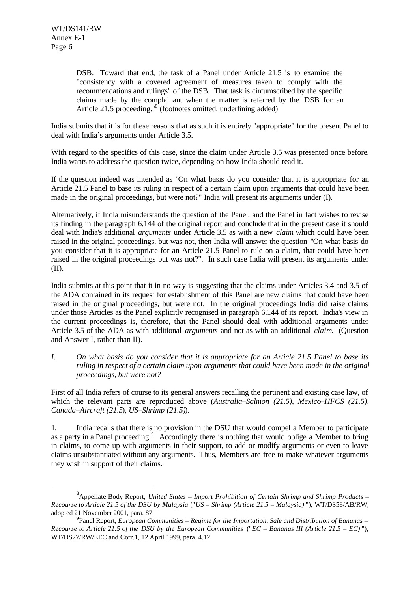l

DSB. Toward that end, the task of a Panel under Article 21.5 is to examine the "consistency with a covered agreement of measures taken to comply with the recommendations and rulings" of the DSB. That task is circumscribed by the specific claims made by the complainant when the matter is referred by the DSB for an Article 21.5 proceeding."<sup>8</sup> (footnotes omitted, underlining added)

India submits that it is for these reasons that as such it is entirely "appropriate" for the present Panel to deal with India's arguments under Article 3.5.

With regard to the specifics of this case, since the claim under Article 3.5 was presented once before, India wants to address the question twice, depending on how India should read it.

If the question indeed was intended as "On what basis do you consider that it is appropriate for an Article 21.5 Panel to base its ruling in respect of a certain claim upon arguments that could have been made in the original proceedings, but were not?" India will present its arguments under (I).

Alternatively, if India misunderstands the question of the Panel, and the Panel in fact wishes to revise its finding in the paragraph 6.144 of the original report and conclude that in the present case it should deal with India's additional *arguments* under Article 3.5 as with a new *claim* which could have been raised in the original proceedings, but was not, then India will answer the question "On what basis do you consider that it is appropriate for an Article 21.5 Panel to rule on a claim, that could have been raised in the original proceedings but was not?". In such case India will present its arguments under (II).

India submits at this point that it in no way is suggesting that the claims under Articles 3.4 and 3.5 of the ADA contained in its request for establishment of this Panel are new claims that could have been raised in the original proceedings, but were not. In the original proceedings India did raise claims under those Articles as the Panel explicitly recognised in paragraph 6.144 of its report. India's view in the current proceedings is, therefore, that the Panel should deal with additional arguments under Article 3.5 of the ADA as with additional *arguments* and not as with an additional *claim*. (Question and Answer I, rather than II).

*I. On what basis do you consider that it is appropriate for an Article 21.5 Panel to base its ruling in respect of a certain claim upon arguments that could have been made in the original proceedings, but were not?*

First of all India refers of course to its general answers recalling the pertinent and existing case law, of which the relevant parts are reproduced above (*Australia–Salmon (21.5)*, *Mexico–HFCS (21.5), Canada–Aircraft (21.5*), *US–Shrimp (21.5)*).

1. India recalls that there is no provision in the DSU that would compel a Member to participate as a party in a Panel proceeding.<sup>9</sup> Accordingly there is nothing that would oblige a Member to bring in claims, to come up with arguments in their support, to add or modify arguments or even to leave claims unsubstantiated without any arguments. Thus, Members are free to make whatever arguments they wish in support of their claims.

<sup>8</sup>Appellate Body Report, *United States – Import Prohibition of Certain Shrimp and Shrimp Products – Recourse to Article 21.5 of the DSU by Malaysia* ("*US – Shrimp (Article 21.5 – Malaysia)* "), WT/DS58/AB/RW, adopted 21 November 2001, para. 87.

<sup>9</sup> Panel Report, *European Communities – Regime for the Importation, Sale and Distribution of Bananas – Recourse to Article 21.5 of the DSU by the European Communities* ("*EC – Bananas III (Article 21.5 – EC)* "), WT/DS27/RW/EEC and Corr.1, 12 April 1999, para. 4.12.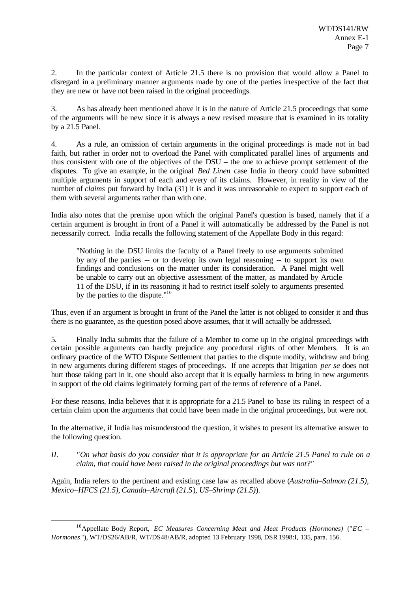2. In the particular context of Article 21.5 there is no provision that would allow a Panel to disregard in a preliminary manner arguments made by one of the parties irrespective of the fact that they are new or have not been raised in the original proceedings.

3. As has already been mentioned above it is in the nature of Article 21.5 proceedings that some of the arguments will be new since it is always a new revised measure that is examined in its totality by a 21.5 Panel.

4. As a rule, an omission of certain arguments in the original proceedings is made not in bad faith, but rather in order not to overload the Panel with complicated parallel lines of arguments and thus consistent with one of the objectives of the DSU – the one to achieve prompt settlement of the disputes. To give an example, in the original *Bed Linen* case India in theory could have submitted multiple arguments in support of each and every of its claims. However, in reality in view of the number of *claims* put forward by India (31) it is and it was unreasonable to expect to support each of them with several arguments rather than with one.

India also notes that the premise upon which the original Panel's question is based, namely that if a certain argument is brought in front of a Panel it will automatically be addressed by the Panel is not necessarily correct. India recalls the following statement of the Appellate Body in this regard:

"Nothing in the DSU limits the faculty of a Panel freely to use arguments submitted by any of the parties -- or to develop its own legal reasoning -- to support its own findings and conclusions on the matter under its consideration. A Panel might well be unable to carry out an objective assessment of the matter, as mandated by Article 11 of the DSU, if in its reasoning it had to restrict itself solely to arguments presented by the parties to the dispute."<sup>10</sup>

Thus, even if an argument is brought in front of the Panel the latter is not obliged to consider it and thus there is no guarantee, as the question posed above assumes, that it will actually be addressed.

5. Finally India submits that the failure of a Member to come up in the original proceedings with certain possible arguments can hardly prejudice any procedural rights of other Members. It is an ordinary practice of the WTO Dispute Settlement that parties to the dispute modify, withdraw and bring in new arguments during different stages of proceedings. If one accepts that litigation *per se* does not hurt those taking part in it, one should also accept that it is equally harmless to bring in new arguments in support of the old claims legitimately forming part of the terms of reference of a Panel.

For these reasons, India believes that it is appropriate for a 21.5 Panel to base its ruling in respect of a certain claim upon the arguments that could have been made in the original proceedings, but were not.

In the alternative, if India has misunderstood the question, it wishes to present its alternative answer to the following question.

*II. "On what basis do you consider that it is appropriate for an Article 21.5 Panel to rule on a claim, that could have been raised in the original proceedings but was not?"*

Again, India refers to the pertinent and existing case law as recalled above (*Australia–Salmon (21.5)*, *Mexico–HFCS (21.5), Canada–Aircraft (21.5*), *US–Shrimp (21.5)*).

<sup>10</sup>Appellate Body Report, *EC Measures Concerning Meat and Meat Products (Hormones)* ("*EC – Hormones* "), WT/DS26/AB/R, WT/DS48/AB/R, adopted 13 February 1998, DSR 1998:I, 135*,* para. 156.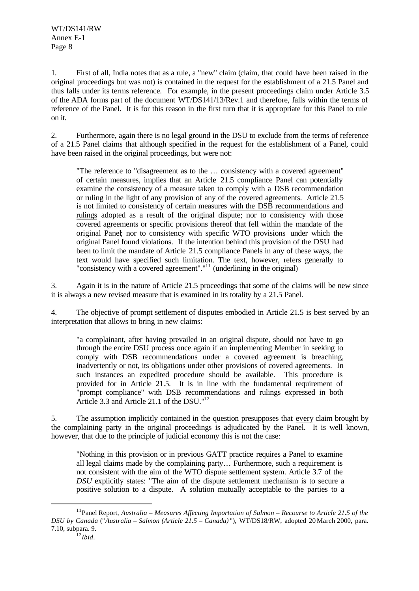1. First of all, India notes that as a rule, a "new" claim (claim, that could have been raised in the original proceedings but was not) is contained in the request for the establishment of a 21.5 Panel and thus falls under its terms reference. For example, in the present proceedings claim under Article 3.5 of the ADA forms part of the document WT/DS141/13/Rev.1 and therefore, falls within the terms of reference of the Panel. It is for this reason in the first turn that it is appropriate for this Panel to rule on it.

2. Furthermore, again there is no legal ground in the DSU to exclude from the terms of reference of a 21.5 Panel claims that although specified in the request for the establishment of a Panel, could have been raised in the original proceedings, but were not:

"The reference to "disagreement as to the … consistency with a covered agreement" of certain measures, implies that an Article 21.5 compliance Panel can potentially examine the consistency of a measure taken to comply with a DSB recommendation or ruling in the light of any provision of any of the covered agreements. Article 21.5 is not limited to consistency of certain measures with the DSB recommendations and rulings adopted as a result of the original dispute; nor to consistency with those covered agreements or specific provisions thereof that fell within the mandate of the original Panel; nor to consistency with specific WTO provisions under which the original Panel found violations. If the intention behind this provision of the DSU had been to limit the mandate of Article 21.5 compliance Panels in any of these ways, the text would have specified such limitation. The text, however, refers generally to "consistency with a covered agreement"."<sup>11</sup> (underlining in the original)

3. Again it is in the nature of Article 21.5 proceedings that some of the claims will be new since it is always a new revised measure that is examined in its totality by a 21.5 Panel.

4. The objective of prompt settlement of disputes embodied in Article 21.5 is best served by an interpretation that allows to bring in new claims:

"a complainant, after having prevailed in an original dispute, should not have to go through the entire DSU process once again if an implementing Member in seeking to comply with DSB recommendations under a covered agreement is breaching, inadvertently or not, its obligations under other provisions of covered agreements.In such instances an expedited procedure should be available. This procedure is provided for in Article 21.5. It is in line with the fundamental requirement of "prompt compliance" with DSB recommendations and rulings expressed in both Article 3.3 and Article 21.1 of the DSU."<sup>12</sup>

5. The assumption implicitly contained in the question presupposes that every claim brought by the complaining party in the original proceedings is adjudicated by the Panel. It is well known, however, that due to the principle of judicial economy this is not the case:

"Nothing in this provision or in previous GATT practice requires a Panel to examine all legal claims made by the complaining party… Furthermore, such a requirement is not consistent with the aim of the WTO dispute settlement system. Article 3.7 of the *DSU* explicitly states: "The aim of the dispute settlement mechanism is to secure a positive solution to a dispute. A solution mutually acceptable to the parties to a

<sup>11</sup>Panel Report, *Australia – Measures Affecting Importation of Salmon – Recourse to Article 21.5 of the DSU by Canada* ("*Australia – Salmon (Article 21.5 – Canada)* "), WT/DS18/RW, adopted 20 March 2000, para. 7.10, subpara. 9.

<sup>12</sup>*Ibid*.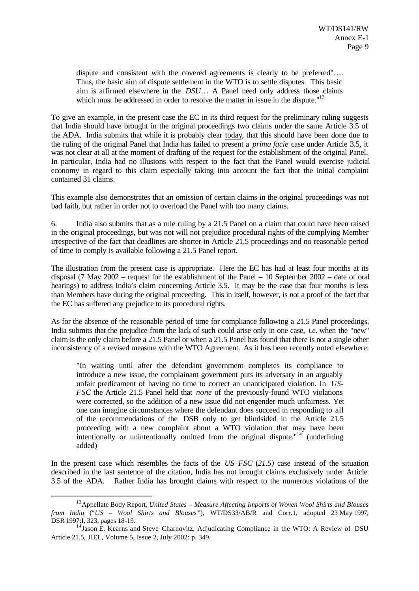dispute and consistent with the covered agreements is clearly to be preferred"…. Thus, the basic aim of dispute settlement in the WTO is to settle disputes. This basic aim is affirmed elsewhere in the *DSU*… A Panel need only address those claims which must be addressed in order to resolve the matter in issue in the dispute."<sup>13</sup>

To give an example, in the present case the EC in its third request for the preliminary ruling suggests that India should have brought in the original proceedings two claims under the same Article 3.5 of the ADA. India submits that while it is probably clear today, that this should have been done due to the ruling of the original Panel that India has failed to present a *prima facie* case under Article 3.5, it was not clear at all at the moment of drafting of the request for the establishment of the original Panel. In particular, India had no illusions with respect to the fact that the Panel would exercise judicial economy in regard to this claim especially taking into account the fact that the initial complaint contained 31 claims.

This example also demonstrates that an omission of certain claims in the original proceedings was not bad faith, but rather in order not to overload the Panel with too many claims.

6. India also submits that as a rule ruling by a 21.5 Panel on a claim that could have been raised in the original proceedings, but was not will not prejudice procedural rights of the complying Member irrespective of the fact that deadlines are shorter in Article 21.5 proceedings and no reasonable period of time to comply is available following a 21.5 Panel report.

The illustration from the present case is appropriate. Here the EC has had at least four months at its disposal (7 May 2002 – request for the establishment of the Panel – 10 September 2002 – date of oral hearings) to address India's claim concerning Article 3.5. It may be the case that four months is less than Members have during the original proceeding. This in itself, however, is not a proof of the fact that the EC has suffered any prejudice to its procedural rights.

As for the absence of the reasonable period of time for compliance following a 21.5 Panel proceedings, India submits that the prejudice from the lack of such could arise only in one case, *i.e.* when the "new" claim is the only claim before a 21.5 Panel or when a 21.5 Panel has found that there is not a single other inconsistency of a revised measure with the WTO Agreement. As it has been recently noted elsewhere:

"In waiting until after the defendant government completes its compliance to introduce a new issue, the complainant government puts its adversary in an arguably unfair predicament of having no time to correct an unanticipated violation. In *US-FSC* the Article 21.5 Panel held that *none* of the previously-found WTO violations were corrected, so the addition of a new issue did not engender much unfairness. Yet one can imagine circumstances where the defendant does succeed in responding to all of the recommendations of the DSB only to get blindsided in the Article 21.5 proceeding with a new complaint about a WTO violation that may have been intentionally or unintentionally omitted from the original dispute."<sup>14</sup> (underlining added)

In the present case which resembles the facts of the *US–FSC* (*21.5)* case instead of the situation described in the last sentence of the citation, India has not brought claims exclusively under Article 3.5 of the ADA. Rather India has brought claims with respect to the numerous violations of the

<sup>13</sup>Appellate Body Report, *United States – Measure Affecting Imports of Woven Wool Shirts and Blouses from India* ("*US – Wool Shirts and Blouses* "), WT/DS33/AB/R and Corr.1, adopted 23 May 1997, DSR 1997:I, 323, pages 18-19.

<sup>&</sup>lt;sup>14</sup>Jason E. Kearns and Steve Charnovitz, Adjudicating Compliance in the WTO: A Review of DSU Article 21.5, JIEL, Volume 5, Issue 2, July 2002: p. 349.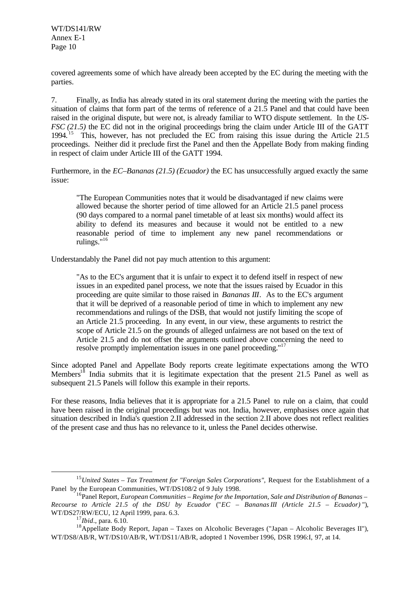covered agreements some of which have already been accepted by the EC during the meeting with the parties.

7. Finally, as India has already stated in its oral statement during the meeting with the parties the situation of claims that form part of the terms of reference of a 21.5 Panel and that could have been raised in the original dispute, but were not, is already familiar to WTO dispute settlement. In the *US-FSC (21.5)* the EC did not in the original proceedings bring the claim under Article III of the GATT 1994.<sup>15</sup> This, however, has not precluded the EC from raising this issue during the Article 21.5 proceedings. Neither did it preclude first the Panel and then the Appellate Body from making finding in respect of claim under Article III of the GATT 1994.

Furthermore, in the *EC–Bananas (21.5) (Ecuador)* the EC has unsuccessfully argued exactly the same issue:

"The European Communities notes that it would be disadvantaged if new claims were allowed because the shorter period of time allowed for an Article 21.5 panel process (90 days compared to a normal panel timetable of at least six months) would affect its ability to defend its measures and because it would not be entitled to a new reasonable period of time to implement any new panel recommendations or rulings."<sup>16</sup>

Understandably the Panel did not pay much attention to this argument:

"As to the EC's argument that it is unfair to expect it to defend itself in respect of new issues in an expedited panel process, we note that the issues raised by Ecuador in this proceeding are quite similar to those raised in *Bananas III*. As to the EC's argument that it will be deprived of a reasonable period of time in which to implement any new recommendations and rulings of the DSB, that would not justify limiting the scope of an Article 21.5 proceeding. In any event, in our view, these arguments to restrict the scope of Article 21.5 on the grounds of alleged unfairness are not based on the text of Article 21.5 and do not offset the arguments outlined above concerning the need to resolve promptly implementation issues in one panel proceeding."<sup>17</sup>

Since adopted Panel and Appellate Body reports create legitimate expectations among the WTO Members<sup>18</sup> India submits that it is legitimate expectation that the present 21.5 Panel as well as subsequent 21.5 Panels will follow this example in their reports.

For these reasons, India believes that it is appropriate for a 21.5 Panel to rule on a claim, that could have been raised in the original proceedings but was not. India, however, emphasises once again that situation described in India's question 2.II addressed in the section 2.II above does not reflect realities of the present case and thus has no relevance to it, unless the Panel decides otherwise.

<sup>&</sup>lt;sup>15</sup>United States – Tax Treatment for "Foreign Sales Corporations", Request for the Establishment of a Panel by the European Communities, WT/DS108/2 of 9 July 1998.

<sup>16</sup>Panel Report, *European Communities – Regime for the Importation, Sale and Distribution of Bananas – Recourse to Article 21.5 of the DSU by Ecuador* ("*EC – Bananas III (Article 21.5 – Ecuador)* "), WT/DS27/RW/ECU, 12 April 1999, para. 6.3.

<sup>17</sup>*Ibid*., para. 6.10.

<sup>&</sup>lt;sup>18</sup>Appellate Body Report, Japan – Taxes on Alcoholic Beverages ("Japan – Alcoholic Beverages II"), WT/DS8/AB/R, WT/DS10/AB/R, WT/DS11/AB/R, adopted 1 November 1996, DSR 1996:I, 97, at 14.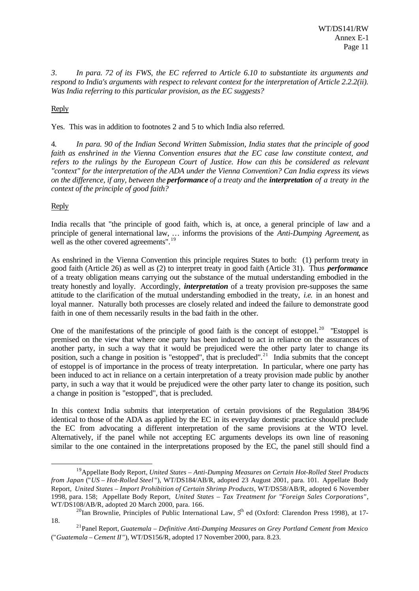*3. In para. 72 of its FWS, the EC referred to Article 6.10 to substantiate its arguments and respond to India's arguments with respect to relevant context for the interpretation of Article 2.2.2(ii). Was India referring to this particular provision, as the EC suggests?*

Reply

Yes. This was in addition to footnotes 2 and 5 to which India also referred.

4. *In para. 90 of the Indian Second Written Submission, India states that the principle of good faith as enshrined in the Vienna Convention ensures that the EC case law constitute context, and refers to the rulings by the European Court of Justice. How can this be considered as relevant "context" for the interpretation of the ADA under the Vienna Convention? Can India express its views on the difference, if any, between the performance of a treaty and the interpretation of a treaty in the context of the principle of good faith?*

#### Reply

l

India recalls that "the principle of good faith, which is, at once, a general principle of law and a principle of general international law, … informs the provisions of the *Anti-Dumping Agreement*, as well as the other covered agreements".<sup>19</sup>

As enshrined in the Vienna Convention this principle requires States to both: (1) perform treaty in good faith (Article 26) as well as (2) to interpret treaty in good faith (Article 31). Thus *performance* of a treaty obligation means carrying out the substance of the mutual understanding embodied in the treaty honestly and loyally. Accordingly, *interpretation* of a treaty provision pre-supposes the same attitude to the clarification of the mutual understanding embodied in the treaty, *i.e.* in an honest and loyal manner. Naturally both processes are closely related and indeed the failure to demonstrate good faith in one of them necessarily results in the bad faith in the other.

One of the manifestations of the principle of good faith is the concept of estoppel.<sup>20</sup> "Estoppel is premised on the view that where one party has been induced to act in reliance on the assurances of another party, in such a way that it would be prejudiced were the other party later to change its position, such a change in position is "estopped", that is precluded".<sup>21</sup> India submits that the concept of estoppel is of importance in the process of treaty interpretation. In particular, where one party has been induced to act in reliance on a certain interpretation of a treaty provision made public by another party, in such a way that it would be prejudiced were the other party later to change its position, such a change in position is "estopped", that is precluded.

In this context India submits that interpretation of certain provisions of the Regulation 384/96 identical to those of the ADA as applied by the EC in its everyday domestic practice should preclude the EC from advocating a different interpretation of the same provisions at the WTO level. Alternatively, if the panel while not accepting EC arguments develops its own line of reasoning similar to the one contained in the interpretations proposed by the EC, the panel still should find a

<sup>19</sup>Appellate Body Report, *United States – Anti-Dumping Measures on Certain Hot-Rolled Steel Products from Japan* ("*US – Hot-Rolled Steel* "), WT/DS184/AB/R, adopted 23 August 2001, para. 101. Appellate Body Report, *United States – Import Prohibition of Certain Shrimp Products*, WT/DS58/AB/R, adopted 6 November 1998, para. 158; Appellate Body Report, *United States – Tax Treatment for "Foreign Sales Corporations"*, WT/DS108/AB/R, adopted 20 March 2000, para. 166.

<sup>&</sup>lt;sup>20</sup>Ian Brownlie, Principles of Public International Law,  $5<sup>h</sup>$  ed (Oxford: Clarendon Press 1998), at 17-18.

<sup>21</sup>Panel Report, *Guatemala – Definitive Anti-Dumping Measures on Grey Portland Cement from Mexico* ("*Guatemala – Cement II* "), WT/DS156/R, adopted 17 November 2000, para. 8.23.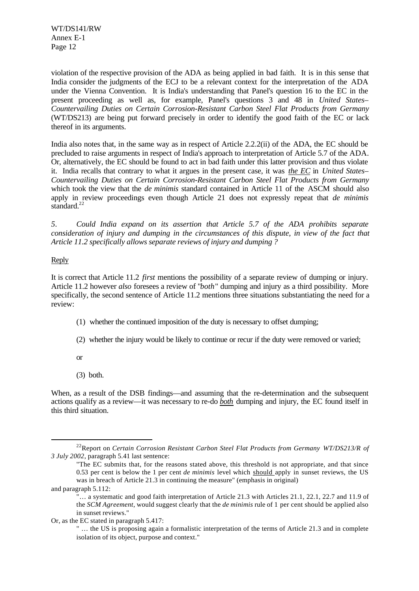violation of the respective provision of the ADA as being applied in bad faith. It is in this sense that India consider the judgments of the ECJ to be a relevant context for the interpretation of the ADA under the Vienna Convention. It is India's understanding that Panel's question 16 to the EC in the present proceeding as well as, for example, Panel's questions 3 and 48 in *United States– Countervailing Duties on Certain Corrosion-Resistant Carbon Steel Flat Products from Germany* (WT/DS213) are being put forward precisely in order to identify the good faith of the EC or lack thereof in its arguments.

India also notes that, in the same way as in respect of Article 2.2.2(ii) of the ADA, the EC should be precluded to raise arguments in respect of India's approach to interpretation of Article 5.7 of the ADA. Or, alternatively, the EC should be found to act in bad faith under this latter provision and thus violate it. India recalls that contrary to what it argues in the present case, it was *the EC* in *United States– Countervailing Duties on Certain Corrosion-Resistant Carbon Steel Flat Products from Germany* which took the view that the *de minimis* standard contained in Article 11 of the ASCM should also apply in review proceedings even though Article 21 does not expressly repeat that *de minimis* standard. $^{22}$ 

*5. Could India expand on its assertion that Article 5.7 of the ADA prohibits separate consideration of injury and dumping in the circumstances of this dispute, in view of the fact that Article 11.2 specifically allows separate reviews of injury and dumping ?*

#### Reply

It is correct that Article 11.2 *first* mentions the possibility of a separate review of dumping or injury. Article 11.2 however *also* foresees a review of "*both*" dumping and injury as a third possibility. More specifically, the second sentence of Article 11.2 mentions three situations substantiating the need for a review:

- (1) whether the continued imposition of the duty is necessary to offset dumping;
- (2) whether the injury would be likely to continue or recur if the duty were removed or varied;
- or
- (3) both.

When, as a result of the DSB findings—and assuming that the re-determination and the subsequent actions qualify as a review—it was necessary to re-do *both* dumping and injury, the EC found itself in this third situation.

<sup>22</sup>Report on *Certain Corrosion Resistant Carbon Steel Flat Products from Germany WT/DS213/R of 3 July 2002*, paragraph 5.41 last sentence:

<sup>&</sup>quot;The EC submits that, for the reasons stated above, this threshold is not appropriate, and that since 0.53 per cent is below the 1 per cent *de minimis* level which should apply in sunset reviews, the US was in breach of Article 21.3 in continuing the measure" (emphasis in original)

and paragraph 5.112:

<sup>&</sup>quot;… a systematic and good faith interpretation of Article 21.3 with Articles 21.1, 22.1, 22.7 and 11.9 of the *SCM Agreement*, would suggest clearly that the *de minimis* rule of 1 per cent should be applied also in sunset reviews."

Or, as the EC stated in paragraph 5.417:

<sup>&</sup>quot; … the US is proposing again a formalistic interpretation of the terms of Article 21.3 and in complete isolation of its object, purpose and context."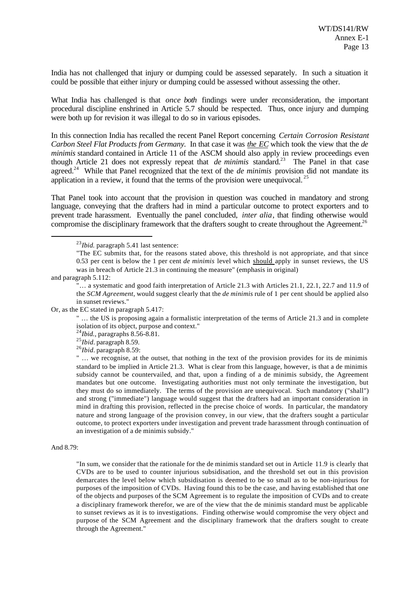India has not challenged that injury or dumping could be assessed separately. In such a situation it could be possible that either injury or dumping could be assessed without assessing the other.

What India has challenged is that *once both* findings were under reconsideration, the important procedural discipline enshrined in Article 5.7 should be respected. Thus, once injury and dumping were both up for revision it was illegal to do so in various episodes.

In this connection India has recalled the recent Panel Report concerning *Certain Corrosion Resistant Carbon Steel Flat Products from Germany.* In that case it was *the EC* which took the view that the *de minimis* standard contained in Article 11 of the ASCM should also apply in review proceedings even though Article 21 does not expressly repeat that *de minimis* standard.<sup>23</sup> The Panel in that case agreed.<sup>24</sup> While that Panel recognized that the text of the *de minimis* provision did not mandate its application in a review, it found that the terms of the provision were unequivocal.  $25$ 

That Panel took into account that the provision in question was couched in mandatory and strong language, conveying that the drafters had in mind a particular outcome to protect exporters and to prevent trade harassment. Eventually the panel concluded, *inter alia*, that finding otherwise would compromise the disciplinary framework that the drafters sought to create throughout the Agreement.<sup>26</sup>

and paragraph 5.112:

l

Or, as the EC stated in paragraph 5.417:

" … the US is proposing again a formalistic interpretation of the terms of Article 21.3 and in complete isolation of its object, purpose and context."

<sup>24</sup>*Ibid.,* paragraphs 8.56-8.81.

<sup>25</sup>*Ibid.* paragraph 8.59.

<sup>26</sup>*Ibid.* paragraph 8.59:

" ... we recognise, at the outset, that nothing in the text of the provision provides for its de minimis standard to be implied in Article 21.3. What is clear from this language, however, is that a de minimis subsidy cannot be countervailed, and that, upon a finding of a de minimis subsidy, the Agreement mandates but one outcome. Investigating authorities must not only terminate the investigation, but they must do so immediately. The terms of the provision are unequivocal. Such mandatory ("shall") and strong ("immediate") language would suggest that the drafters had an important consideration in mind in drafting this provision, reflected in the precise choice of words. In particular, the mandatory nature and strong language of the provision convey, in our view, that the drafters sought a particular outcome, to protect exporters under investigation and prevent trade harassment through continuation of an investigation of a de minimis subsidy."

#### And 8.79:

"In sum, we consider that the rationale for the de minimis standard set out in Article 11.9 is clearly that CVDs are to be used to counter injurious subsidisation, and the threshold set out in this provision demarcates the level below which subsidisation is deemed to be so small as to be non-injurious for purposes of the imposition of CVDs. Having found this to be the case, and having established that one of the objects and purposes of the SCM Agreement is to regulate the imposition of CVDs and to create a disciplinary framework therefor, we are of the view that the de minimis standard must be applicable to sunset reviews as it is to investigations. Finding otherwise would compromise the very object and purpose of the SCM Agreement and the disciplinary framework that the drafters sought to create through the Agreement."

<sup>23</sup>*Ibid.* paragraph 5.41 last sentence:

<sup>&</sup>quot;The EC submits that, for the reasons stated above, this threshold is not appropriate, and that since 0.53 per cent is below the 1 per cent *de minimis* level which should apply in sunset reviews, the US was in breach of Article 21.3 in continuing the measure" (emphasis in original)

<sup>&</sup>quot;… a systematic and good faith interpretation of Article 21.3 with Articles 21.1, 22.1, 22.7 and 11.9 of the *SCM Agreement*, would suggest clearly that the *de minimis* rule of 1 per cent should be applied also in sunset reviews."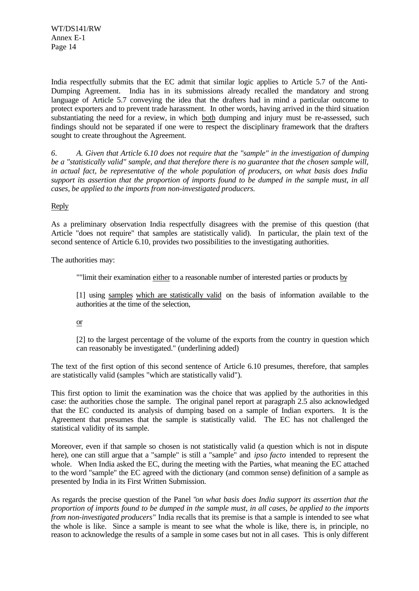India respectfully submits that the EC admit that similar logic applies to Article 5.7 of the Anti-Dumping Agreement. India has in its submissions already recalled the mandatory and strong language of Article 5.7 conveying the idea that the drafters had in mind a particular outcome to protect exporters and to prevent trade harassment. In other words, having arrived in the third situation substantiating the need for a review, in which both dumping and injury must be re-assessed, such findings should not be separated if one were to respect the disciplinary framework that the drafters sought to create throughout the Agreement.

*6. A. Given that Article 6.10 does not require that the "sample" in the investigation of dumping be a "statistically valid" sample, and that therefore there is no guarantee that the chosen sample will, in actual fact, be representative of the whole population of producers, on what basis does India support its assertion that the proportion of imports found to be dumped in the sample must, in all cases, be applied to the imports from non-investigated producers.*

Reply

As a preliminary observation India respectfully disagrees with the premise of this question (that Article "does not require" that samples are statistically valid). In particular, the plain text of the second sentence of Article 6.10, provides two possibilities to the investigating authorities.

The authorities may:

""limit their examination either to a reasonable number of interested parties or products by

[1] using samples which are statistically valid on the basis of information available to the authorities at the time of the selection,

or

[2] to the largest percentage of the volume of the exports from the country in question which can reasonably be investigated." (underlining added)

The text of the first option of this second sentence of Article 6.10 presumes, therefore, that samples are statistically valid (samples "which are statistically valid").

This first option to limit the examination was the choice that was applied by the authorities in this case: the authorities chose the sample. The original panel report at paragraph 2.5 also acknowledged that the EC conducted its analysis of dumping based on a sample of Indian exporters. It is the Agreement that presumes that the sample is statistically valid. The EC has not challenged the statistical validity of its sample.

Moreover, even if that sample so chosen is not statistically valid (a question which is not in dispute here), one can still argue that a "sample" is still a "sample" and *ipso facto* intended to represent the whole. When India asked the EC, during the meeting with the Parties, what meaning the EC attached to the word "sample" the EC agreed with the dictionary (and common sense) definition of a sample as presented by India in its First Written Submission.

As regards the precise question of the Panel "*on what basis does India support its assertion that the proportion of imports found to be dumped in the sample must, in all cases, be applied to the imports from non-investigated producers*" India recalls that its premise is that a sample is intended to see what the whole is like. Since a sample is meant to see what the whole is like, there is, in principle, no reason to acknowledge the results of a sample in some cases but not in all cases. This is only different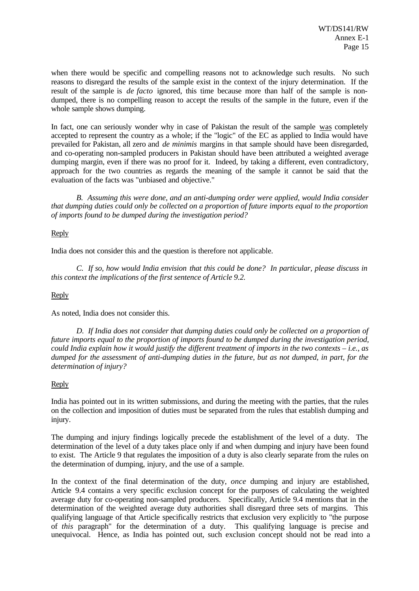when there would be specific and compelling reasons not to acknowledge such results. No such reasons to disregard the results of the sample exist in the context of the injury determination. If the result of the sample is *de facto* ignored, this time because more than half of the sample is nondumped, there is no compelling reason to accept the results of the sample in the future, even if the whole sample shows dumping.

In fact, one can seriously wonder why in case of Pakistan the result of the sample was completely accepted to represent the country as a whole; if the "logic" of the EC as applied to India would have prevailed for Pakistan, all zero and *de minimis* margins in that sample should have been disregarded, and co-operating non-sampled producers in Pakistan should have been attributed a weighted average dumping margin, even if there was no proof for it. Indeed, by taking a different, even contradictory, approach for the two countries as regards the meaning of the sample it cannot be said that the evaluation of the facts was "unbiased and objective."

*B. Assuming this were done, and an anti-dumping order were applied, would India consider that dumping duties could only be collected on a proportion of future imports equal to the proportion of imports found to be dumped during the investigation period?*

#### Reply

India does not consider this and the question is therefore not applicable.

*C. If so, how would India envision that this could be done? In particular, please discuss in this context the implications of the first sentence of Article 9.2.*

#### **Reply**

As noted, India does not consider this.

*D. If India does not consider that dumping duties could only be collected on a proportion of future imports equal to the proportion of imports found to be dumped during the investigation period, could India explain how it would justify the different treatment of imports in the two contexts – i.e., as dumped for the assessment of anti-dumping duties in the future, but as not dumped, in part, for the determination of injury?*

#### Reply

India has pointed out in its written submissions, and during the meeting with the parties, that the rules on the collection and imposition of duties must be separated from the rules that establish dumping and injury.

The dumping and injury findings logically precede the establishment of the level of a duty. The determination of the level of a duty takes place only if and when dumping and injury have been found to exist. The Article 9 that regulates the imposition of a duty is also clearly separate from the rules on the determination of dumping, injury, and the use of a sample.

In the context of the final determination of the duty, *once* dumping and injury are established, Article 9.4 contains a very specific exclusion concept for the purposes of calculating the weighted average duty for co-operating non-sampled producers. Specifically, Article 9.4 mentions that in the determination of the weighted average duty authorities shall disregard three sets of margins. This qualifying language of that Article specifically restricts that exclusion very explicitly to "the purpose of *this* paragraph" for the determination of a duty. This qualifying language is precise and unequivocal. Hence, as India has pointed out, such exclusion concept should not be read into a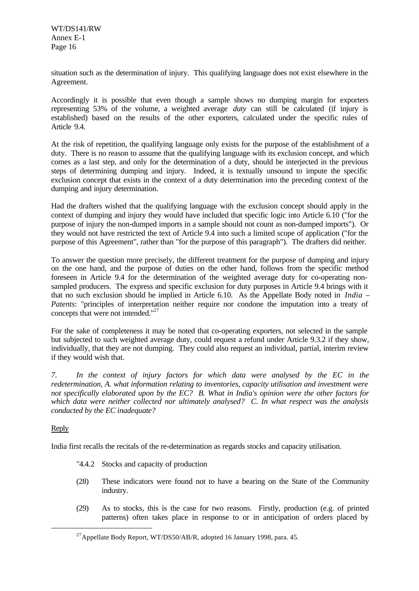situation such as the determination of injury. This qualifying language does not exist elsewhere in the Agreement.

Accordingly it is possible that even though a sample shows no dumping margin for exporters representing 53% of the volume, a weighted average *duty* can still be calculated (if injury is established) based on the results of the other exporters, calculated under the specific rules of Article 9.4.

At the risk of repetition, the qualifying language only exists for the purpose of the establishment of a duty. There is no reason to assume that the qualifying language with its exclusion concept, and which comes as a last step, and only for the determination of a duty, should be interjected in the previous steps of determining dumping and injury. Indeed, it is textually unsound to impute the specific exclusion concept that exists in the context of a duty determination into the preceding context of the dumping and injury determination.

Had the drafters wished that the qualifying language with the exclusion concept should apply in the context of dumping and injury they would have included that specific logic into Article 6.10 ("for the purpose of injury the non-dumped imports in a sample should not count as non-dumped imports"). Or they would not have restricted the text of Article 9.4 into such a limited scope of application ("for the purpose of this Agreement", rather than "for the purpose of this paragraph"). The drafters did neither.

To answer the question more precisely, the different treatment for the purpose of dumping and injury on the one hand, and the purpose of duties on the other hand, follows from the specific method foreseen in Article 9.4 for the determination of the weighted average duty for co-operating nonsampled producers. The express and specific exclusion for duty purposes in Article 9.4 brings with it that no such exclusion should be implied in Article 6.10. As the Appellate Body noted in *India – Patents*: "principles of interpretation neither require nor condone the imputation into a treaty of concepts that were not intended."<sup>27</sup>

For the sake of completeness it may be noted that co-operating exporters, not selected in the sample but subjected to such weighted average duty, could request a refund under Article 9.3.2 if they show, individually, that they are not dumping. They could also request an individual, partial, interim review if they would wish that.

*7. In the context of injury factors for which data were analysed by the EC in the redetermination, A. what information relating to inventories, capacity utilisation and investment were not specifically elaborated upon by the EC? B. What in India's opinion were the other factors for which data were neither collected nor ultimately analysed? C. In what respect was the analysis conducted by the EC inadequate?*

#### Reply

l

India first recalls the recitals of the re-determination as regards stocks and capacity utilisation.

- "4.4.2 Stocks and capacity of production
- (28) These indicators were found not to have a bearing on the State of the Community industry.
- (29) As to stocks, this is the case for two reasons. Firstly, production (e.g. of printed patterns) often takes place in response to or in anticipation of orders placed by

<sup>&</sup>lt;sup>27</sup>Appellate Body Report, WT/DS50/AB/R, adopted 16 January 1998, para. 45.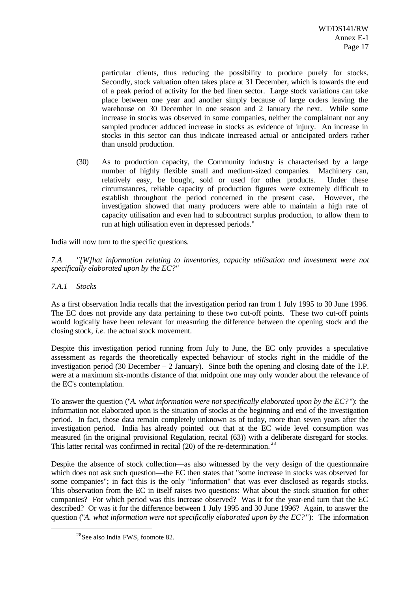particular clients, thus reducing the possibility to produce purely for stocks. Secondly, stock valuation often takes place at 31 December, which is towards the end of a peak period of activity for the bed linen sector. Large stock variations can take place between one year and another simply because of large orders leaving the warehouse on 30 December in one season and 2 January the next. While some increase in stocks was observed in some companies, neither the complainant nor any sampled producer adduced increase in stocks as evidence of injury. An increase in stocks in this sector can thus indicate increased actual or anticipated orders rather than unsold production.

(30) As to production capacity, the Community industry is characterised by a large number of highly flexible small and medium-sized companies. Machinery can, relatively easy, be bought, sold or used for other products. Under these circumstances, reliable capacity of production figures were extremely difficult to establish throughout the period concerned in the present case. However, the investigation showed that many producers were able to maintain a high rate of capacity utilisation and even had to subcontract surplus production, to allow them to run at high utilisation even in depressed periods."

India will now turn to the specific questions.

*7.A "[W]hat information relating to inventories, capacity utilisation and investment were not specifically elaborated upon by the EC?"*

*7.A.1 Stocks*

l

As a first observation India recalls that the investigation period ran from 1 July 1995 to 30 June 1996. The EC does not provide any data pertaining to these two cut-off points. These two cut-off points would logically have been relevant for measuring the difference between the opening stock and the closing stock, *i.e.* the actual stock movement.

Despite this investigation period running from July to June, the EC only provides a speculative assessment as regards the theoretically expected behaviour of stocks right in the middle of the investigation period (30 December – 2 January). Since both the opening and closing date of the I.P. were at a maximum six-months distance of that midpoint one may only wonder about the relevance of the EC's contemplation.

To answer the question ("*A. what information were not specifically elaborated upon by the EC?* "): the information not elaborated upon is the situation of stocks at the beginning and end of the investigation period. In fact, those data remain completely unknown as of today, more than seven years after the investigation period. India has already pointed out that at the EC wide level consumption was measured (in the original provisional Regulation, recital (63)) with a deliberate disregard for stocks. This latter recital was confirmed in recital  $(20)$  of the re-determination.<sup>28</sup>

Despite the absence of stock collection—as also witnessed by the very design of the questionnaire which does not ask such question—the EC then states that "some increase in stocks was observed for some companies"; in fact this is the only "information" that was ever disclosed as regards stocks. This observation from the EC in itself raises two questions: What about the stock situation for other companies? For which period was this increase observed? Was it for the year-end turn that the EC described? Or was it for the difference between 1 July 1995 and 30 June 1996? Again, to answer the question ("*A. what information were not specifically elaborated upon by the EC?*"): The information

<sup>28</sup>See also India FWS, footnote 82.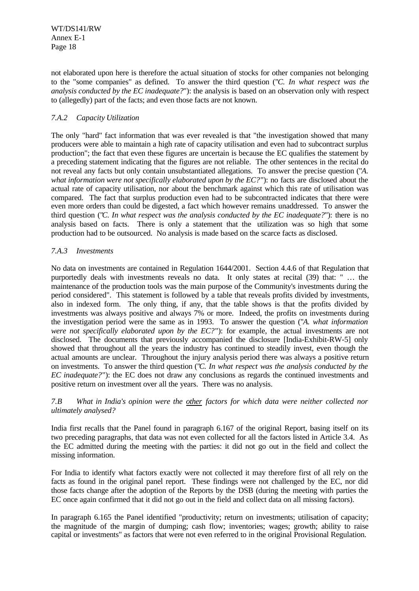not elaborated upon here is therefore the actual situation of stocks for other companies not belonging to the "some companies" as defined. To answer the third question ("*C. In what respect was the analysis conducted by the EC inadequate?*"): the analysis is based on an observation only with respect to (allegedly) part of the facts; and even those facts are not known.

#### *7.A.2 Capacity Utilization*

The only "hard" fact information that was ever revealed is that "the investigation showed that many producers were able to maintain a high rate of capacity utilisation and even had to subcontract surplus production"; the fact that even these figures are uncertain is because the EC qualifies the statement by a preceding statement indicating that the figures are not reliable. The other sentences in the recital do not reveal any facts but only contain unsubstantiated allegations. To answer the precise question ("*A. what information were not specifically elaborated upon by the EC?*"): no facts are disclosed about the actual rate of capacity utilisation, nor about the benchmark against which this rate of utilisation was compared. The fact that surplus production even had to be subcontracted indicates that there were even more orders than could be digested, a fact which however remains unaddressed. To answer the third question ("*C. In what respect was the analysis conducted by the EC inadequate?*"): there is no analysis based on facts. There is only a statement that the utilization was so high that some production had to be outsourced. No analysis is made based on the scarce facts as disclosed.

#### *7.A.3 Investments*

No data on investments are contained in Regulation 1644/2001. Section 4.4.6 of that Regulation that purportedly deals with investments reveals no data. It only states at recital (39) that: " … the maintenance of the production tools was the main purpose of the Community's investments during the period considered". This statement is followed by a table that reveals profits divided by investments, also in indexed form. The only thing, if any, that the table shows is that the profits divided by investments was always positive and always 7% or more. Indeed, the profits on investments during the investigation period were the same as in 1993. To answer the question ("*A. what information were not specifically elaborated upon by the EC?*"): for example, the actual investments are not disclosed. The documents that previously accompanied the disclosure [India-Exhibit-RW-5] only showed that throughout all the years the industry has continued to steadily invest, even though the actual amounts are unclear. Throughout the injury analysis period there was always a positive return on investments. To answer the third question ("*C. In what respect was the analysis conducted by the EC inadequate?*"): the EC does not draw any conclusions as regards the continued investments and positive return on investment over all the years. There was no analysis.

#### *7.B What in India's opinion were the other factors for which data were neither collected nor ultimately analysed?*

India first recalls that the Panel found in paragraph 6.167 of the original Report, basing itself on its two preceding paragraphs, that data was not even collected for all the factors listed in Article 3.4. As the EC admitted during the meeting with the parties: it did not go out in the field and collect the missing information.

For India to identify what factors exactly were not collected it may therefore first of all rely on the facts as found in the original panel report. These findings were not challenged by the EC, nor did those facts change after the adoption of the Reports by the DSB (during the meeting with parties the EC once again confirmed that it did not go out in the field and collect data on all missing factors).

In paragraph 6.165 the Panel identified "productivity; return on investments; utilisation of capacity; the magnitude of the margin of dumping; cash flow; inventories; wages; growth; ability to raise capital or investments" as factors that were not even referred to in the original Provisional Regulation.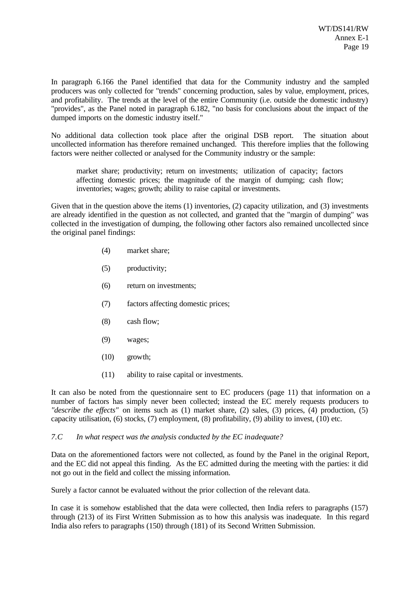In paragraph 6.166 the Panel identified that data for the Community industry and the sampled producers was only collected for "trends" concerning production, sales by value, employment, prices, and profitability. The trends at the level of the entire Community (i.e. outside the domestic industry) "provides", as the Panel noted in paragraph 6.182, "no basis for conclusions about the impact of the dumped imports on the domestic industry itself."

No additional data collection took place after the original DSB report. The situation about uncollected information has therefore remained unchanged. This therefore implies that the following factors were neither collected or analysed for the Community industry or the sample:

market share; productivity; return on investments; utilization of capacity; factors affecting domestic prices; the magnitude of the margin of dumping; cash flow; inventories; wages; growth; ability to raise capital or investments.

Given that in the question above the items (1) inventories, (2) capacity utilization, and (3) investments are already identified in the question as not collected, and granted that the "margin of dumping" was collected in the investigation of dumping, the following other factors also remained uncollected since the original panel findings:

- (4) market share;
- (5) productivity;
- (6) return on investments;
- (7) factors affecting domestic prices;
- (8) cash flow;
- (9) wages;
- (10) growth;
- (11) ability to raise capital or investments.

It can also be noted from the questionnaire sent to EC producers (page 11) that information on a number of factors has simply never been collected; instead the EC merely requests producers to *"describe the effects"* on items such as (1) market share, (2) sales, (3) prices, (4) production, (5) capacity utilisation, (6) stocks, (7) employment, (8) profitability, (9) ability to invest, (10) etc.

#### *7.C In what respect was the analysis conducted by the EC inadequate?*

Data on the aforementioned factors were not collected, as found by the Panel in the original Report, and the EC did not appeal this finding. As the EC admitted during the meeting with the parties: it did not go out in the field and collect the missing information.

Surely a factor cannot be evaluated without the prior collection of the relevant data.

In case it is somehow established that the data were collected, then India refers to paragraphs (157) through (213) of its First Written Submission as to how this analysis was inadequate. In this regard India also refers to paragraphs (150) through (181) of its Second Written Submission.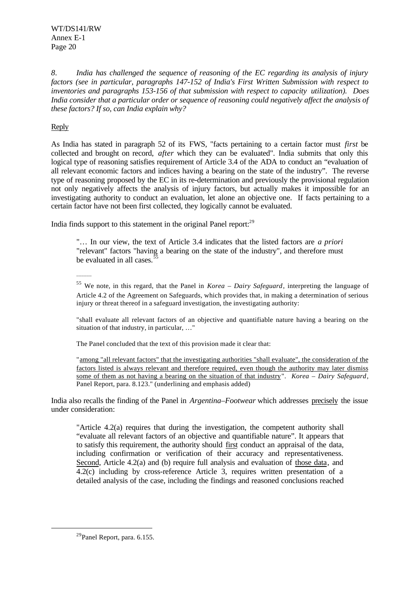*8. India has challenged the sequence of reasoning of the EC regarding its analysis of injury factors (see in particular, paragraphs 147-152 of India's First Written Submission with respect to inventories and paragraphs 153-156 of that submission with respect to capacity utilization). Does India consider that a particular order or sequence of reasoning could negatively affect the analysis of these factors? If so, can India explain why?*

#### Reply

As India has stated in paragraph 52 of its FWS, "facts pertaining to a certain factor must *first* be collected and brought on record, *after* which they can be evaluated". India submits that only this logical type of reasoning satisfies requirement of Article 3.4 of the ADA to conduct an "evaluation of all relevant economic factors and indices having a bearing on the state of the industry". The reverse type of reasoning proposed by the EC in its re-determination and previously the provisional regulation not only negatively affects the analysis of injury factors, but actually makes it impossible for an investigating authority to conduct an evaluation, let alone an objective one. If facts pertaining to a certain factor have not been first collected, they logically cannot be evaluated.

India finds support to this statement in the original Panel report: $29$ 

"… In our view, the text of Article 3.4 indicates that the listed factors are *a priori* "relevant" factors "having a bearing on the state of the industry", and therefore must be evaluated in all cases.<sup>5</sup>

\_\_\_\_\_\_

<sup>55</sup> We note, in this regard, that the Panel in *Korea – Dairy Safeguard*, interpreting the language of Article 4.2 of the Agreement on Safeguards, which provides that, in making a determination of serious injury or threat thereof in a safeguard investigation, the investigating authority:

"shall evaluate all relevant factors of an objective and quantifiable nature having a bearing on the situation of that industry, in particular, …"

The Panel concluded that the text of this provision made it clear that:

"among "all relevant factors" that the investigating authorities "shall evaluate", the consideration of the factors listed is always relevant and therefore required, even though the authority may later dismiss some of them as not having a bearing on the situation of that industry". *Korea – Dairy Safeguard*, Panel Report, para. 8.123." (underlining and emphasis added)

India also recalls the finding of the Panel in *Argentina–Footwear* which addresses precisely the issue under consideration:

"Article  $4.2(a)$  requires that during the investigation, the competent authority shall "evaluate all relevant factors of an objective and quantifiable nature". It appears that to satisfy this requirement, the authority should first conduct an appraisal of the data, including confirmation or verification of their accuracy and representativeness. Second, Article 4.2(a) and (b) require full analysis and evaluation of those data, and 4.2(c) including by cross-reference Article 3, requires written presentation of a detailed analysis of the case, including the findings and reasoned conclusions reached

<sup>29</sup>Panel Report, para. 6.155.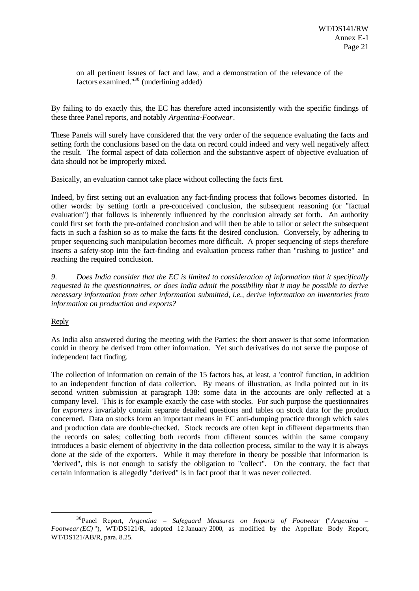on all pertinent issues of fact and law, and a demonstration of the relevance of the factors examined."<sup>30</sup> (underlining added)

By failing to do exactly this, the EC has therefore acted inconsistently with the specific findings of these three Panel reports, and notably *Argentina-Footwear*.

These Panels will surely have considered that the very order of the sequence evaluating the facts and setting forth the conclusions based on the data on record could indeed and very well negatively affect the result. The formal aspect of data collection and the substantive aspect of objective evaluation of data should not be improperly mixed.

Basically, an evaluation cannot take place without collecting the facts first.

Indeed, by first setting out an evaluation any fact-finding process that follows becomes distorted. In other words: by setting forth a pre-conceived conclusion, the subsequent reasoning (or "factual evaluation") that follows is inherently influenced by the conclusion already set forth. An authority could first set forth the pre-ordained conclusion and will then be able to tailor or select the subsequent facts in such a fashion so as to make the facts fit the desired conclusion. Conversely, by adhering to proper sequencing such manipulation becomes more difficult. A proper sequencing of steps therefore inserts a safety-stop into the fact-finding and evaluation process rather than "rushing to justice" and reaching the required conclusion.

*9. Does India consider that the EC is limited to consideration of information that it specifically requested in the questionnaires, or does India admit the possibility that it may be possible to derive necessary information from other information submitted, i.e., derive information on inventories from information on production and exports?*

#### Reply

l

As India also answered during the meeting with the Parties: the short answer is that some information could in theory be derived from other information. Yet such derivatives do not serve the purpose of independent fact finding.

The collection of information on certain of the 15 factors has, at least, a 'control' function, in addition to an independent function of data collection. By means of illustration, as India pointed out in its second written submission at paragraph 138: some data in the accounts are only reflected at a company level. This is for example exactly the case with stocks. For such purpose the questionnaires for *exporters* invariably contain separate detailed questions and tables on stock data for the product concerned. Data on stocks form an important means in EC anti-dumping practice through which sales and production data are double-checked. Stock records are often kept in different departments than the records on sales; collecting both records from different sources within the same company introduces a basic element of objectivity in the data collection process, similar to the way it is always done at the side of the exporters. While it may therefore in theory be possible that information is "derived", this is not enough to satisfy the obligation to "collect". On the contrary, the fact that certain information is allegedly "derived" is in fact proof that it was never collected.

<sup>30</sup>Panel Report, *Argentina – Safeguard Measures on Imports of Footwear* ("*Argentina – Footwear (EC)* "), WT/DS121/R, adopted 12 January 2000, as modified by the Appellate Body Report, WT/DS121/AB/R, para. 8.25.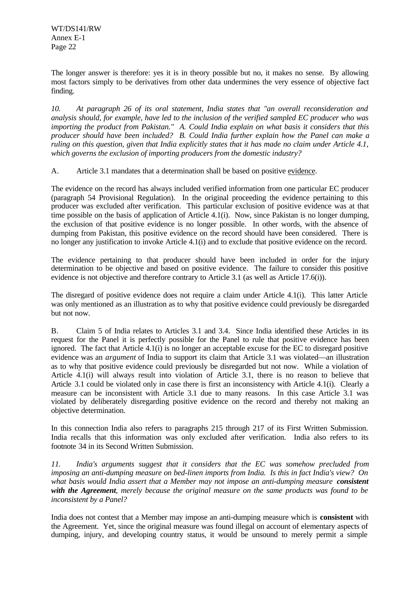The longer answer is therefore: yes it is in theory possible but no, it makes no sense. By allowing most factors simply to be derivatives from other data undermines the very essence of objective fact finding.

*10. At paragraph 26 of its oral statement, India states that "an overall reconsideration and analysis should, for example, have led to the inclusion of the verified sampled EC producer who was importing the product from Pakistan." A. Could India explain on what basis it considers that this producer should have been included? B. Could India further explain how the Panel can make a ruling on this question, given that India explicitly states that it has made no claim under Article 4.1, which governs the exclusion of importing producers from the domestic industry?*

A. Article 3.1 mandates that a determination shall be based on positive evidence.

The evidence on the record has always included verified information from one particular EC producer (paragraph 54 Provisional Regulation). In the original proceeding the evidence pertaining to this producer was excluded after verification. This particular exclusion of positive evidence was at that time possible on the basis of application of Article 4.1(i). Now, since Pakistan is no longer dumping, the exclusion of that positive evidence is no longer possible. In other words, with the absence of dumping from Pakistan, this positive evidence on the record should have been considered. There is no longer any justification to invoke Article 4.1(i) and to exclude that positive evidence on the record.

The evidence pertaining to that producer should have been included in order for the injury determination to be objective and based on positive evidence. The failure to consider this positive evidence is not objective and therefore contrary to Article 3.1 (as well as Article 17.6(i)).

The disregard of positive evidence does not require a claim under Article 4.1(i). This latter Article was only mentioned as an illustration as to why that positive evidence could previously be disregarded but not now.

B. Claim 5 of India relates to Articles 3.1 and 3.4. Since India identified these Articles in its request for the Panel it is perfectly possible for the Panel to rule that positive evidence has been ignored. The fact that Article 4.1(i) is no longer an acceptable excuse for the EC to disregard positive evidence was an *argument* of India to support its claim that Article 3.1 was violated—an illustration as to why that positive evidence could previously be disregarded but not now. While a violation of Article 4.1(i) will always result into violation of Article 3.1, there is no reason to believe that Article 3.1 could be violated only in case there is first an inconsistency with Article 4.1(i). Clearly a measure can be inconsistent with Article 3.1 due to many reasons. In this case Article 3.1 was violated by deliberately disregarding positive evidence on the record and thereby not making an objective determination.

In this connection India also refers to paragraphs 215 through 217 of its First Written Submission. India recalls that this information was only excluded after verification. India also refers to its footnote 34 in its Second Written Submission.

*11. India's arguments suggest that it considers that the EC was somehow precluded from imposing an anti-dumping measure on bed-linen imports from India. Is this in fact India's view? On what basis would India assert that a Member may not impose an anti-dumping measure consistent with the Agreement, merely because the original measure on the same products was found to be inconsistent by a Panel?*

India does not contest that a Member may impose an anti-dumping measure which is **consistent** with the Agreement. Yet, since the original measure was found illegal on account of elementary aspects of dumping, injury, and developing country status, it would be unsound to merely permit a simple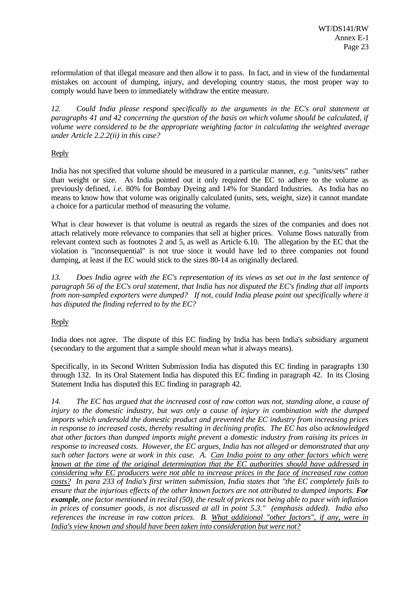reformulation of that illegal measure and then allow it to pass. In fact, and in view of the fundamental mistakes on account of dumping, injury, and developing country status, the most proper way to comply would have been to immediately withdraw the entire measure.

*12. Could India please respond specifically to the arguments in the EC's oral statement at paragraphs 41 and 42 concerning the question of the basis on which volume should be calculated, if volume were considered to be the appropriate weighting factor in calculating the weighted average under Article 2.2.2(ii) in this case?*

#### Reply

India has not specified that volume should be measured in a particular manner, *e.g.* "units/sets" rather than weight or size. As India pointed out it only required the EC to adhere to the volume as previously defined, *i.e.* 80% for Bombay Dyeing and 14% for Standard Industries. As India has no means to know how that volume was originally calculated (units, sets, weight, size) it cannot mandate a choice for a particular method of measuring the volume.

What is clear however is that volume is neutral as regards the sizes of the companies and does not attach relatively more relevance to companies that sell at higher prices. Volume flows naturally from relevant context such as footnotes 2 and 5, as well as Article 6.10. The allegation by the EC that the violation is "inconsequential" is not true since it would have led to three companies not found dumping, at least if the EC would stick to the sizes 80-14 as originally declared.

*13. Does India agree with the EC's representation of its views as set out in the last sentence of paragraph 56 of the EC's oral statement, that India has not disputed the EC's finding that all imports from non-sampled exporters were dumped? If not, could India please point out specifically where it has disputed the finding referred to by the EC?*

#### Reply

India does not agree. The dispute of this EC finding by India has been India's subsidiary argument (secondary to the argument that a sample should mean what it always means).

Specifically, in its Second Written Submission India has disputed this EC finding in paragraphs 130 through 132. In its Oral Statement India has disputed this EC finding in paragraph 42. In its Closing Statement India has disputed this EC finding in paragraph 42.

*14. The EC has argued that the increased cost of raw cotton was not, standing alone, a cause of injury to the domestic industry, but was only a cause of injury in combination with the dumped imports which undersold the domestic product and prevented the EC industry from increasing prices in response to increased costs, thereby resulting in declining profits. The EC has also acknowledged that other factors than dumped imports might prevent a domestic industry from raising its prices in response to increased costs. However, the EC argues, India has not alleged or demonstrated that any such other factors were at work in this case. A. Can India point to any other factors which were known at the time of the original determination that the EC authorities should have addressed in considering why EC producers were not able to increase prices in the face of increased raw cotton costs? In para 233 of India's first written submission, India states that "the EC completely fails to ensure that the injurious effects of the other known factors are not attributed to dumped imports. For example, one factor mentioned in recital (50), the result of prices not being able to pace with inflation in prices of consumer goods, is not discussed at all in point 5.3." (emphasis added). India also references the increase in raw cotton prices. B. What additional "other factors", if any, were in India's view known and should have been taken into consideration but were not?*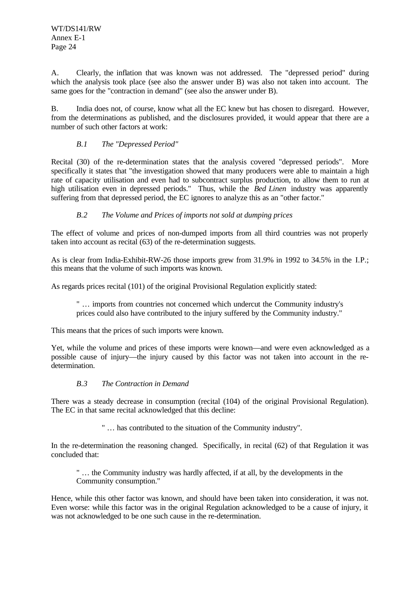A. Clearly, the inflation that was known was not addressed. The "depressed period" during which the analysis took place (see also the answer under B) was also not taken into account. The same goes for the "contraction in demand" (see also the answer under B).

B. India does not, of course, know what all the EC knew but has chosen to disregard. However, from the determinations as published, and the disclosures provided, it would appear that there are a number of such other factors at work:

#### *B.1 The "Depressed Period"*

Recital (30) of the re-determination states that the analysis covered "depressed periods". More specifically it states that "the investigation showed that many producers were able to maintain a high rate of capacity utilisation and even had to subcontract surplus production, to allow them to run at high utilisation even in depressed periods." Thus, while the *Bed Linen* industry was apparently suffering from that depressed period, the EC ignores to analyze this as an "other factor."

#### *B.2 The Volume and Prices of imports not sold at dumping prices*

The effect of volume and prices of non-dumped imports from all third countries was not properly taken into account as recital (63) of the re-determination suggests.

As is clear from India-Exhibit-RW-26 those imports grew from 31.9% in 1992 to 34.5% in the I.P.; this means that the volume of such imports was known.

As regards prices recital (101) of the original Provisional Regulation explicitly stated:

" … imports from countries not concerned which undercut the Community industry's prices could also have contributed to the injury suffered by the Community industry."

This means that the prices of such imports were known.

Yet, while the volume and prices of these imports were known—and were even acknowledged as a possible cause of injury—the injury caused by this factor was not taken into account in the redetermination.

#### *B.3 The Contraction in Demand*

There was a steady decrease in consumption (recital (104) of the original Provisional Regulation). The EC in that same recital acknowledged that this decline:

" … has contributed to the situation of the Community industry".

In the re-determination the reasoning changed. Specifically, in recital (62) of that Regulation it was concluded that:

" … the Community industry was hardly affected, if at all, by the developments in the Community consumption."

Hence, while this other factor was known, and should have been taken into consideration, it was not. Even worse: while this factor was in the original Regulation acknowledged to be a cause of injury, it was not acknowledged to be one such cause in the re-determination.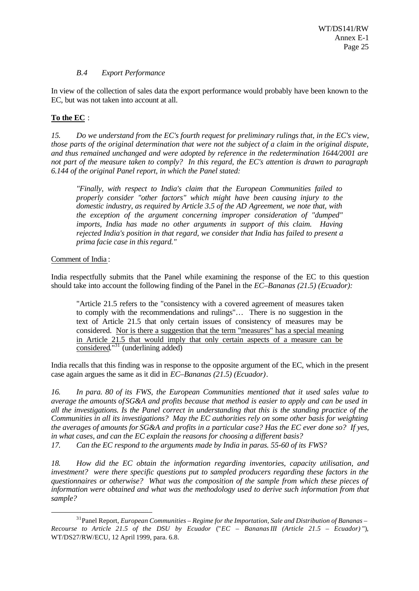#### *B.4 Export Performance*

In view of the collection of sales data the export performance would probably have been known to the EC, but was not taken into account at all.

#### **To the EC** :

*15. Do we understand from the EC's fourth request for preliminary rulings that, in the EC's view, those parts of the original determination that were not the subject of a claim in the original dispute, and thus remained unchanged and were adopted by reference in the redetermination 1644/2001 are not part of the measure taken to comply? In this regard, the EC's attention is drawn to paragraph 6.144 of the original Panel report, in which the Panel stated:*

*"Finally, with respect to India's claim that the European Communities failed to properly consider "other factors" which might have been causing injury to the domestic industry, as required by Article 3.5 of the AD Agreement, we note that, with the exception of the argument concerning improper consideration of "dumped" imports, India has made no other arguments in support of this claim. Having rejected India's position in that regard, we consider that India has failed to present a prima facie case in this regard."*

#### Comment of India :

l

India respectfully submits that the Panel while examining the response of the EC to this question should take into account the following finding of the Panel in the *EC–Bananas (21.5) (Ecuador):*

"Article 21.5 refers to the "consistency with a covered agreement of measures taken to comply with the recommendations and rulings"… There is no suggestion in the text of Article 21.5 that only certain issues of consistency of measures may be considered. Nor is there a suggestion that the term "measures" has a special meaning in Article 21.5 that would imply that only certain aspects of a measure can be considered."<sup>31</sup> (underlining added)

India recalls that this finding was in response to the opposite argument of the EC, which in the present case again argues the same as it did in *EC–Bananas (21.5) (Ecuador)*.

*16. In para. 80 of its FWS, the European Communities mentioned that it used sales value to average the amounts of SG&A and profits because that method is easier to apply and can be used in all the investigations. Is the Panel correct in understanding that this is the standing practice of the Communities in all its investigations? May the EC authorities rely on some other basis for weighting the averages of amounts for SG&A and profits in a particular case? Has the EC ever done so? If yes, in what cases, and can the EC explain the reasons for choosing a different basis?*

*17. Can the EC respond to the arguments made by India in paras. 55-60 of its FWS?*

*18. How did the EC obtain the information regarding inventories, capacity utilisation, and investment? were there specific questions put to sampled producers regarding these factors in the questionnaires or otherwise? What was the composition of the sample from which these pieces of information were obtained and what was the methodology used to derive such information from that sample?*

<sup>31</sup>Panel Report, *European Communities – Regime for the Importation, Sale and Distribution of Bananas – Recourse to Article 21.5 of the DSU by Ecuador* ("*EC – Bananas III (Article 21.5 – Ecuador)* "), WT/DS27/RW/ECU, 12 April 1999, para. 6.8.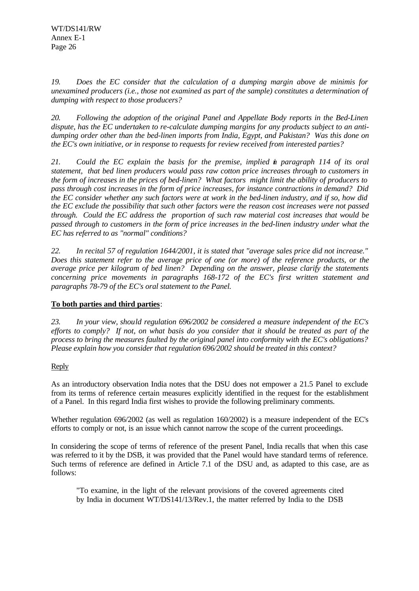*19. Does the EC consider that the calculation of a dumping margin above de minimis for unexamined producers (i.e., those not examined as part of the sample) constitutes a determination of dumping with respect to those producers?*

*20. Following the adoption of the original Panel and Appellate Body reports in the Bed-Linen dispute, has the EC undertaken to re-calculate dumping margins for any products subject to an antidumping order other than the bed-linen imports from India, Egypt, and Pakistan? Was this done on the EC's own initiative, or in response to requests for review received from interested parties?*

*21. Could the EC explain the basis for the premise, implied in paragraph 114 of its oral statement, that bed linen producers would pass raw cotton price increases through to customers in the form of increases in the prices of bed-linen? What factors might limit the ability of producers to pass through cost increases in the form of price increases, for instance contractions in demand? Did the EC consider whether any such factors were at work in the bed-linen industry, and if so, how did the EC exclude the possibility that such other factors were the reason cost increases were not passed through. Could the EC address the proportion of such raw material cost increases that would be passed through to customers in the form of price increases in the bed-linen industry under what the EC has referred to as "normal" conditions?*

*22. In recital 57 of regulation 1644/2001, it is stated that "average sales price did not increase." Does this statement refer to the average price of one (or more) of the reference products, or the average price per kilogram of bed linen? Depending on the answer, please clarify the statements concerning price movements in paragraphs 168-172 of the EC's first written statement and paragraphs 78-79 of the EC's oral statement to the Panel.*

#### **To both parties and third parties**:

*23. In your view, should regulation 696/2002 be considered a measure independent of the EC's efforts to comply? If not, on what basis do you consider that it should be treated as part of the process to bring the measures faulted by the original panel into conformity with the EC's obligations? Please explain how you consider that regulation 696/2002 should be treated in this context?*

#### Reply

As an introductory observation India notes that the DSU does not empower a 21.5 Panel to exclude from its terms of reference certain measures explicitly identified in the request for the establishment of a Panel. In this regard India first wishes to provide the following preliminary comments.

Whether regulation 696/2002 (as well as regulation 160/2002) is a measure independent of the EC's efforts to comply or not, is an issue which cannot narrow the scope of the current proceedings.

In considering the scope of terms of reference of the present Panel, India recalls that when this case was referred to it by the DSB, it was provided that the Panel would have standard terms of reference. Such terms of reference are defined in Article 7.1 of the DSU and, as adapted to this case, are as follows:

"To examine, in the light of the relevant provisions of the covered agreements cited by India in document WT/DS141/13/Rev.1, the matter referred by India to the DSB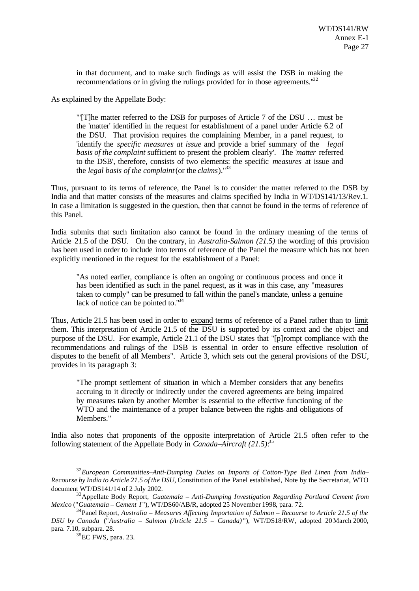in that document, and to make such findings as will assist the DSB in making the recommendations or in giving the rulings provided for in those agreements."<sup>32</sup>

As explained by the Appellate Body:

"'[T]he matter referred to the DSB for purposes of Article 7 of the DSU … must be the 'matter' identified in the request for establishment of a panel under Article 6.2 of the DSU. That provision requires the complaining Member, in a panel request, to 'identify the *specific measures at issue* and provide a brief summary of the *legal basis of the complaint* sufficient to present the problem clearly'. The '*matter* referred to the DSB', therefore, consists of two elements: the specific *measures* at issue and the *legal basis of the complaint* (or the *claims*)."<sup>33</sup>

Thus, pursuant to its terms of reference, the Panel is to consider the matter referred to the DSB by India and that matter consists of the measures and claims specified by India in WT/DS141/13/Rev.1. In case a limitation is suggested in the question, then that cannot be found in the terms of reference of this Panel.

India submits that such limitation also cannot be found in the ordinary meaning of the terms of Article 21.5 of the DSU. On the contrary, in *Australia-Salmon (21.5)* the wording of this provision has been used in order to include into terms of reference of the Panel the measure which has not been explicitly mentioned in the request for the establishment of a Panel:

"As noted earlier, compliance is often an ongoing or continuous process and once it has been identified as such in the panel request, as it was in this case, any "measures taken to comply" can be presumed to fall within the panel's mandate, unless a genuine lack of notice can be pointed to.<sup>134</sup>

Thus, Article 21.5 has been used in order to expand terms of reference of a Panel rather than to limit them. This interpretation of Article 21.5 of the DSU is supported by its context and the object and purpose of the DSU. For example, Article 21.1 of the DSU states that "[p]rompt compliance with the recommendations and rulings of the DSB is essential in order to ensure effective resolution of disputes to the benefit of all Members". Article 3, which sets out the general provisions of the DSU, provides in its paragraph 3:

"The prompt settlement of situation in which a Member considers that any benefits accruing to it directly or indirectly under the covered agreements are being impaired by measures taken by another Member is essential to the effective functioning of the WTO and the maintenance of a proper balance between the rights and obligations of Members."

India also notes that proponents of the opposite interpretation of Article 21.5 often refer to the following statement of the Appellate Body in *Canada–Aircraft (21.5)*: 35

<sup>32</sup>*European Communities–Anti-Dumping Duties on Imports of Cotton-Type Bed Linen from India– Recourse by India to Article 21.5 of the DSU,* Constitution of the Panel established, Note by the Secretariat, WTO document WT/DS141/14 of 2 July 2002.

<sup>33</sup>Appellate Body Report, *Guatemala – Anti-Dumping Investigation Regarding Portland Cement from Mexico* ("*Guatemala – Cement I* "), WT/DS60/AB/R, adopted 25 November 1998, para. 72.

<sup>34</sup>Panel Report, *Australia – Measures Affecting Importation of Salmon – Recourse to Article 21.5 of the DSU by Canada* ("*Australia – Salmon (Article 21.5 – Canada)* "), WT/DS18/RW, adopted 20 March 2000, para. 7.10, subpara. 28.

 $35$ EC FWS, para. 23.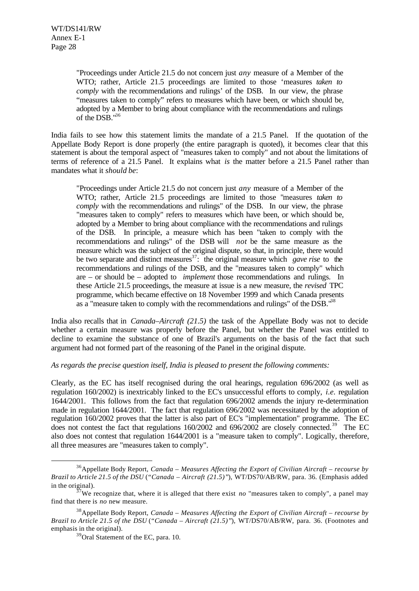"Proceedings under Article 21.5 do not concern just *any* measure of a Member of the WTO; rather, Article 21.5 proceedings are limited to those 'measures *taken to comply* with the recommendations and rulings' of the DSB. In our view, the phrase "measures taken to comply" refers to measures which have been, or which should be, adopted by a Member to bring about compliance with the recommendations and rulings of the DSB."<sup>36</sup>

India fails to see how this statement limits the mandate of a 21.5 Panel. If the quotation of the Appellate Body Report is done properly (the entire paragraph is quoted), it becomes clear that this statement is about the temporal aspect of "measures taken to comply" and not about the limitations of terms of reference of a 21.5 Panel. It explains what *is* the matter before a 21.5 Panel rather than mandates what it *should be*:

"Proceedings under Article 21.5 do not concern just *any* measure of a Member of the WTO; rather, Article 21.5 proceedings are limited to those "measures *taken to comply* with the recommendations and rulings" of the DSB. In our view, the phrase "measures taken to comply" refers to measures which have been, or which should be, adopted by a Member to bring about compliance with the recommendations and rulings of the DSB. In principle, a measure which has been "taken to comply with the recommendations and rulings" of the DSB will *not* be the same measure as the measure which was the subject of the original dispute, so that, in principle, there would be two separate and distinct measures<sup>37</sup>: the original measure which *gave rise* to the recommendations and rulings of the DSB, and the "measures taken to comply" which are – or should be – adopted to *implement* those recommendations and rulings. In these Article 21.5 proceedings, the measure at issue is a new measure, the *revised* TPC programme, which became effective on 18 November 1999 and which Canada presents as a "measure taken to comply with the recommendations and rulings" of the DSB.<sup>138</sup>

India also recalls that in *Canada–Aircraft (21.5)* the task of the Appellate Body was not to decide whether a certain measure was properly before the Panel, but whether the Panel was entitled to decline to examine the substance of one of Brazil's arguments on the basis of the fact that such argument had not formed part of the reasoning of the Panel in the original dispute.

*As regards the precise question itself, India is pleased to present the following comments:*

Clearly, as the EC has itself recognised during the oral hearings, regulation 696/2002 (as well as regulation 160/2002) is inextricably linked to the EC's unsuccessful efforts to comply, *i.e.* regulation 1644/2001. This follows from the fact that regulation 696/2002 amends the injury re-determination made in regulation 1644/2001. The fact that regulation 696/2002 was necessitated by the adoption of regulation 160/2002 proves that the latter is also part of EC's "implementation" programme. The EC does not contest the fact that regulations 160/2002 and 696/2002 are closely connected.<sup>39</sup> The EC also does not contest that regulation 1644/2001 is a "measure taken to comply". Logically, therefore, all three measures are "measures taken to comply".

<sup>36</sup>Appellate Body Report, *Canada – Measures Affecting the Export of Civilian Aircraft – recourse by Brazil to Article 21.5 of the DSU* (*"Canada – Aircraft (21.5)"*), WT/DS70/AB/RW, para. 36. (Emphasis added in the original).

 $37\text{We}$  recognize that, where it is alleged that there exist *no* "measures taken to comply", a panel may find that there is *no* new measure.

<sup>38</sup>Appellate Body Report, *Canada – Measures Affecting the Export of Civilian Aircraft – recourse by Brazil to Article 21.5 of the DSU* (*"Canada – Aircraft (21.5)"*), WT/DS70/AB/RW, para. 36. (Footnotes and emphasis in the original).

<sup>&</sup>lt;sup>39</sup>Oral Statement of the EC, para. 10.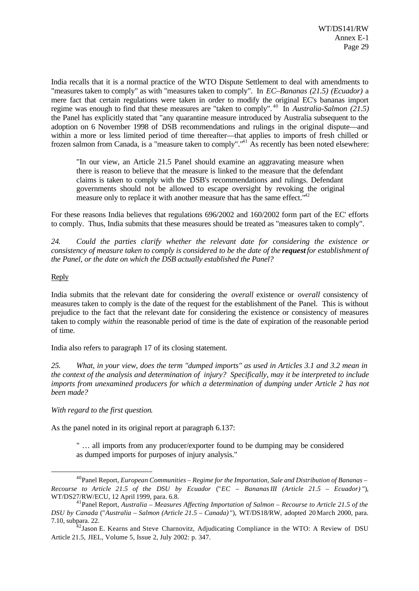India recalls that it is a normal practice of the WTO Dispute Settlement to deal with amendments to "measures taken to comply" as with "measures taken to comply". In *EC–Bananas (21.5) (Ecuador)* a mere fact that certain regulations were taken in order to modify the original EC's bananas import regime was enough to find that these measures are "taken to comply". <sup>40</sup> In *Australia-Salmon (21.5)* the Panel has explicitly stated that "any quarantine measure introduced by Australia subsequent to the adoption on 6 November 1998 of DSB recommendations and rulings in the original dispute—and within a more or less limited period of time thereafter—that applies to imports of fresh chilled or frozen salmon from Canada, is a "measure taken to comply".<sup>"41</sup> As recently has been noted elsewhere:

"In our view, an Article 21.5 Panel should examine an aggravating measure when there is reason to believe that the measure is linked to the measure that the defendant claims is taken to comply with the DSB's recommendations and rulings. Defendant governments should not be allowed to escape oversight by revoking the original measure only to replace it with another measure that has the same effect."

For these reasons India believes that regulations 696/2002 and 160/2002 form part of the EC' efforts to comply. Thus, India submits that these measures should be treated as "measures taken to comply".

*24. Could the parties clarify whether the relevant date for considering the existence or consistency of measure taken to comply is considered to be the date of the request for establishment of the Panel, or the date on which the DSB actually established the Panel?*

#### Reply

l

India submits that the relevant date for considering the *overall* existence or *overall* consistency of measures taken to comply is the date of the request for the establishment of the Panel. This is without prejudice to the fact that the relevant date for considering the existence or consistency of measures taken to comply *within* the reasonable period of time is the date of expiration of the reasonable period of time.

India also refers to paragraph 17 of its closing statement.

*25. What, in your view, does the term "dumped imports" as used in Articles 3.1 and 3.2 mean in the context of the analysis and determination of injury? Specifically, may it be interpreted to include imports from unexamined producers for which a determination of dumping under Article 2 has not been made?*

*With regard to the first question*.

As the panel noted in its original report at paragraph 6.137:

" … all imports from any producer/exporter found to be dumping may be considered as dumped imports for purposes of injury analysis."

<sup>40</sup>Panel Report, *European Communities – Regime for the Importation, Sale and Distribution of Bananas – Recourse to Article 21.5 of the DSU by Ecuador* ("*EC – Bananas III (Article 21.5 – Ecuador)* "), WT/DS27/RW/ECU, 12 April 1999, para. 6.8.

<sup>41</sup>Panel Report, *Australia – Measures Affecting Importation of Salmon – Recourse to Article 21.5 of the DSU by Canada* ("*Australia – Salmon (Article 21.5 – Canada)* "), WT/DS18/RW, adopted 20 March 2000, para. 7.10, subpara. 22.

 $42$ Jason E. Kearns and Steve Charnovitz, Adjudicating Compliance in the WTO: A Review of DSU Article 21.5, JIEL, Volume 5, Issue 2, July 2002: p. 347.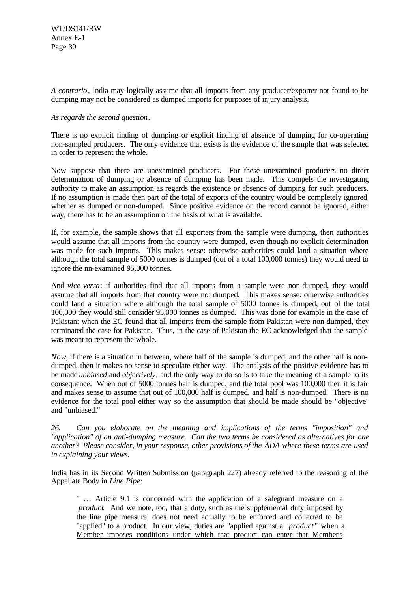*A contrario*, India may logically assume that all imports from any producer/exporter not found to be dumping may not be considered as dumped imports for purposes of injury analysis.

#### *As regards the second question*.

There is no explicit finding of dumping or explicit finding of absence of dumping for co-operating non-sampled producers. The only evidence that exists is the evidence of the sample that was selected in order to represent the whole.

Now suppose that there are unexamined producers. For these unexamined producers no direct determination of dumping or absence of dumping has been made. This compels the investigating authority to make an assumption as regards the existence or absence of dumping for such producers. If no assumption is made then part of the total of exports of the country would be completely ignored, whether as dumped or non-dumped. Since positive evidence on the record cannot be ignored, either way, there has to be an assumption on the basis of what is available.

If, for example, the sample shows that all exporters from the sample were dumping, then authorities would assume that all imports from the country were dumped, even though no explicit determination was made for such imports. This makes sense: otherwise authorities could land a situation where although the total sample of 5000 tonnes is dumped (out of a total 100,000 tonnes) they would need to ignore the nn-examined 95,000 tonnes.

And *vice versa*: if authorities find that all imports from a sample were non-dumped, they would assume that all imports from that country were not dumped. This makes sense: otherwise authorities could land a situation where although the total sample of 5000 tonnes is dumped, out of the total 100,000 they would still consider 95,000 tonnes as dumped. This was done for example in the case of Pakistan: when the EC found that all imports from the sample from Pakistan were non-dumped, they terminated the case for Pakistan. Thus, in the case of Pakistan the EC acknowledged that the sample was meant to represent the whole.

*Now*, if there is a situation in between, where half of the sample is dumped, and the other half is nondumped, then it makes no sense to speculate either way. The analysis of the positive evidence has to be made *unbiased* and *objectively*, and the only way to do so is to take the meaning of a sample to its consequence. When out of 5000 tonnes half is dumped, and the total pool was 100,000 then it is fair and makes sense to assume that out of 100,000 half is dumped, and half is non-dumped. There is no evidence for the total pool either way so the assumption that should be made should be "objective" and "unbiased."

*26. Can you elaborate on the meaning and implications of the terms "imposition" and "application" of an anti-dumping measure. Can the two terms be considered as alternatives for one another? Please consider, in your response, other provisions of the ADA where these terms are used in explaining your views.*

India has in its Second Written Submission (paragraph 227) already referred to the reasoning of the Appellate Body in *Line Pipe*:

" … Article 9.1 is concerned with the application of a safeguard measure on a *product*. And we note, too, that a duty, such as the supplemental duty imposed by the line pipe measure, does not need actually to be enforced and collected to be "applied" to a product. In our view, duties are "applied against a *product* " when a Member imposes conditions under which that product can enter that Member's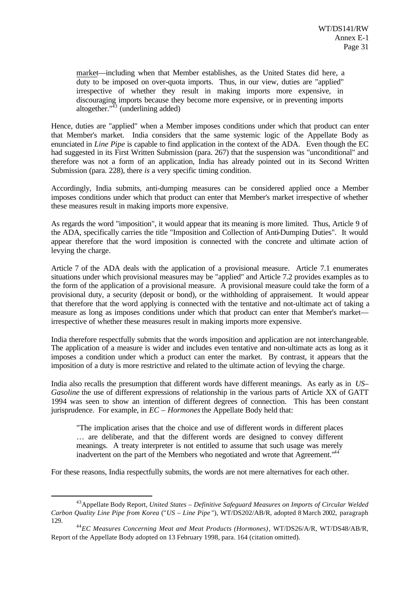market—including when that Member establishes, as the United States did here, a duty to be imposed on over-quota imports. Thus, in our view, duties are "applied" irrespective of whether they result in making imports more expensive, in discouraging imports because they become more expensive, or in preventing imports altogether." $43$  (underlining added)

Hence, duties are "applied" when a Member imposes conditions under which that product can enter that Member's market. India considers that the same systemic logic of the Appellate Body as enunciated in *Line Pipe* is capable to find application in the context of the ADA. Even though the EC had suggested in its First Written Submission (para. 267) that the suspension was "unconditional" and therefore was not a form of an application, India has already pointed out in its Second Written Submission (para. 228), there *is* a very specific timing condition.

Accordingly, India submits, anti-dumping measures can be considered applied once a Member imposes conditions under which that product can enter that Member's market irrespective of whether these measures result in making imports more expensive.

As regards the word "imposition", it would appear that its meaning is more limited. Thus, Article 9 of the ADA, specifically carries the title "Imposition and Collection of Anti-Dumping Duties". It would appear therefore that the word imposition is connected with the concrete and ultimate action of levying the charge.

Article 7 of the ADA deals with the application of a provisional measure. Article 7.1 enumerates situations under which provisional measures may be "applied" and Article 7.2 provides examples as to the form of the application of a provisional measure. A provisional measure could take the form of a provisional duty, a security (deposit or bond), or the withholding of appraisement. It would appear that therefore that the word applying is connected with the tentative and not-ultimate act of taking a measure as long as imposes conditions under which that product can enter that Member's market irrespective of whether these measures result in making imports more expensive.

India therefore respectfully submits that the words imposition and application are not interchangeable. The application of a measure is wider and includes even tentative and non-ultimate acts as long as it imposes a condition under which a product can enter the market. By contrast, it appears that the imposition of a duty is more restrictive and related to the ultimate action of levying the charge.

India also recalls the presumption that different words have different meanings. As early as in *US– Gasoline* the use of different expressions of relationship in the various parts of Article XX of GATT 1994 was seen to show an intention of different degrees of connection. This has been constant jurisprudence. For example, in *EC* – *Hormones* the Appellate Body held that:

"The implication arises that the choice and use of different words in different places … are deliberate, and that the different words are designed to convey different meanings. A treaty interpreter is not entitled to assume that such usage was merely inadvertent on the part of the Members who negotiated and wrote that Agreement."<sup>44</sup>

For these reasons, India respectfully submits, the words are not mere alternatives for each other.

<sup>43</sup>Appellate Body Report, *United States – Definitive Safeguard Measures on Imports of Circular Welded Carbon Quality Line Pipe from Korea* ("*US – Line Pipe* "), WT/DS202/AB/R, adopted 8 March 2002, paragraph 129.

<sup>44</sup>*EC Measures Concerning Meat and Meat Products (Hormones)*, WT/DS26/A/R, WT/DS48/AB/R, Report of the Appellate Body adopted on 13 February 1998, para. 164 (citation omitted).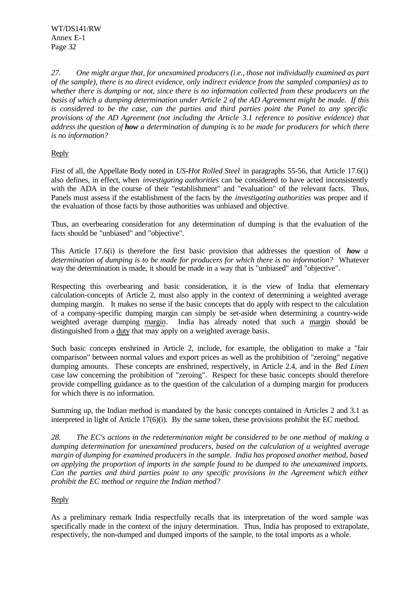*27. One might argue that, for unexamined producers (i.e., those not individually examined as part of the sample), there is no direct evidence, only indirect evidence from the sampled companies) as to whether there is dumping or not, since there is no information collected from these producers on the basis of which a dumping determination under Article 2 of the AD Agreement might be made. If this is considered to be the case, can the parties and third parties point the Panel to any specific provisions of the AD Agreement (not including the Article 3.1 reference to positive evidence) that address the question of how a determination of dumping is to be made for producers for which there is no information?*

#### Reply

First of all, the Appellate Body noted in *US-Hot Rolled Steel* in paragraphs 55-56, that Article 17.6(i) also defines, in effect, when *investigating authorities* can be considered to have acted inconsistently with the ADA in the course of their "establishment" and "evaluation" of the relevant facts. Thus, Panels must assess if the establishment of the facts by the *investigating authorities* was proper and if the evaluation of those facts by those authorities was unbiased and objective.

Thus, an overbearing consideration for any determination of dumping is that the evaluation of the facts should be "unbiased" and "objective".

This Article 17.6(i) is therefore the first basic provision that addresses the question of *how a determination of dumping is to be made for producers for which there is no information?* Whatever way the determination is made, it should be made in a way that is "unbiased" and "objective".

Respecting this overbearing and basic consideration, it is the view of India that elementary calculation-concepts of Article 2, must also apply in the context of determining a weighted average dumping margin. It makes no sense if the basic concepts that do apply with respect to the calculation of a company-specific dumping margin can simply be set-aside when determining a country-wide weighted average dumping margin. India has already noted that such a margin should be distinguished from a duty that may apply on a weighted average basis.

Such basic concepts enshrined in Article 2, include, for example, the obligation to make a "fair comparison" between normal values and export prices as well as the prohibition of "zeroing" negative dumping amounts. These concepts are enshrined, respectively, in Article 2.4, and in the *Bed Linen* case law concerning the prohibition of "zeroing". Respect for these basic concepts should therefore provide compelling guidance as to the question of the calculation of a dumping margin for producers for which there is no information.

Summing up, the Indian method is mandated by the basic concepts contained in Articles 2 and 3.1 as interpreted in light of Article 17(6)(i). By the same token, these provisions prohibit the EC method.

*28. The EC's actions in the redetermination might be considered to be one method of making a dumping determination for unexamined producers, based on the calculation of a weighted average margin of dumping for examined producers in the sample. India has proposed another method, based on applying the proportion of imports in the sample found to be dumped to the unexamined imports. Can the parties and third parties point to any specific provisions in the Agreement which either prohibit the EC method or require the Indian method?*

#### Reply

As a preliminary remark India respectfully recalls that its interpretation of the word sample was specifically made in the context of the injury determination. Thus, India has proposed to extrapolate, respectively, the non-dumped and dumped imports of the sample, to the total imports as a whole.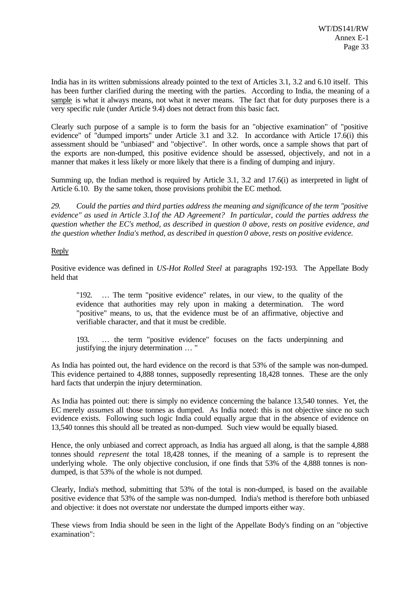India has in its written submissions already pointed to the text of Articles 3.1, 3.2 and 6.10 itself. This has been further clarified during the meeting with the parties. According to India, the meaning of a sample is what it always means, not what it never means. The fact that for duty purposes there is a very specific rule (under Article 9.4) does not detract from this basic fact.

Clearly such purpose of a sample is to form the basis for an "objective examination" of "positive evidence" of "dumped imports" under Article 3.1 and 3.2. In accordance with Article 17.6(i) this assessment should be "unbiased" and "objective". In other words, once a sample shows that part of the exports are non-dumped, this positive evidence should be assessed, objectively, and not in a manner that makes it less likely or more likely that there is a finding of dumping and injury.

Summing up, the Indian method is required by Article 3.1, 3.2 and 17.6(i) as interpreted in light of Article 6.10. By the same token, those provisions prohibit the EC method.

*29. Could the parties and third parties address the meaning and significance of the term "positive evidence" as used in Article 3.1of the AD Agreement? In particular, could the parties address the question whether the EC's method, as described in question 0 above, rests on positive evidence, and the question whether India's method, as described in question 0 above, rests on positive evidence.*

#### Reply

Positive evidence was defined in *US-Hot Rolled Steel* at paragraphs 192-193. The Appellate Body held that

"192. … The term "positive evidence" relates, in our view, to the quality of the evidence that authorities may rely upon in making a determination. The word "positive" means, to us, that the evidence must be of an affirmative, objective and verifiable character, and that it must be credible.

193. … the term "positive evidence" focuses on the facts underpinning and justifying the injury determination … "

As India has pointed out, the hard evidence on the record is that 53% of the sample was non-dumped. This evidence pertained to 4,888 tonnes, supposedly representing 18,428 tonnes. These are the only hard facts that underpin the injury determination.

As India has pointed out: there is simply no evidence concerning the balance 13,540 tonnes. Yet, the EC merely *assumes* all those tonnes as dumped. As India noted: this is not objective since no such evidence exists. Following such logic India could equally argue that in the absence of evidence on 13,540 tonnes this should all be treated as non-dumped. Such view would be equally biased.

Hence, the only unbiased and correct approach, as India has argued all along, is that the sample 4,888 tonnes should *represent* the total 18,428 tonnes, if the meaning of a sample is to represent the underlying whole. The only objective conclusion, if one finds that 53% of the 4,888 tonnes is nondumped, is that 53% of the whole is not dumped.

Clearly, India's method, submitting that 53% of the total is non-dumped, is based on the available positive evidence that 53% of the sample was non-dumped. India's method is therefore both unbiased and objective: it does not overstate nor understate the dumped imports either way.

These views from India should be seen in the light of the Appellate Body's finding on an "objective examination":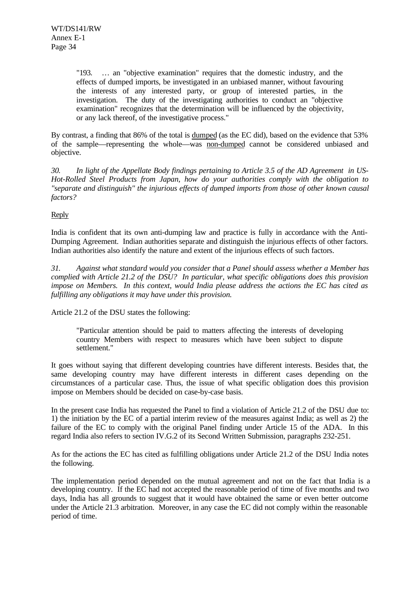"193. … an "objective examination" requires that the domestic industry, and the effects of dumped imports, be investigated in an unbiased manner, without favouring the interests of any interested party, or group of interested parties, in the investigation. The duty of the investigating authorities to conduct an "objective examination" recognizes that the determination will be influenced by the objectivity, or any lack thereof, of the investigative process."

By contrast, a finding that 86% of the total is dumped (as the EC did), based on the evidence that 53% of the sample—representing the whole—was non-dumped cannot be considered unbiased and objective.

*30. In light of the Appellate Body findings pertaining to Article 3.5 of the AD Agreement in US-Hot-Rolled Steel Products from Japan, how do your authorities comply with the obligation to "separate and distinguish" the injurious effects of dumped imports from those of other known causal factors?*

#### Reply

India is confident that its own anti-dumping law and practice is fully in accordance with the Anti-Dumping Agreement. Indian authorities separate and distinguish the injurious effects of other factors. Indian authorities also identify the nature and extent of the injurious effects of such factors.

*31. Against what standard would you consider that a Panel should assess whether a Member has complied with Article 21.2 of the DSU? In particular, what specific obligations does this provision impose on Members. In this context, would India please address the actions the EC has cited as fulfilling any obligations it may have under this provision.*

Article 21.2 of the DSU states the following:

"Particular attention should be paid to matters affecting the interests of developing country Members with respect to measures which have been subject to dispute settlement."

It goes without saying that different developing countries have different interests. Besides that, the same developing country may have different interests in different cases depending on the circumstances of a particular case. Thus, the issue of what specific obligation does this provision impose on Members should be decided on case-by-case basis.

In the present case India has requested the Panel to find a violation of Article 21.2 of the DSU due to: 1) the initiation by the EC of a partial interim review of the measures against India; as well as 2) the failure of the EC to comply with the original Panel finding under Article 15 of the ADA. In this regard India also refers to section IV.G.2 of its Second Written Submission, paragraphs 232-251.

As for the actions the EC has cited as fulfilling obligations under Article 21.2 of the DSU India notes the following.

The implementation period depended on the mutual agreement and not on the fact that India is a developing country. If the EC had not accepted the reasonable period of time of five months and two days, India has all grounds to suggest that it would have obtained the same or even better outcome under the Article 21.3 arbitration. Moreover, in any case the EC did not comply within the reasonable period of time.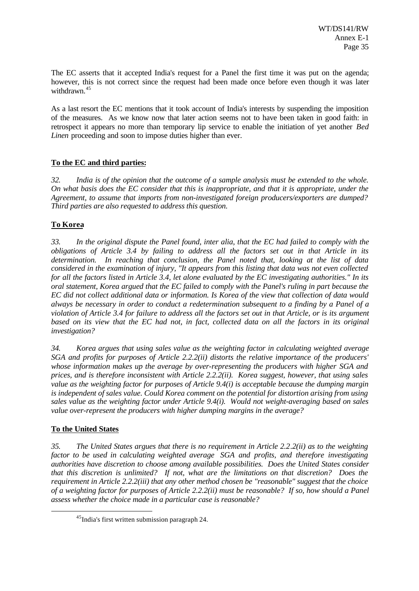The EC asserts that it accepted India's request for a Panel the first time it was put on the agenda; however, this is not correct since the request had been made once before even though it was later withdrawn.<sup>45</sup>

As a last resort the EC mentions that it took account of India's interests by suspending the imposition of the measures. As we know now that later action seems not to have been taken in good faith: in retrospect it appears no more than temporary lip service to enable the initiation of yet another *Bed Linen* proceeding and soon to impose duties higher than ever.

### **To the EC and third parties:**

*32. India is of the opinion that the outcome of a sample analysis must be extended to the whole. On what basis does the EC consider that this is inappropriate, and that it is appropriate, under the Agreement, to assume that imports from non-investigated foreign producers/exporters are dumped? Third parties are also requested to address this question.*

### **To Korea**

*33. In the original dispute the Panel found, inter alia, that the EC had failed to comply with the obligations of Article 3.4 by failing to address all the factors set out in that Article in its determination. In reaching that conclusion, the Panel noted that, looking at the list of data considered in the examination of injury, "It appears from this listing that data was not even collected for all the factors listed in Article 3.4, let alone evaluated by the EC investigating authorities." In its oral statement, Korea argued that the EC failed to comply with the Panel's ruling in part because the EC did not collect additional data or information. Is Korea of the view that collection of data would always be necessary in order to conduct a redetermination subsequent to a finding by a Panel of a violation of Article 3.4 for failure to address all the factors set out in that Article, or is its argument based on its view that the EC had not, in fact, collected data on all the factors in its original investigation?*

*34. Korea argues that using sales value as the weighting factor in calculating weighted average SGA and profits for purposes of Article 2.2.2(ii) distorts the relative importance of the producers' whose information makes up the average by over-representing the producers with higher SGA and prices, and is therefore inconsistent with Article 2.2.2(ii). Korea suggest, however, that using sales value as the weighting factor for purposes of Article 9.4(i) is acceptable because the dumping margin is independent of sales value. Could Korea comment on the potential for distortion arising from using sales value as the weighting factor under Article 9.4(i). Would not weight-averaging based on sales value over-represent the producers with higher dumping margins in the average?*

#### **To the United States**

l

*35. The United States argues that there is no requirement in Article 2.2.2(ii) as to the weighting factor to be used in calculating weighted average SGA and profits, and therefore investigating authorities have discretion to choose among available possibilities. Does the United States consider that this discretion is unlimited? If not, what are the limitations on that discretion? Does the requirement in Article 2.2.2(iii) that any other method chosen be "reasonable" suggest that the choice of a weighting factor for purposes of Article 2.2.2(ii) must be reasonable? If so, how should a Panel assess whether the choice made in a particular case is reasonable?*

<sup>45</sup>India's first written submission paragraph 24.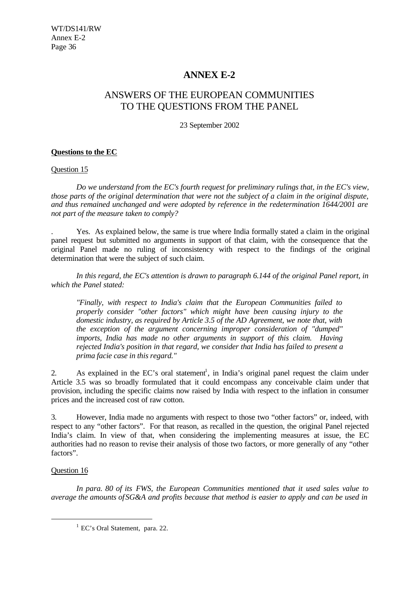### **ANNEX E-2**

### ANSWERS OF THE EUROPEAN COMMUNITIES TO THE QUESTIONS FROM THE PANEL

23 September 2002

#### **Questions to the EC**

#### Question 15

*Do we understand from the EC's fourth request for preliminary rulings that, in the EC's view, those parts of the original determination that were not the subject of a claim in the original dispute, and thus remained unchanged and were adopted by reference in the redetermination 1644/2001 are not part of the measure taken to comply?*

. Yes. As explained below, the same is true where India formally stated a claim in the original panel request but submitted no arguments in support of that claim, with the consequence that the original Panel made no ruling of inconsistency with respect to the findings of the original determination that were the subject of such claim.

*In this regard, the EC's attention is drawn to paragraph 6.144 of the original Panel report, in which the Panel stated:*

*"Finally, with respect to India's claim that the European Communities failed to properly consider "other factors" which might have been causing injury to the domestic industry, as required by Article 3.5 of the AD Agreement, we note that, with the exception of the argument concerning improper consideration of "dumped" imports, India has made no other arguments in support of this claim. Having rejected India's position in that regard, we consider that India has failed to present a prima facie case in this regard."*

2. As explained in the EC's oral statement<sup>1</sup>, in India's original panel request the claim under Article 3.5 was so broadly formulated that it could encompass any conceivable claim under that provision, including the specific claims now raised by India with respect to the inflation in consumer prices and the increased cost of raw cotton.

3. However, India made no arguments with respect to those two "other factors" or, indeed, with respect to any "other factors". For that reason, as recalled in the question, the original Panel rejected India's claim. In view of that, when considering the implementing measures at issue, the EC authorities had no reason to revise their analysis of those two factors, or more generally of any "other factors".

#### Question 16

l

*In para. 80 of its FWS, the European Communities mentioned that it used sales value to average the amounts of SG&A and profits because that method is easier to apply and can be used in*

<sup>&</sup>lt;sup>1</sup> EC's Oral Statement, para. 22.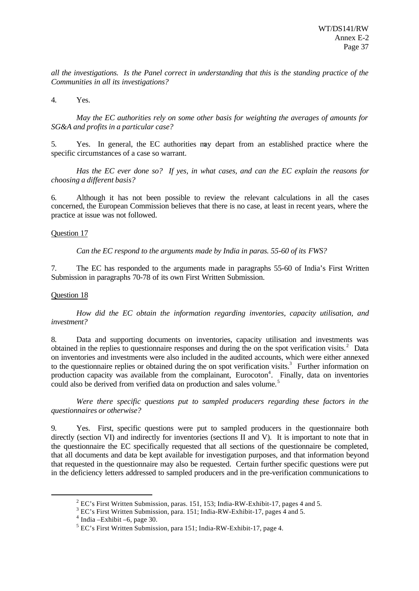*all the investigations. Is the Panel correct in understanding that this is the standing practice of the Communities in all its investigations?*

4. Yes.

*May the EC authorities rely on some other basis for weighting the averages of amounts for SG&A and profits in a particular case?*

5. Yes. In general, the EC authorities may depart from an established practice where the specific circumstances of a case so warrant.

*Has the EC ever done so? If yes, in what cases, and can the EC explain the reasons for choosing a different basis?*

6. Although it has not been possible to review the relevant calculations in all the cases concerned, the European Commission believes that there is no case, at least in recent years, where the practice at issue was not followed.

#### Question 17

*Can the EC respond to the arguments made by India in paras. 55-60 of its FWS?*

7. The EC has responded to the arguments made in paragraphs 55-60 of India's First Written Submission in paragraphs 70-78 of its own First Written Submission.

#### Question 18

l

*How did the EC obtain the information regarding inventories, capacity utilisation, and investment?*

8. Data and supporting documents on inventories, capacity utilisation and investments was obtained in the replies to questionnaire responses and during the on the spot verification visits. $2$  Data on inventories and investments were also included in the audited accounts, which were either annexed to the questionnaire replies or obtained during the on spot verification visits.<sup>3</sup> Further information on production capacity was available from the complainant, Eurocoton<sup>4</sup>. Finally, data on inventories could also be derived from verified data on production and sales volume.<sup>5</sup>

*Were there specific questions put to sampled producers regarding these factors in the questionnaires or otherwise?*

9. Yes. First, specific questions were put to sampled producers in the questionnaire both directly (section VI) and indirectly for inventories (sections II and V). It is important to note that in the questionnaire the EC specifically requested that all sections of the questionnaire be completed, that all documents and data be kept available for investigation purposes, and that information beyond that requested in the questionnaire may also be requested. Certain further specific questions were put in the deficiency letters addressed to sampled producers and in the pre-verification communications to

 $2^2$  EC's First Written Submission, paras. 151, 153; India-RW-Exhibit-17, pages 4 and 5.

<sup>&</sup>lt;sup>3</sup> EC's First Written Submission, para. 151; India-RW-Exhibit-17, pages 4 and 5.

 $4$  India – Exhibit – 6, page 30.

<sup>&</sup>lt;sup>5</sup> EC's First Written Submission, para 151; India-RW-Exhibit-17, page 4.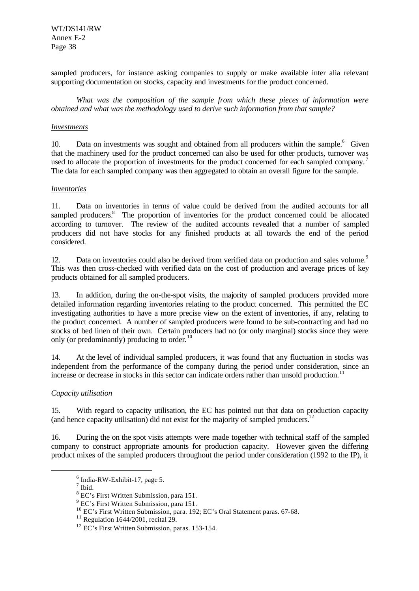WT/DS141/RW Annex E-2 Page 38

sampled producers, for instance asking companies to supply or make available inter alia relevant supporting documentation on stocks, capacity and investments for the product concerned.

*What was the composition of the sample from which these pieces of information were obtained and what was the methodology used to derive such information from that sample?*

#### *Investments*

10. Data on investments was sought and obtained from all producers within the sample.<sup>6</sup> Given that the machinery used for the product concerned can also be used for other products, turnover was used to allocate the proportion of investments for the product concerned for each sampled company.<sup>7</sup> The data for each sampled company was then aggregated to obtain an overall figure for the sample.

#### *Inventories*

11. Data on inventories in terms of value could be derived from the audited accounts for all sampled producers.<sup>8</sup> The proportion of inventories for the product concerned could be allocated according to turnover. The review of the audited accounts revealed that a number of sampled producers did not have stocks for any finished products at all towards the end of the period considered.

12. Data on inventories could also be derived from verified data on production and sales volume.<sup>9</sup> This was then cross-checked with verified data on the cost of production and average prices of key products obtained for all sampled producers.

13. In addition, during the on-the-spot visits, the majority of sampled producers provided more detailed information regarding inventories relating to the product concerned. This permitted the EC investigating authorities to have a more precise view on the extent of inventories, if any, relating to the product concerned. A number of sampled producers were found to be sub-contracting and had no stocks of bed linen of their own. Certain producers had no (or only marginal) stocks since they were only (or predominantly) producing to order.<sup>1</sup>

14. At the level of individual sampled producers, it was found that any fluctuation in stocks was independent from the performance of the company during the period under consideration, since an increase or decrease in stocks in this sector can indicate orders rather than unsold production.<sup>11</sup>

#### *Capacity utilisation*

15. With regard to capacity utilisation, the EC has pointed out that data on production capacity (and hence capacity utilisation) did not exist for the majority of sampled producers.<sup>12</sup>

16. During the on the spot visits attempts were made together with technical staff of the sampled company to construct appropriate amounts for production capacity. However given the differing product mixes of the sampled producers throughout the period under consideration (1992 to the IP), it

 $6$  India-RW-Exhibit-17, page 5.

 $<sup>7</sup>$  Ibid.</sup>

<sup>&</sup>lt;sup>8</sup> EC's First Written Submission, para 151.

<sup>&</sup>lt;sup>9</sup> EC's First Written Submission, para 151.

<sup>10</sup> EC's First Written Submission, para. 192; EC's Oral Statement paras. 67-68.

 $11$  Regulation 1644/2001, recital 29.

<sup>&</sup>lt;sup>12</sup> EC's First Written Submission, paras. 153-154.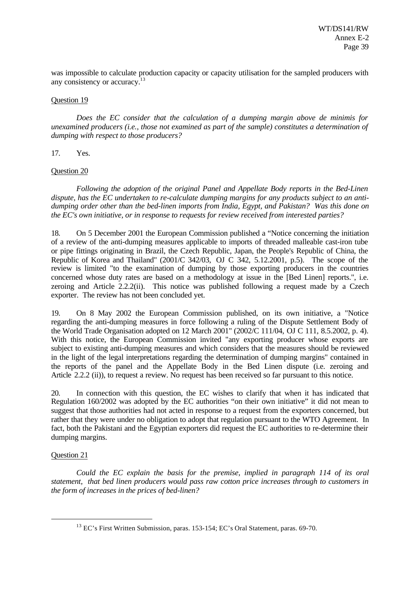was impossible to calculate production capacity or capacity utilisation for the sampled producers with any consistency or accuracy.<sup>13</sup>

#### Question 19

*Does the EC consider that the calculation of a dumping margin above de minimis for unexamined producers (i.e., those not examined as part of the sample) constitutes a determination of dumping with respect to those producers?*

17. Yes.

#### Question 20

*Following the adoption of the original Panel and Appellate Body reports in the Bed-Linen dispute, has the EC undertaken to re-calculate dumping margins for any products subject to an antidumping order other than the bed-linen imports from India, Egypt, and Pakistan? Was this done on the EC's own initiative, or in response to requests for review received from interested parties?*

18. On 5 December 2001 the European Commission published a "Notice concerning the initiation of a review of the anti-dumping measures applicable to imports of threaded malleable cast-iron tube or pipe fittings originating in Brazil, the Czech Republic, Japan, the People's Republic of China, the Republic of Korea and Thailand" (2001/C 342/03, OJ C 342, 5.12.2001, p.5). The scope of the review is limited "to the examination of dumping by those exporting producers in the countries concerned whose duty rates are based on a methodology at issue in the [Bed Linen] reports.", i.e. zeroing and Article 2.2.2(ii). This notice was published following a request made by a Czech exporter. The review has not been concluded yet.

19. On 8 May 2002 the European Commission published, on its own initiative, a "Notice regarding the anti-dumping measures in force following a ruling of the Dispute Settlement Body of the World Trade Organisation adopted on 12 March 2001" (2002/C 111/04, OJ C 111, 8.5.2002, p. 4). With this notice, the European Commission invited "any exporting producer whose exports are subject to existing anti-dumping measures and which considers that the measures should be reviewed in the light of the legal interpretations regarding the determination of dumping margins" contained in the reports of the panel and the Appellate Body in the Bed Linen dispute (i.e. zeroing and Article 2.2.2 (ii)), to request a review. No request has been received so far pursuant to this notice.

20. In connection with this question, the EC wishes to clarify that when it has indicated that Regulation 160/2002 was adopted by the EC authorities "on their own initiative" it did not mean to suggest that those authorities had not acted in response to a request from the exporters concerned, but rather that they were under no obligation to adopt that regulation pursuant to the WTO Agreement. In fact, both the Pakistani and the Egyptian exporters did request the EC authorities to re-determine their dumping margins.

## Question 21

l

*Could the EC explain the basis for the premise, implied in paragraph 114 of its oral statement, that bed linen producers would pass raw cotton price increases through to customers in the form of increases in the prices of bed-linen?*

<sup>13</sup> EC's First Written Submission, paras. 153-154; EC's Oral Statement, paras. 69-70.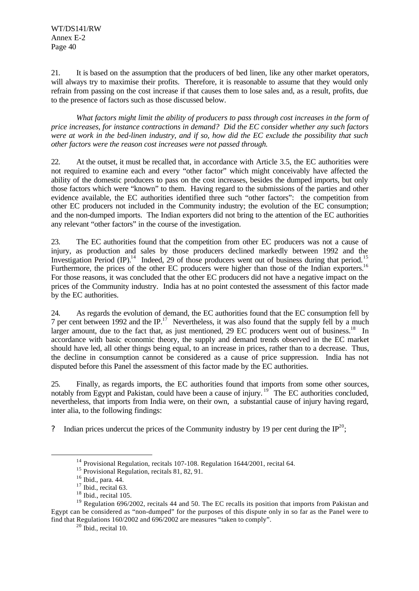WT/DS141/RW Annex E-2 Page 40

21. It is based on the assumption that the producers of bed linen, like any other market operators, will always try to maximise their profits. Therefore, it is reasonable to assume that they would only refrain from passing on the cost increase if that causes them to lose sales and, as a result, profits, due to the presence of factors such as those discussed below.

*What factors might limit the ability of producers to pass through cost increases in the form of price increases, for instance contractions in demand? Did the EC consider whether any such factors were at work in the bed-linen industry, and if so, how did the EC exclude the possibility that such other factors were the reason cost increases were not passed through.*

22. At the outset, it must be recalled that, in accordance with Article 3.5, the EC authorities were not required to examine each and every "other factor" which might conceivably have affected the ability of the domestic producers to pass on the cost increases, besides the dumped imports, but only those factors which were "known" to them. Having regard to the submissions of the parties and other evidence available, the EC authorities identified three such "other factors": the competition from other EC producers not included in the Community industry; the evolution of the EC consumption; and the non-dumped imports. The Indian exporters did not bring to the attention of the EC authorities any relevant "other factors" in the course of the investigation.

23. The EC authorities found that the competition from other EC producers was not a cause of injury, as production and sales by those producers declined markedly between 1992 and the Investigation Period  $^{14}$  Indeed, 29 of those producers went out of business during that period.<sup>15</sup> Furthermore, the prices of the other EC producers were higher than those of the Indian exporters.<sup>16</sup> For those reasons, it was concluded that the other EC producers did not have a negative impact on the prices of the Community industry. India has at no point contested the assessment of this factor made by the EC authorities.

24. As regards the evolution of demand, the EC authorities found that the EC consumption fell by 7 per cent between 1992 and the IP.<sup>17</sup> Nevertheless, it was also found that the supply fell by a much larger amount, due to the fact that, as just mentioned, 29 EC producers went out of business.<sup>18</sup> In accordance with basic economic theory, the supply and demand trends observed in the EC market should have led, all other things being equal, to an increase in prices, rather than to a decrease. Thus, the decline in consumption cannot be considered as a cause of price suppression. India has not disputed before this Panel the assessment of this factor made by the EC authorities.

25. Finally, as regards imports, the EC authorities found that imports from some other sources, notably from Egypt and Pakistan, could have been a cause of injury.<sup>19</sup> The EC authorities concluded, nevertheless, that imports from India were, on their own, a substantial cause of injury having regard, inter alia, to the following findings:

? Indian prices undercut the prices of the Community industry by 19 per cent during the  $IP^{20}$ ;

<sup>&</sup>lt;sup>14</sup> Provisional Regulation, recitals 107-108. Regulation 1644/2001, recital 64.

<sup>&</sup>lt;sup>15</sup> Provisional Regulation, recitals 81, 82, 91.

<sup>16</sup> Ibid., para. 44.

 $17$  Ibid., recital 63.

 $18$  Ibid., recital 105.

<sup>&</sup>lt;sup>19</sup> Regulation 696/2002, recitals 44 and 50. The EC recalls its position that imports from Pakistan and Egypt can be considered as "non-dumped" for the purposes of this dispute only in so far as the Panel were to find that Regulations 160/2002 and 696/2002 are measures "taken to comply".

 $20$  Ibid., recital 10.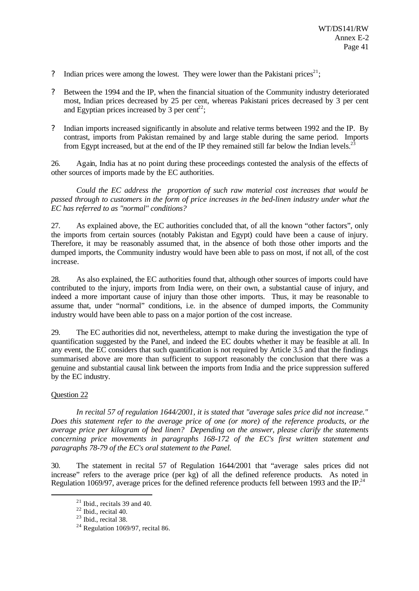- ? Indian prices were among the lowest. They were lower than the Pakistani prices<sup>21</sup>;
- ? Between the 1994 and the IP, when the financial situation of the Community industry deteriorated most, Indian prices decreased by 25 per cent, whereas Pakistani prices decreased by 3 per cent and Egyptian prices increased by 3 per cent<sup>22</sup>;
- ? Indian imports increased significantly in absolute and relative terms between 1992 and the IP. By contrast, imports from Pakistan remained by and large stable during the same period. Imports from Egypt increased, but at the end of the IP they remained still far below the Indian levels.<sup>2</sup>

26. Again, India has at no point during these proceedings contested the analysis of the effects of other sources of imports made by the EC authorities.

*Could the EC address the proportion of such raw material cost increases that would be passed through to customers in the form of price increases in the bed-linen industry under what the EC has referred to as "normal" conditions?*

27. As explained above, the EC authorities concluded that, of all the known "other factors", only the imports from certain sources (notably Pakistan and Egypt) could have been a cause of injury. Therefore, it may be reasonably assumed that, in the absence of both those other imports and the dumped imports, the Community industry would have been able to pass on most, if not all, of the cost increase.

28. As also explained, the EC authorities found that, although other sources of imports could have contributed to the injury, imports from India were, on their own, a substantial cause of injury, and indeed a more important cause of injury than those other imports. Thus, it may be reasonable to assume that, under "normal" conditions, i.e. in the absence of dumped imports, the Community industry would have been able to pass on a major portion of the cost increase.

29. The EC authorities did not, nevertheless, attempt to make during the investigation the type of quantification suggested by the Panel, and indeed the EC doubts whether it may be feasible at all. In any event, the EC considers that such quantification is not required by Article 3.5 and that the findings summarised above are more than sufficient to support reasonably the conclusion that there was a genuine and substantial causal link between the imports from India and the price suppression suffered by the EC industry.

## Question 22

l

*In recital 57 of regulation 1644/2001, it is stated that "average sales price did not increase." Does this statement refer to the average price of one (or more) of the reference products, or the average price per kilogram of bed linen? Depending on the answer, please clarify the statements concerning price movements in paragraphs 168-172 of the EC's first written statement and paragraphs 78-79 of the EC's oral statement to the Panel.*

30. The statement in recital 57 of Regulation 1644/2001 that "average sales prices did not increase" refers to the average price (per kg) of all the defined reference products. As noted in Regulation 1069/97, average prices for the defined reference products fell between 1993 and the IP.<sup>24</sup>

 $21$  Ibid., recitals 39 and 40.

 $22$  Ibid., recital 40.

 $23$  Ibid., recital 38.

 $24$  Regulation 1069/97, recital 86.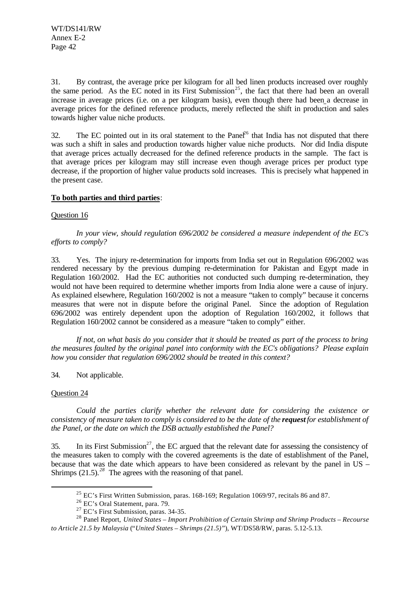31. By contrast, the average price per kilogram for all bed linen products increased over roughly the same period. As the EC noted in its First Submission<sup>25</sup>, the fact that there had been an overall increase in average prices (i.e. on a per kilogram basis), even though there had been a decrease in average prices for the defined reference products, merely reflected the shift in production and sales towards higher value niche products.

32. The EC pointed out in its oral statement to the Pane $\hat{f}^6$  that India has not disputed that there was such a shift in sales and production towards higher value niche products. Nor did India dispute that average prices actually decreased for the defined reference products in the sample. The fact is that average prices per kilogram may still increase even though average prices per product type decrease, if the proportion of higher value products sold increases. This is precisely what happened in the present case.

## **To both parties and third parties**:

## Question 16

*In your view, should regulation 696/2002 be considered a measure independent of the EC's efforts to comply?*

33. Yes. The injury re-determination for imports from India set out in Regulation 696/2002 was rendered necessary by the previous dumping re-determination for Pakistan and Egypt made in Regulation 160/2002. Had the EC authorities not conducted such dumping re-determination, they would not have been required to determine whether imports from India alone were a cause of injury. As explained elsewhere, Regulation 160/2002 is not a measure "taken to comply" because it concerns measures that were not in dispute before the original Panel. Since the adoption of Regulation 696/2002 was entirely dependent upon the adoption of Regulation 160/2002, it follows that Regulation 160/2002 cannot be considered as a measure "taken to comply" either.

*If not, on what basis do you consider that it should be treated as part of the process to bring the measures faulted by the original panel into conformity with the EC's obligations? Please explain how you consider that regulation 696/2002 should be treated in this context?*

# 34. Not applicable.

## Question 24

l

*Could the parties clarify whether the relevant date for considering the existence or consistency of measure taken to comply is considered to be the date of the request for establishment of the Panel, or the date on which the DSB actually established the Panel?*

35. In its First Submission<sup>27</sup>, the EC argued that the relevant date for assessing the consistency of the measures taken to comply with the covered agreements is the date of establishment of the Panel, because that was the date which appears to have been considered as relevant by the panel in US – Shrimps (21.5).<sup>28</sup> The agrees with the reasoning of that panel.

 $^{25}$  EC's First Written Submission, paras. 168-169; Regulation 1069/97, recitals 86 and 87.

<sup>26</sup> EC's Oral Statement, para. 79.

<sup>27</sup> EC's First Submission, paras. 34-35.

<sup>28</sup> Panel Report, *United States – Import Prohibition of Certain Shrimp and Shrimp Products – Recourse to Article 21.5 by Malaysia* ("*United States – Shrimps (21.5)*"), WT/DS58/RW, paras. 5.12-5.13.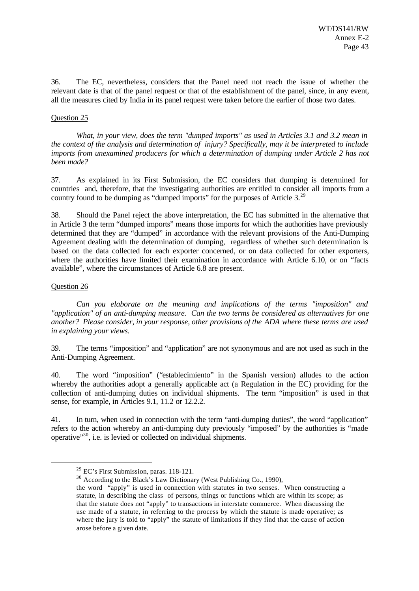36. The EC, nevertheless, considers that the Panel need not reach the issue of whether the relevant date is that of the panel request or that of the establishment of the panel, since, in any event, all the measures cited by India in its panel request were taken before the earlier of those two dates.

## Question 25

*What, in your view, does the term "dumped imports" as used in Articles 3.1 and 3.2 mean in the context of the analysis and determination of injury? Specifically, may it be interpreted to include imports from unexamined producers for which a determination of dumping under Article 2 has not been made?*

37. As explained in its First Submission, the EC considers that dumping is determined for countries and, therefore, that the investigating authorities are entitled to consider all imports from a country found to be dumping as "dumped imports" for the purposes of Article 3. $^{29}$ 

38. Should the Panel reject the above interpretation, the EC has submitted in the alternative that in Article 3 the term "dumped imports" means those imports for which the authorities have previously determined that they are "dumped" in accordance with the relevant provisions of the Anti-Dumping Agreement dealing with the determination of dumping, regardless of whether such determination is based on the data collected for each exporter concerned, or on data collected for other exporters, where the authorities have limited their examination in accordance with Article 6.10, or on "facts available", where the circumstances of Article 6.8 are present.

## Question 26

l

*Can you elaborate on the meaning and implications of the terms "imposition" and "application" of an anti-dumping measure. Can the two terms be considered as alternatives for one another? Please consider, in your response, other provisions of the ADA where these terms are used in explaining your views.*

39. The terms "imposition" and "application" are not synonymous and are not used as such in the Anti-Dumping Agreement.

40. The word "imposition" ("establecimiento" in the Spanish version) alludes to the action whereby the authorities adopt a generally applicable act (a Regulation in the EC) providing for the collection of anti-dumping duties on individual shipments. The term "imposition" is used in that sense, for example, in Articles 9.1, 11.2 or 12.2.2.

41. In turn, when used in connection with the term "anti-dumping duties", the word "application" refers to the action whereby an anti-dumping duty previously "imposed" by the authorities is "made operative"<sup>30</sup>, i.e. is levied or collected on individual shipments.

<sup>30</sup> According to the Black's Law Dictionary (West Publishing Co., 1990),

 $29$  EC's First Submission, paras. 118-121.

the word "apply" is used in connection with statutes in two senses. When constructing a statute, in describing the class of persons, things or functions which are within its scope; as that the statute does not "apply" to transactions in interstate commerce. When discussing the use made of a statute, in referring to the process by which the statute is made operative; as where the jury is told to "apply" the statute of limitations if they find that the cause of action arose before a given date.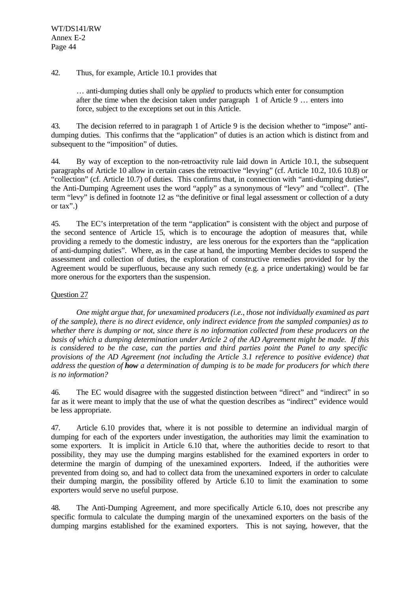## 42. Thus, for example, Article 10.1 provides that

… anti-dumping duties shall only be *applied* to products which enter for consumption after the time when the decision taken under paragraph 1 of Article 9 … enters into force, subject to the exceptions set out in this Article.

43. The decision referred to in paragraph 1 of Article 9 is the decision whether to "impose" antidumping duties. This confirms that the "application" of duties is an action which is distinct from and subsequent to the "imposition" of duties.

44. By way of exception to the non-retroactivity rule laid down in Article 10.1, the subsequent paragraphs of Article 10 allow in certain cases the retroactive "levying" (cf. Article 10.2, 10.6 10.8) or "collection" (cf. Article 10.7) of duties. This confirms that, in connection with "anti-dumping duties", the Anti-Dumping Agreement uses the word "apply" as a synonymous of "levy" and "collect". (The term "levy" is defined in footnote 12 as "the definitive or final legal assessment or collection of a duty or tax".)

45. The EC's interpretation of the term "application" is consistent with the object and purpose of the second sentence of Article 15, which is to encourage the adoption of measures that, while providing a remedy to the domestic industry, are less onerous for the exporters than the "application of anti-dumping duties". Where, as in the case at hand, the importing Member decides to suspend the assessment and collection of duties, the exploration of constructive remedies provided for by the Agreement would be superfluous, because any such remedy (e.g. a price undertaking) would be far more onerous for the exporters than the suspension.

## Question 27

*One might argue that, for unexamined producers (i.e., those not individually examined as part of the sample), there is no direct evidence, only indirect evidence from the sampled companies) as to whether there is dumping or not, since there is no information collected from these producers on the basis of which a dumping determination under Article 2 of the AD Agreement might be made. If this is considered to be the case, can the parties and third parties point the Panel to any specific provisions of the AD Agreement (not including the Article 3.1 reference to positive evidence) that address the question of how a determination of dumping is to be made for producers for which there is no information?*

46. The EC would disagree with the suggested distinction between "direct" and "indirect" in so far as it were meant to imply that the use of what the question describes as "indirect" evidence would be less appropriate.

47. Article 6.10 provides that, where it is not possible to determine an individual margin of dumping for each of the exporters under investigation, the authorities may limit the examination to some exporters. It is implicit in Article 6.10 that, where the authorities decide to resort to that possibility, they may use the dumping margins established for the examined exporters in order to determine the margin of dumping of the unexamined exporters. Indeed, if the authorities were prevented from doing so, and had to collect data from the unexamined exporters in order to calculate their dumping margin, the possibility offered by Article 6.10 to limit the examination to some exporters would serve no useful purpose.

48. The Anti-Dumping Agreement, and more specifically Article 6.10, does not prescribe any specific formula to calculate the dumping margin of the unexamined exporters on the basis of the dumping margins established for the examined exporters. This is not saying, however, that the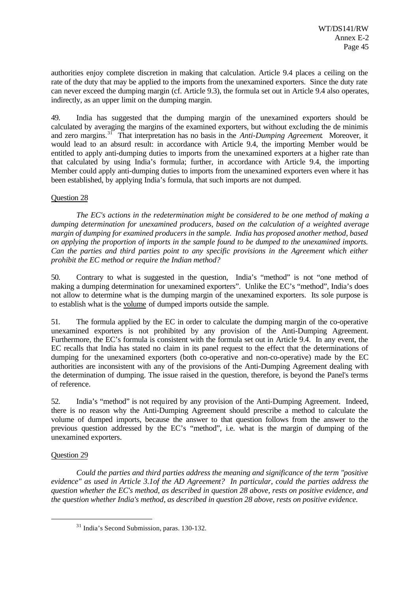authorities enjoy complete discretion in making that calculation. Article 9.4 places a ceiling on the rate of the duty that may be applied to the imports from the unexamined exporters. Since the duty rate can never exceed the dumping margin (cf. Article 9.3), the formula set out in Article 9.4 also operates, indirectly, as an upper limit on the dumping margin.

49. India has suggested that the dumping margin of the unexamined exporters should be calculated by averaging the margins of the examined exporters, but without excluding the de minimis and zero margins.<sup>31</sup> That interpretation has no basis in the *Anti-Dumping Agreement*. Moreover, it would lead to an absurd result: in accordance with Article 9.4, the importing Member would be entitled to apply anti-dumping duties to imports from the unexamined exporters at a higher rate than that calculated by using India's formula; further, in accordance with Article 9.4, the importing Member could apply anti-dumping duties to imports from the unexamined exporters even where it has been established, by applying India's formula, that such imports are not dumped.

## Question 28

*The EC's actions in the redetermination might be considered to be one method of making a dumping determination for unexamined producers, based on the calculation of a weighted average margin of dumping for examined producers in the sample. India has proposed another method, based on applying the proportion of imports in the sample found to be dumped to the unexamined imports. Can the parties and third parties point to any specific provisions in the Agreement which either prohibit the EC method or require the Indian method?*

50. Contrary to what is suggested in the question, India's "method" is not "one method of making a dumping determination for unexamined exporters". Unlike the EC's "method", India's does not allow to determine what is the dumping margin of the unexamined exporters. Its sole purpose is to establish what is the volume of dumped imports outside the sample.

51. The formula applied by the EC in order to calculate the dumping margin of the co-operative unexamined exporters is not prohibited by any provision of the Anti-Dumping Agreement. Furthermore, the EC's formula is consistent with the formula set out in Article 9.4. In any event, the EC recalls that India has stated no claim in its panel request to the effect that the determinations of dumping for the unexamined exporters (both co-operative and non-co-operative) made by the EC authorities are inconsistent with any of the provisions of the Anti-Dumping Agreement dealing with the determination of dumping. The issue raised in the question, therefore, is beyond the Panel's terms of reference.

52. India's "method" is not required by any provision of the Anti-Dumping Agreement. Indeed, there is no reason why the Anti-Dumping Agreement should prescribe a method to calculate the volume of dumped imports, because the answer to that question follows from the answer to the previous question addressed by the EC's "method", i.e. what is the margin of dumping of the unexamined exporters.

# Question 29

l

*Could the parties and third parties address the meaning and significance of the term "positive evidence" as used in Article 3.1of the AD Agreement? In particular, could the parties address the question whether the EC's method, as described in question 28 above, rests on positive evidence, and the question whether India's method, as described in question 28 above, rests on positive evidence.*

<sup>31</sup> India's Second Submission, paras. 130-132.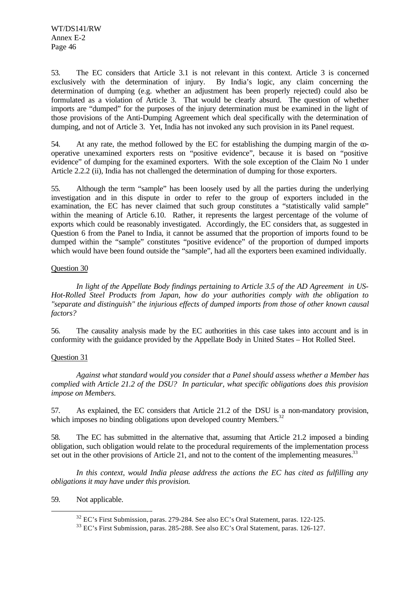WT/DS141/RW Annex E-2 Page 46

53. The EC considers that Article 3.1 is not relevant in this context. Article 3 is concerned exclusively with the determination of injury. By India's logic, any claim concerning the determination of dumping (e.g. whether an adjustment has been properly rejected) could also be formulated as a violation of Article 3. That would be clearly absurd. The question of whether imports are "dumped" for the purposes of the injury determination must be examined in the light of those provisions of the Anti-Dumping Agreement which deal specifically with the determination of dumping, and not of Article 3. Yet, India has not invoked any such provision in its Panel request.

54. At any rate, the method followed by the EC for establishing the dumping margin of the cooperative unexamined exporters rests on "positive evidence", because it is based on "positive evidence" of dumping for the examined exporters. With the sole exception of the Claim No 1 under Article 2.2.2 (ii), India has not challenged the determination of dumping for those exporters.

55. Although the term "sample" has been loosely used by all the parties during the underlying investigation and in this dispute in order to refer to the group of exporters included in the examination, the EC has never claimed that such group constitutes a "statistically valid sample" within the meaning of Article 6.10. Rather, it represents the largest percentage of the volume of exports which could be reasonably investigated. Accordingly, the EC considers that, as suggested in Question 6 from the Panel to India, it cannot be assumed that the proportion of imports found to be dumped within the "sample" constitutes "positive evidence" of the proportion of dumped imports which would have been found outside the "sample", had all the exporters been examined individually.

## Question 30

*In light of the Appellate Body findings pertaining to Article 3.5 of the AD Agreement in US-Hot-Rolled Steel Products from Japan, how do your authorities comply with the obligation to "separate and distinguish" the injurious effects of dumped imports from those of other known causal factors?*

56. The causality analysis made by the EC authorities in this case takes into account and is in conformity with the guidance provided by the Appellate Body in United States – Hot Rolled Steel.

## Question 31

*Against what standard would you consider that a Panel should assess whether a Member has complied with Article 21.2 of the DSU? In particular, what specific obligations does this provision impose on Members.*

57. As explained, the EC considers that Article 21.2 of the DSU is a non-mandatory provision, which imposes no binding obligations upon developed country Members.<sup>32</sup>

58. The EC has submitted in the alternative that, assuming that Article 21.2 imposed a binding obligation, such obligation would relate to the procedural requirements of the implementation process set out in the other provisions of Article 21, and not to the content of the implementing measures.<sup>33</sup>

*In this context, would India please address the actions the EC has cited as fulfilling any obligations it may have under this provision.*

59. Not applicable.

<sup>32</sup> EC's First Submission, paras. 279-284. See also EC's Oral Statement, paras. 122-125.

<sup>33</sup> EC's First Submission, paras. 285-288. See also EC's Oral Statement, paras. 126-127.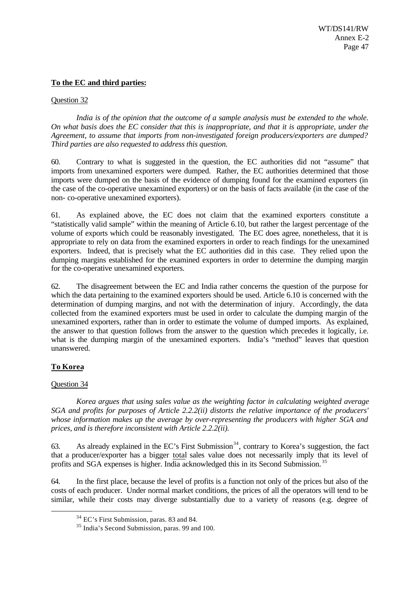## **To the EC and third parties:**

## Question 32

*India is of the opinion that the outcome of a sample analysis must be extended to the whole. On what basis does the EC consider that this is inappropriate, and that it is appropriate, under the Agreement, to assume that imports from non-investigated foreign producers/exporters are dumped? Third parties are also requested to address this question.*

60. Contrary to what is suggested in the question, the EC authorities did not "assume" that imports from unexamined exporters were dumped. Rather, the EC authorities determined that those imports were dumped on the basis of the evidence of dumping found for the examined exporters (in the case of the co-operative unexamined exporters) or on the basis of facts available (in the case of the non- co-operative unexamined exporters).

61. As explained above, the EC does not claim that the examined exporters constitute a "statistically valid sample" within the meaning of Article 6.10, but rather the largest percentage of the volume of exports which could be reasonably investigated. The EC does agree, nonetheless, that it is appropriate to rely on data from the examined exporters in order to reach findings for the unexamined exporters. Indeed, that is precisely what the EC authorities did in this case. They relied upon the dumping margins established for the examined exporters in order to determine the dumping margin for the co-operative unexamined exporters.

62. The disagreement between the EC and India rather concerns the question of the purpose for which the data pertaining to the examined exporters should be used. Article 6.10 is concerned with the determination of dumping margins, and not with the determination of injury. Accordingly, the data collected from the examined exporters must be used in order to calculate the dumping margin of the unexamined exporters, rather than in order to estimate the volume of dumped imports. As explained, the answer to that question follows from the answer to the question which precedes it logically, i.e. what is the dumping margin of the unexamined exporters. India's "method" leaves that question unanswered.

# **To Korea**

# Question 34

l

*Korea argues that using sales value as the weighting factor in calculating weighted average SGA and profits for purposes of Article 2.2.2(ii) distorts the relative importance of the producers' whose information makes up the average by over-representing the producers with higher SGA and prices, and is therefore inconsistent with Article 2.2.2(ii).*

63. As already explained in the EC's First Submission<sup>34</sup>, contrary to Korea's suggestion, the fact that a producer/exporter has a bigger total sales value does not necessarily imply that its level of profits and SGA expenses is higher. India acknowledged this in its Second Submission. <sup>35</sup>

64. In the first place, because the level of profits is a function not only of the prices but also of the costs of each producer. Under normal market conditions, the prices of all the operators will tend to be similar, while their costs may diverge substantially due to a variety of reasons (e.g. degree of

<sup>34</sup> EC's First Submission, paras. 83 and 84.

<sup>35</sup> India's Second Submission, paras. 99 and 100.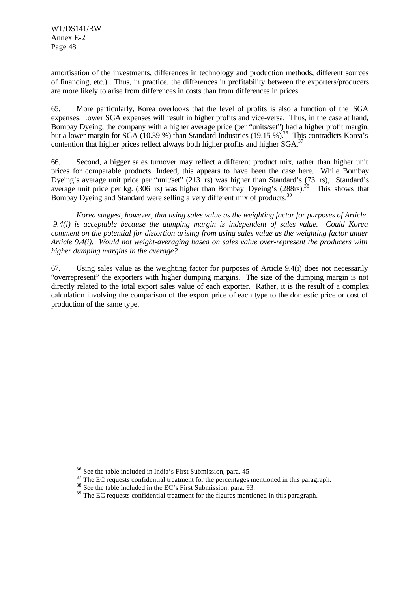l

amortisation of the investments, differences in technology and production methods, different sources of financing, etc.). Thus, in practice, the differences in profitability between the exporters/producers are more likely to arise from differences in costs than from differences in prices.

65. More particularly, Korea overlooks that the level of profits is also a function of the SGA expenses. Lower SGA expenses will result in higher profits and vice-versa. Thus, in the case at hand, Bombay Dyeing, the company with a higher average price (per "units/set") had a higher profit margin, but a lower margin for  $SGA (10.39%)$  than Standard Industries  $(19.15%)^{36}$  This contradicts Korea's contention that higher prices reflect always both higher profits and higher SGA.<sup>37</sup>

66. Second, a bigger sales turnover may reflect a different product mix, rather than higher unit prices for comparable products. Indeed, this appears to have been the case here. While Bombay Dyeing's average unit price per "unit/set" (213 rs) was higher than Standard's (73 rs), Standard's average unit price per kg.  $(306 \text{ rs})$  was higher than Bombay Dyeing's  $(288 \text{ rs})^3$ <sup>38</sup> This shows that Bombay Dyeing and Standard were selling a very different mix of products.<sup>39</sup>

*Korea suggest, however, that using sales value as the weighting factor for purposes of Article 9.4(i) is acceptable because the dumping margin is independent of sales value. Could Korea comment on the potential for distortion arising from using sales value as the weighting factor under Article 9.4(i). Would not weight-averaging based on sales value over-represent the producers with higher dumping margins in the average?*

67. Using sales value as the weighting factor for purposes of Article 9.4(i) does not necessarily "overrepresent" the exporters with higher dumping margins. The size of the dumping margin is not directly related to the total export sales value of each exporter. Rather, it is the result of a complex calculation involving the comparison of the export price of each type to the domestic price or cost of production of the same type.

<sup>36</sup> See the table included in India's First Submission, para. 45

 $37$  The EC requests confidential treatment for the percentages mentioned in this paragraph.

<sup>&</sup>lt;sup>38</sup> See the table included in the EC's First Submission, para. 93.

<sup>&</sup>lt;sup>39</sup> The EC requests confidential treatment for the figures mentioned in this paragraph.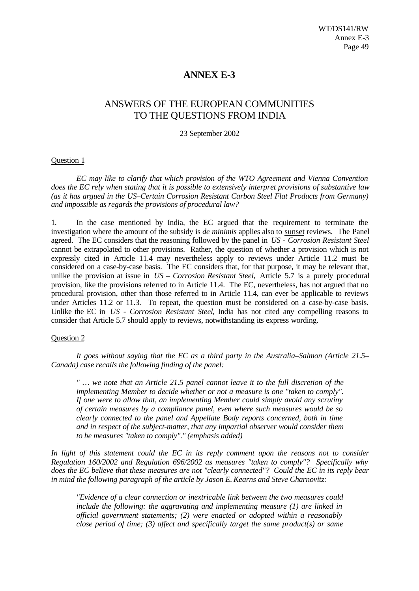# **ANNEX E-3**

# ANSWERS OF THE EUROPEAN COMMUNITIES TO THE QUESTIONS FROM INDIA

#### 23 September 2002

## Question 1

*EC may like to clarify that which provision of the WTO Agreement and Vienna Convention does the EC rely when stating that it is possible to extensively interpret provisions of substantive law (as it has argued in the US–Certain Corrosion Resistant Carbon Steel Flat Products from Germany) and impossible as regards the provisions of procedural law?*

1. In the case mentioned by India, the EC argued that the requirement to terminate the investigation where the amount of the subsidy is *de minimis* applies also to sunset reviews. The Panel agreed. The EC considers that the reasoning followed by the panel in *US - Corrosion Resistant Steel* cannot be extrapolated to other provisions. Rather, the question of whether a provision which is not expressly cited in Article 11.4 may nevertheless apply to reviews under Article 11.2 must be considered on a case-by-case basis. The EC considers that, for that purpose, it may be relevant that, unlike the provision at issue in *US – Corrosion Resistant Steel,* Article 5.7 is a purely procedural provision, like the provisions referred to in Article 11.4. The EC, nevertheless, has not argued that no procedural provision, other than those referred to in Article 11.4, can ever be applicable to reviews under Articles 11.2 or 11.3. To repeat, the question must be considered on a case-by-case basis. Unlike the EC in *US - Corrosion Resistant Steel*, India has not cited any compelling reasons to consider that Article 5.7 should apply to reviews, notwithstanding its express wording.

#### Question 2

*It goes without saying that the EC as a third party in the Australia–Salmon (Article 21.5– Canada) case recalls the following finding of the panel:*

*" … we note that an Article 21.5 panel cannot leave it to the full discretion of the implementing Member to decide whether or not a measure is one "taken to comply". If one were to allow that, an implementing Member could simply avoid any scrutiny of certain measures by a compliance panel, even where such measures would be so clearly connected to the panel and Appellate Body reports concerned, both in time and in respect of the subject-matter, that any impartial observer would consider them to be measures "taken to comply"." (emphasis added)*

*In light of this statement could the EC in its reply comment upon the reasons not to consider Regulation 160/2002 and Regulation 696/2002 as measures "taken to comply"? Specifically why does the EC believe that these measures are not "clearly connected"? Could the EC in its reply bear in mind the following paragraph of the article by Jason E. Kearns and Steve Charnovitz:*

*"Evidence of a clear connection or inextricable link between the two measures could include the following: the aggravating and implementing measure (1) are linked in official government statements; (2) were enacted or adopted within a reasonably close period of time; (3) affect and specifically target the same product(s) or same*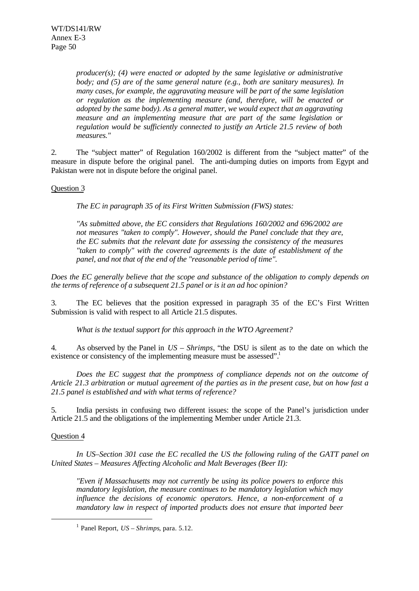*producer(s); (4) were enacted or adopted by the same legislative or administrative body; and (5) are of the same general nature (e.g., both are sanitary measures). In many cases, for example, the aggravating measure will be part of the same legislation or regulation as the implementing measure (and, therefore, will be enacted or adopted by the same body). As a general matter, we would expect that an aggravating measure and an implementing measure that are part of the same legislation or regulation would be sufficiently connected to justify an Article 21.5 review of both measures."*

2. The "subject matter" of Regulation 160/2002 is different from the "subject matter" of the measure in dispute before the original panel. The anti-dumping duties on imports from Egypt and Pakistan were not in dispute before the original panel.

## Question 3

*The EC in paragraph 35 of its First Written Submission (FWS) states:*

*"As submitted above, the EC considers that Regulations 160/2002 and 696/2002 are not measures "taken to comply". However, should the Panel conclude that they are, the EC submits that the relevant date for assessing the consistency of the measures "taken to comply" with the covered agreements is the date of establishment of the panel, and not that of the end of the "reasonable period of time".*

*Does the EC generally believe that the scope and substance of the obligation to comply depends on the terms of reference of a subsequent 21.5 panel or is it an ad hoc opinion?*

3. The EC believes that the position expressed in paragraph 35 of the EC's First Written Submission is valid with respect to all Article 21.5 disputes.

*What is the textual support for this approach in the WTO Agreement?*

4. As observed by the Panel in *US – Shrimps*, "the DSU is silent as to the date on which the existence or consistency of the implementing measure must be assessed".<sup>1</sup>

*Does the EC suggest that the promptness of compliance depends not on the outcome of Article 21.3 arbitration or mutual agreement of the parties as in the present case, but on how fast a 21.5 panel is established and with what terms of reference?*

5. India persists in confusing two different issues: the scope of the Panel's jurisdiction under Article 21.5 and the obligations of the implementing Member under Article 21.3.

## Question 4

l

*In US–Section 301 case the EC recalled the US the following ruling of the GATT panel on United States – Measures Affecting Alcoholic and Malt Beverages (Beer II):*

*"Even if Massachusetts may not currently be using its police powers to enforce this mandatory legislation, the measure continues to be mandatory legislation which may influence the decisions of economic operators. Hence, a non-enforcement of a mandatory law in respect of imported products does not ensure that imported beer*

<sup>1</sup> Panel Report, *US – Shrimps*, para. 5.12.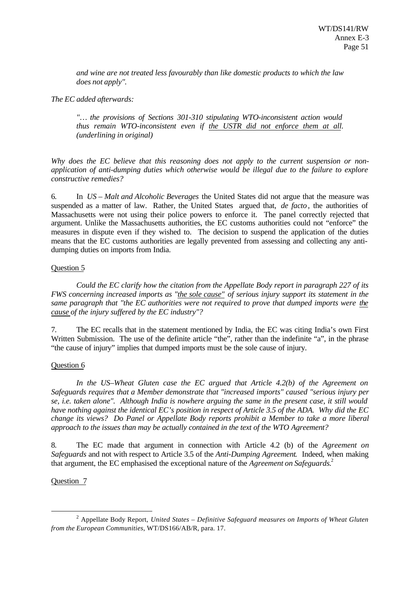*and wine are not treated less favourably than like domestic products to which the law does not apply".*

*The EC added afterwards:*

*"… the provisions of Sections 301-310 stipulating WTO-inconsistent action would thus remain WTO-inconsistent even if the USTR did not enforce them at all. (underlining in original)*

*Why does the EC believe that this reasoning does not apply to the current suspension or nonapplication of anti-dumping duties which otherwise would be illegal due to the failure to explore constructive remedies?*

6. In *US – Malt and Alcoholic Beverages* the United States did not argue that the measure was suspended as a matter of law. Rather, the United States argued that, *de facto*, the authorities of Massachusetts were not using their police powers to enforce it. The panel correctly rejected that argument. Unlike the Massachusetts authorities, the EC customs authorities could not "enforce" the measures in dispute even if they wished to. The decision to suspend the application of the duties means that the EC customs authorities are legally prevented from assessing and collecting any antidumping duties on imports from India.

## Question 5

*Could the EC clarify how the citation from the Appellate Body report in paragraph 227 of its FWS concerning increased imports as "the sole cause" of serious injury support its statement in the same paragraph that "the EC authorities were not required to prove that dumped imports were the cause of the injury suffered by the EC industry"?*

7. The EC recalls that in the statement mentioned by India, the EC was citing India's own First Written Submission. The use of the definite article "the", rather than the indefinite "a", in the phrase "the cause of injury" implies that dumped imports must be the sole cause of injury.

# Question 6

*In the US–Wheat Gluten case the EC argued that Article 4.2(b) of the Agreement on Safeguards requires that a Member demonstrate that "increased imports" caused "serious injury per se, i.e. taken alone". Although India is nowhere arguing the same in the present case, it still would have nothing against the identical EC's position in respect of Article 3.5 of the ADA. Why did the EC change its views? Do Panel or Appellate Body reports prohibit a Member to take a more liberal approach to the issues than may be actually contained in the text of the WTO Agreement?*

8. The EC made that argument in connection with Article 4.2 (b) of the *Agreement on Safeguards* and not with respect to Article 3.5 of the *Anti-Dumping Agreement*. Indeed, when making that argument, the EC emphasised the exceptional nature of the *Agreement on Safeguards.*<sup>2</sup>

# Question 7

<sup>2</sup> Appellate Body Report, *United States – Definitive Safeguard measures on Imports of Wheat Gluten from the European Communities*, WT/DS166/AB/R, para. 17.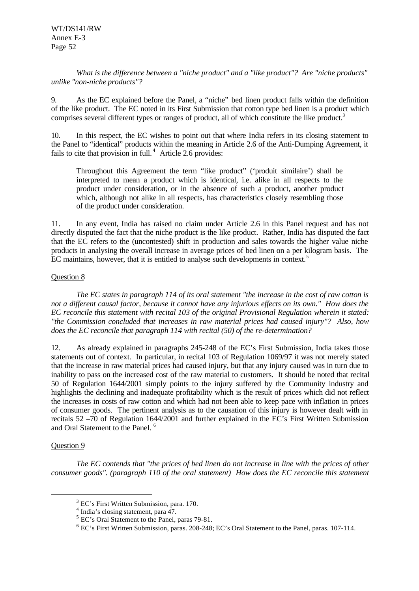*What is the difference between a "niche product" and a "like product"? Are "niche products" unlike "non-niche products"?*

9. As the EC explained before the Panel, a "niche" bed linen product falls within the definition of the like product. The EC noted in its First Submission that cotton type bed linen is a product which comprises several different types or ranges of product, all of which constitute the like product.<sup>3</sup>

10. In this respect, the EC wishes to point out that where India refers in its closing statement to the Panel to "identical" products within the meaning in Article 2.6 of the Anti-Dumping Agreement, it fails to cite that provision in full. $4$  Article 2.6 provides:

Throughout this Agreement the term "like product" ('produit similaire') shall be interpreted to mean a product which is identical, i.e. alike in all respects to the product under consideration, or in the absence of such a product, another product which, although not alike in all respects, has characteristics closely resembling those of the product under consideration.

11. In any event, India has raised no claim under Article 2.6 in this Panel request and has not directly disputed the fact that the niche product is the like product. Rather, India has disputed the fact that the EC refers to the (uncontested) shift in production and sales towards the higher value niche products in analysing the overall increase in average prices of bed linen on a per kilogram basis. The EC maintains, however, that it is entitled to analyse such developments in context.<sup>5</sup>

## Question 8

*The EC states in paragraph 114 of its oral statement "the increase in the cost of raw cotton is not a different causal factor, because it cannot have any injurious effects on its own." How does the EC reconcile this statement with recital 103 of the original Provisional Regulation wherein it stated: "the Commission concluded that increases in raw material prices had caused injury"? Also, how does the EC reconcile that paragraph 114 with recital (50) of the re-determination?*

12. As already explained in paragraphs 245-248 of the EC's First Submission, India takes those statements out of context. In particular, in recital 103 of Regulation 1069/97 it was not merely stated that the increase in raw material prices had caused injury, but that any injury caused was in turn due to inability to pass on the increased cost of the raw material to customers. It should be noted that recital 50 of Regulation 1644/2001 simply points to the injury suffered by the Community industry and highlights the declining and inadequate profitability which is the result of prices which did not reflect the increases in costs of raw cotton and which had not been able to keep pace with inflation in prices of consumer goods. The pertinent analysis as to the causation of this injury is however dealt with in recitals 52 –70 of Regulation 1644/2001 and further explained in the EC's First Written Submission and Oral Statement to the Panel.<sup>6</sup>

## Question 9

l

*The EC contends that "the prices of bed linen do not increase in line with the prices of other consumer goods". (paragraph 110 of the oral statement) How does the EC reconcile this statement*

 $3$  EC's First Written Submission, para. 170.

<sup>&</sup>lt;sup>4</sup> India's closing statement, para 47.

<sup>&</sup>lt;sup>5</sup> EC's Oral Statement to the Panel, paras 79-81.

<sup>&</sup>lt;sup>6</sup> EC's First Written Submission, paras. 208-248; EC's Oral Statement to the Panel, paras. 107-114.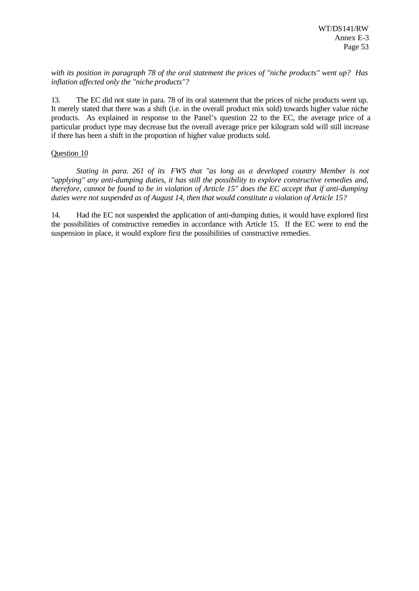*with its position in paragraph 78 of the oral statement the prices of "niche products" went up? Has inflation affected only the "niche products"?*

13. The EC did not state in para. 78 of its oral statement that the prices of niche products went up. It merely stated that there was a shift (i.e. in the overall product mix sold) towards higher value niche products. As explained in response to the Panel's question 22 to the EC, the average price of a particular product type may decrease but the overall average price per kilogram sold will still increase if there has been a shift in the proportion of higher value products sold.

## Question 10

*Stating in para. 261 of its FWS that "as long as a developed country Member is not "applying" any anti-dumping duties, it has still the possibility to explore constructive remedies and, therefore, cannot be found to be in violation of Article 15" does the EC accept that if anti-dumping duties were not suspended as of August 14, then that would constitute a violation of Article 15?*

14. Had the EC not suspended the application of anti-dumping duties, it would have explored first the possibilities of constructive remedies in accordance with Article 15. If the EC were to end the suspension in place, it would explore first the possibilities of constructive remedies.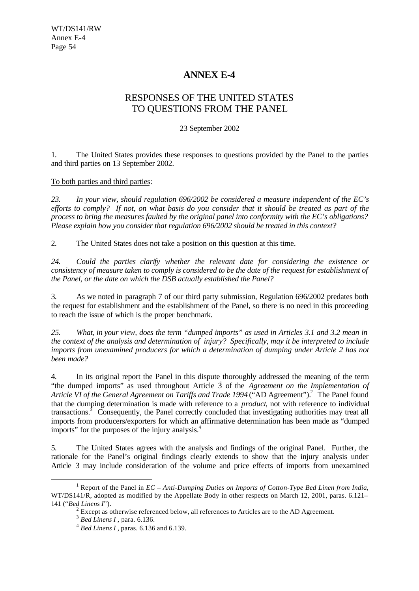# **ANNEX E-4**

# RESPONSES OF THE UNITED STATES TO QUESTIONS FROM THE PANEL

## 23 September 2002

1. The United States provides these responses to questions provided by the Panel to the parties and third parties on 13 September 2002.

## To both parties and third parties:

*23. In your view, should regulation 696/2002 be considered a measure independent of the EC's efforts to comply? If not, on what basis do you consider that it should be treated as part of the process to bring the measures faulted by the original panel into conformity with the EC's obligations? Please explain how you consider that regulation 696/2002 should be treated in this context?*

2. The United States does not take a position on this question at this time.

*24. Could the parties clarify whether the relevant date for considering the existence or consistency of measure taken to comply is considered to be the date of the request for establishment of the Panel, or the date on which the DSB actually established the Panel?*

3. As we noted in paragraph 7 of our third party submission, Regulation 696/2002 predates both the request for establishment and the establishment of the Panel, so there is no need in this proceeding to reach the issue of which is the proper benchmark.

*25. What, in your view, does the term "dumped imports" as used in Articles 3.1 and 3.2 mean in the context of the analysis and determination of injury? Specifically, may it be interpreted to include imports from unexamined producers for which a determination of dumping under Article 2 has not been made?*

4. In its original report the Panel in this dispute thoroughly addressed the meaning of the term "the dumped imports" as used throughout Article 3 of the *Agreement on the Implementation of* Article VI of the General Agreement on Tariffs and Trade 1994 ("AD Agreement").<sup>2</sup> The Panel found that the dumping determination is made with reference to a *product*, not with reference to individual transactions.<sup>3</sup> Consequently, the Panel correctly concluded that investigating authorities may treat all imports from producers/exporters for which an affirmative determination has been made as "dumped imports" for the purposes of the injury analysis.<sup>4</sup>

5. The United States agrees with the analysis and findings of the original Panel. Further, the rationale for the Panel's original findings clearly extends to show that the injury analysis under Article 3 may include consideration of the volume and price effects of imports from unexamined

<sup>1</sup> Report of the Panel in *EC – Anti-Dumping Duties on Imports of Cotton-Type Bed Linen from India*, WT/DS141/R, adopted as modified by the Appellate Body in other respects on March 12, 2001, paras. 6.121– 141 ("*Bed Linens I*").

 $2^{2}$  Except as otherwise referenced below, all references to Articles are to the AD Agreement.

<sup>3</sup> *Bed Linens I* , para. 6.136.

<sup>4</sup> *Bed Linens I* , paras. 6.136 and 6.139.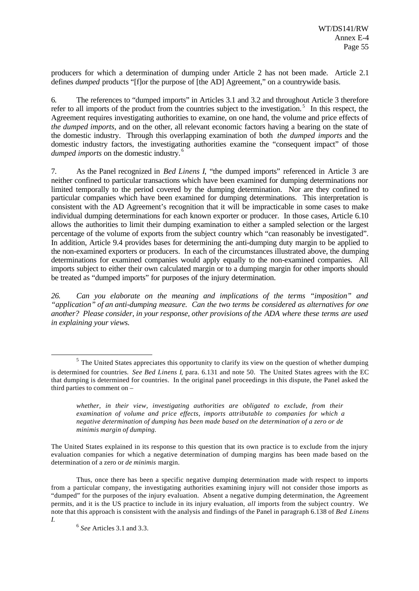producers for which a determination of dumping under Article 2 has not been made. Article 2.1 defines *dumped* products "[f]or the purpose of [the AD] Agreement," on a countrywide basis.

6. The references to "dumped imports" in Articles 3.1 and 3.2 and throughout Article 3 therefore refer to all imports of the product from the countries subject to the investigation.<sup>5</sup> In this respect, the Agreement requires investigating authorities to examine, on one hand, the volume and price effects of *the dumped imports*, and on the other, all relevant economic factors having a bearing on the state of the domestic industry. Through this overlapping examination of both *the dumped imports* and the domestic industry factors, the investigating authorities examine the "consequent impact" of those *dumped imports* on the domestic industry. <sup>6</sup>

7. As the Panel recognized in *Bed Linens I*, "the dumped imports" referenced in Article 3 are neither confined to particular transactions which have been examined for dumping determinations nor limited temporally to the period covered by the dumping determination. Nor are they confined to particular companies which have been examined for dumping determinations. This interpretation is consistent with the AD Agreement's recognition that it will be impracticable in some cases to make individual dumping determinations for each known exporter or producer. In those cases, Article 6.10 allows the authorities to limit their dumping examination to either a sampled selection or the largest percentage of the volume of exports from the subject country which "can reasonably be investigated". In addition, Article 9.4 provides bases for determining the anti-dumping duty margin to be applied to the non-examined exporters or producers. In each of the circumstances illustrated above, the dumping determinations for examined companies would apply equally to the non-examined companies. All imports subject to either their own calculated margin or to a dumping margin for other imports should be treated as "dumped imports" for purposes of the injury determination.

*26. Can you elaborate on the meaning and implications of the terms "imposition" and "application" of an anti-dumping measure. Can the two terms be considered as alternatives for one another? Please consider, in your response, other provisions of the ADA where these terms are used in explaining your views.*

Thus, once there has been a specific negative dumping determination made with respect to imports from a particular company, the investigating authorities examining injury will not consider those imports as "dumped" for the purposes of the injury evaluation. Absent a negative dumping determination, the Agreement permits, and it is the US practice to include in its injury evaluation, *all* imports from the subject country. We note that this approach is consistent with the analysis and findings of the Panel in paragraph 6.138 of *Bed Linens I*.

 $<sup>5</sup>$  The United States appreciates this opportunity to clarify its view on the question of whether dumping</sup> is determined for countries. *See Bed Linens I*, para. 6.131 and note 50. The United States agrees with the EC that dumping is determined for countries. In the original panel proceedings in this dispute, the Panel asked the third parties to comment on –

*whether, in their view, investigating authorities are obligated to exclude, from their examination of volume and price effects, imports attributable to companies for which a negative determination of dumping has been made based on the determination of a zero or de minimis margin of dumping.*

The United States explained in its response to this question that its own practice is to exclude from the injury evaluation companies for which a negative determination of dumping margins has been made based on the determination of a zero or *de minimis* margin.

<sup>6</sup> *See* Articles 3.1 and 3.3.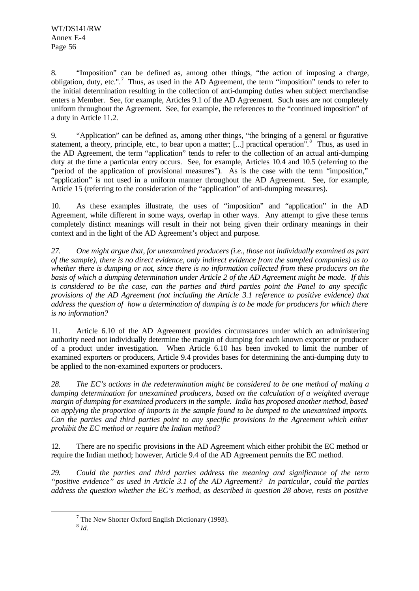8. "Imposition" can be defined as, among other things, "the action of imposing a charge, obligation, duty, etc.".<sup>7</sup> Thus, as used in the AD Agreement, the term "imposition" tends to refer to the initial determination resulting in the collection of anti-dumping duties when subject merchandise enters a Member. See, for example, Articles 9.1 of the AD Agreement. Such uses are not completely uniform throughout the Agreement. See, for example, the references to the "continued imposition" of a duty in Article 11.2.

9. "Application" can be defined as, among other things, "the bringing of a general or figurative statement, a theory, principle, etc., to bear upon a matter; [...] practical operation".<sup>8</sup> Thus, as used in the AD Agreement, the term "application" tends to refer to the collection of an actual anti-dumping duty at the time a particular entry occurs. See, for example, Articles 10.4 and 10.5 (referring to the "period of the application of provisional measures"). As is the case with the term "imposition," "application" is not used in a uniform manner throughout the AD Agreement. See, for example, Article 15 (referring to the consideration of the "application" of anti-dumping measures).

10. As these examples illustrate, the uses of "imposition" and "application" in the AD Agreement, while different in some ways, overlap in other ways. Any attempt to give these terms completely distinct meanings will result in their not being given their ordinary meanings in their context and in the light of the AD Agreement's object and purpose.

*27. One might argue that, for unexamined producers (i.e., those not individually examined as part of the sample), there is no direct evidence, only indirect evidence from the sampled companies) as to whether there is dumping or not, since there is no information collected from these producers on the basis of which a dumping determination under Article 2 of the AD Agreement might be made. If this is considered to be the case, can the parties and third parties point the Panel to any specific provisions of the AD Agreement (not including the Article 3.1 reference to positive evidence) that address the question of how a determination of dumping is to be made for producers for which there is no information?*

11. Article 6.10 of the AD Agreement provides circumstances under which an administering authority need not individually determine the margin of dumping for each known exporter or producer of a product under investigation. When Article 6.10 has been invoked to limit the number of examined exporters or producers, Article 9.4 provides bases for determining the anti-dumping duty to be applied to the non-examined exporters or producers.

*28. The EC's actions in the redetermination might be considered to be one method of making a dumping determination for unexamined producers, based on the calculation of a weighted average margin of dumping for examined producers in the sample. India has proposed another method, based on applying the proportion of imports in the sample found to be dumped to the unexamined imports. Can the parties and third parties point to any specific provisions in the Agreement which either prohibit the EC method or require the Indian method?*

12. There are no specific provisions in the AD Agreement which either prohibit the EC method or require the Indian method; however, Article 9.4 of the AD Agreement permits the EC method.

*29. Could the parties and third parties address the meaning and significance of the term "positive evidence" as used in Article 3.1 of the AD Agreement? In particular, could the parties address the question whether the EC's method, as described in question 28 above, rests on positive*

 $7$  The New Shorter Oxford English Dictionary (1993).

<sup>8</sup> *Id.*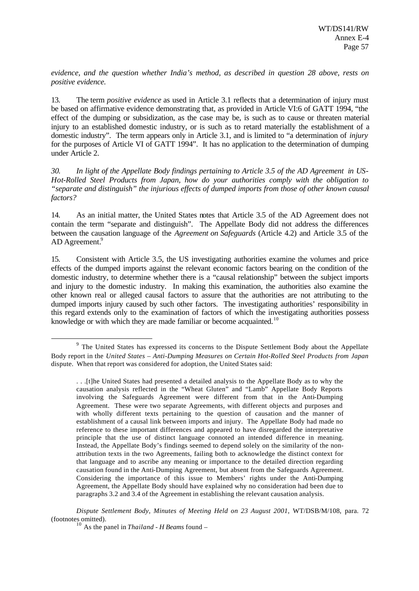*evidence, and the question whether India's method, as described in question 28 above, rests on positive evidence.*

13. The term *positive evidence* as used in Article 3.1 reflects that a determination of injury must be based on affirmative evidence demonstrating that, as provided in Article VI:6 of GATT 1994, "the effect of the dumping or subsidization, as the case may be, is such as to cause or threaten material injury to an established domestic industry, or is such as to retard materially the establishment of a domestic industry". The term appears only in Article 3.1, and is limited to "a determination of *injury* for the purposes of Article VI of GATT 1994". It has no application to the determination of dumping under Article 2.

*30. In light of the Appellate Body findings pertaining to Article 3.5 of the AD Agreement in US-Hot-Rolled Steel Products from Japan, how do your authorities comply with the obligation to "separate and distinguish" the injurious effects of dumped imports from those of other known causal factors?*

14. As an initial matter, the United States notes that Article 3.5 of the AD Agreement does not contain the term "separate and distinguish". The Appellate Body did not address the differences between the causation language of the *Agreement on Safeguards* (Article 4.2) and Article 3.5 of the AD Agreement.<sup>9</sup>

15. Consistent with Article 3.5, the US investigating authorities examine the volumes and price effects of the dumped imports against the relevant economic factors bearing on the condition of the domestic industry, to determine whether there is a "causal relationship" between the subject imports and injury to the domestic industry. In making this examination, the authorities also examine the other known real or alleged causal factors to assure that the authorities are not attributing to the dumped imports injury caused by such other factors. The investigating authorities' responsibility in this regard extends only to the examination of factors of which the investigating authorities possess knowledge or with which they are made familiar or become acquainted.<sup>10</sup>

*Dispute Settlement Body, Minutes of Meeting Held on 23 August 2001*, WT/DSB/M/108, para. 72 (footnotes omitted).

<sup>&</sup>lt;sup>9</sup> The United States has expressed its concerns to the Dispute Settlement Body about the Appellate Body report in the *United States – Anti-Dumping Measures on Certain Hot-Rolled Steel Products from Japan* dispute. When that report was considered for adoption, the United States said:

<sup>. . .[</sup>t]he United States had presented a detailed analysis to the Appellate Body as to why the causation analysis reflected in the "Wheat Gluten" and "Lamb" Appellate Body Reports involving the Safeguards Agreement were different from that in the Anti-Dumping Agreement. These were two separate Agreements, with different objects and purposes and with wholly different texts pertaining to the question of causation and the manner of establishment of a causal link between imports and injury. The Appellate Body had made no reference to these important differences and appeared to have disregarded the interpretative principle that the use of distinct language connoted an intended difference in meaning. Instead, the Appellate Body's findings seemed to depend solely on the similarity of the nonattribution texts in the two Agreements, failing both to acknowledge the distinct context for that language and to ascribe any meaning or importance to the detailed direction regarding causation found in the Anti-Dumping Agreement, but absent from the Safeguards Agreement. Considering the importance of this issue to Members' rights under the Anti-Dumping Agreement, the Appellate Body should have explained why no consideration had been due to paragraphs 3.2 and 3.4 of the Agreement in establishing the relevant causation analysis.

<sup>10</sup> As the panel in *Thailand - H Beams* found –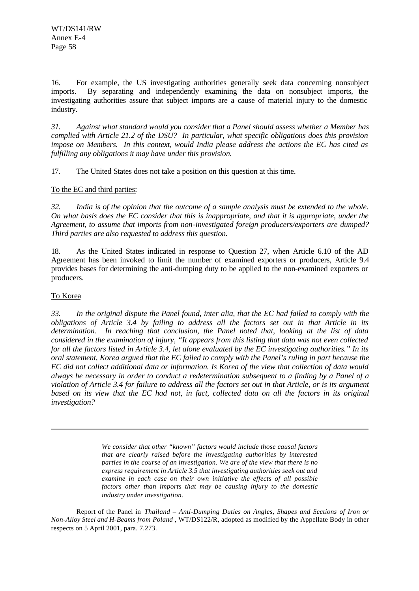16. For example, the US investigating authorities generally seek data concerning nonsubject imports. By separating and independently examining the data on nonsubject imports, the investigating authorities assure that subject imports are a cause of material injury to the domestic industry.

*31. Against what standard would you consider that a Panel should assess whether a Member has complied with Article 21.2 of the DSU? In particular, what specific obligations does this provision impose on Members. In this context, would India please address the actions the EC has cited as fulfilling any obligations it may have under this provision.*

17. The United States does not take a position on this question at this time.

To the EC and third parties:

*32. India is of the opinion that the outcome of a sample analysis must be extended to the whole. On what basis does the EC consider that this is inappropriate, and that it is appropriate, under the Agreement, to assume that imports from non-investigated foreign producers/exporters are dumped? Third parties are also requested to address this question.*

18. As the United States indicated in response to Question 27, when Article 6.10 of the AD Agreement has been invoked to limit the number of examined exporters or producers, Article 9.4 provides bases for determining the anti-dumping duty to be applied to the non-examined exporters or producers.

# To Korea

l

*33. In the original dispute the Panel found, inter alia, that the EC had failed to comply with the obligations of Article 3.4 by failing to address all the factors set out in that Article in its determination. In reaching that conclusion, the Panel noted that, looking at the list of data considered in the examination of injury, "It appears from this listing that data was not even collected for all the factors listed in Article 3.4, let alone evaluated by the EC investigating authorities." In its oral statement, Korea argued that the EC failed to comply with the Panel's ruling in part because the EC did not collect additional data or information. Is Korea of the view that collection of data would always be necessary in order to conduct a redetermination subsequent to a finding by a Panel of a violation of Article 3.4 for failure to address all the factors set out in that Article, or is its argument based on its view that the EC had not, in fact, collected data on all the factors in its original investigation?*

> *We consider that other "known" factors would include those causal factors that are clearly raised before the investigating authorities by interested parties in the course of an investigation. We are of the view that there is no express requirement in Article 3.5 that investigating authorities seek out and examine in each case on their own initiative the effects of all possible factors other than imports that may be causing injury to the domestic industry under investigation.*

Report of the Panel in *Thailand – Anti-Dumping Duties on Angles, Shapes and Sections of Iron or Non-Alloy Steel and H-Beams from Poland* , WT/DS122/R, adopted as modified by the Appellate Body in other respects on 5 April 2001, para. 7.273.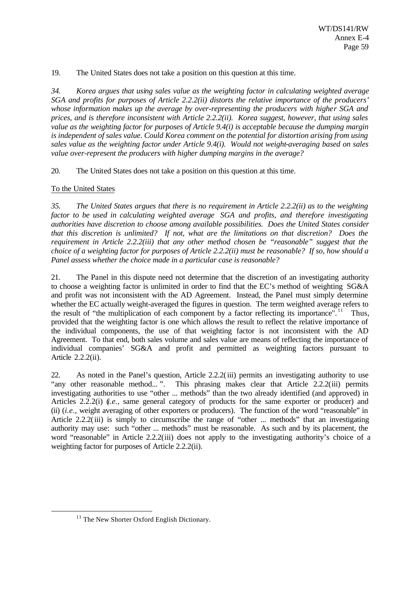19. The United States does not take a position on this question at this time.

*34. Korea argues that using sales value as the weighting factor in calculating weighted average SGA and profits for purposes of Article 2.2.2(ii) distorts the relative importance of the producers' whose information makes up the average by over-representing the producers with higher SGA and prices, and is therefore inconsistent with Article 2.2.2(ii). Korea suggest, however, that using sales value as the weighting factor for purposes of Article 9.4(i) is acceptable because the dumping margin is independent of sales value. Could Korea comment on the potential for distortion arising from using sales value as the weighting factor under Article 9.4(i). Would not weight-averaging based on sales value over-represent the producers with higher dumping margins in the average?*

20. The United States does not take a position on this question at this time.

# To the United States

*35. The United States argues that there is no requirement in Article 2.2.2(ii) as to the weighting factor to be used in calculating weighted average SGA and profits, and therefore investigating authorities have discretion to choose among available possibilities. Does the United States consider that this discretion is unlimited? If not, what are the limitations on that discretion? Does the requirement in Article 2.2.2(iii) that any other method chosen be "reasonable" suggest that the choice of a weighting factor for purposes of Article 2.2.2(ii) must be reasonable? If so, how should a Panel assess whether the choice made in a particular case is reasonable?*

21. The Panel in this dispute need not determine that the discretion of an investigating authority to choose a weighting factor is unlimited in order to find that the EC's method of weighting SG&A and profit was not inconsistent with the AD Agreement. Instead, the Panel must simply determine whether the EC actually weight-averaged the figures in question. The term weighted average refers to the result of "the multiplication of each component by a factor reflecting its importance".<sup>11</sup> Thus, provided that the weighting factor is one which allows the result to reflect the relative importance of the individual components, the use of that weighting factor is not inconsistent with the AD Agreement. To that end, both sales volume and sales value are means of reflecting the importance of individual companies' SG&A and profit and permitted as weighting factors pursuant to Article 2.2.2(ii).

22. As noted in the Panel's question, Article 2.2.2(iii) permits an investigating authority to use "any other reasonable method...". This phrasing makes clear that Article 2.2.2(iii) permits investigating authorities to use "other ... methods" than the two already identified (and approved) in Articles 2.2.2(i) (*i.e.*, same general category of products for the same exporter or producer) and (ii) (*i.e.,* weight averaging of other exporters or producers). The function of the word "reasonable" in Article 2.2.2(iii) is simply to circumscribe the range of "other ... methods" that an investigating authority may use: such "other ... methods" must be reasonable. As such and by its placement, the word "reasonable" in Article 2.2.2(iii) does not apply to the investigating authority's choice of a weighting factor for purposes of Article 2.2.2(ii).

<sup>&</sup>lt;sup>11</sup> The New Shorter Oxford English Dictionary.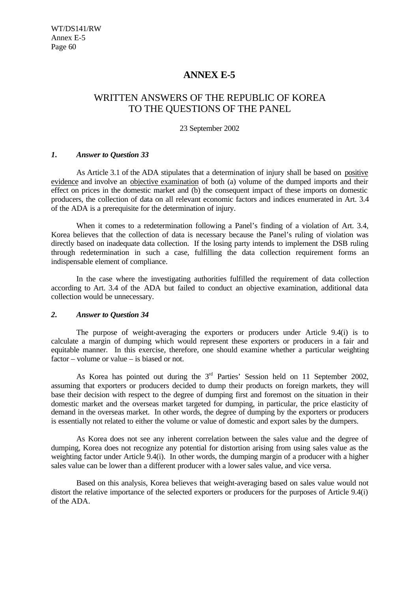# **ANNEX E-5**

# WRITTEN ANSWERS OF THE REPUBLIC OF KOREA TO THE QUESTIONS OF THE PANEL

23 September 2002

## *1. Answer to Question 33*

As Article 3.1 of the ADA stipulates that a determination of injury shall be based on positive evidence and involve an objective examination of both (a) volume of the dumped imports and their effect on prices in the domestic market and (b) the consequent impact of these imports on domestic producers, the collection of data on all relevant economic factors and indices enumerated in Art. 3.4 of the ADA is a prerequisite for the determination of injury.

When it comes to a redetermination following a Panel's finding of a violation of Art. 3.4, Korea believes that the collection of data is necessary because the Panel's ruling of violation was directly based on inadequate data collection. If the losing party intends to implement the DSB ruling through redetermination in such a case, fulfilling the data collection requirement forms an indispensable element of compliance.

In the case where the investigating authorities fulfilled the requirement of data collection according to Art. 3.4 of the ADA but failed to conduct an objective examination, additional data collection would be unnecessary.

## *2. Answer to Question 34*

The purpose of weight-averaging the exporters or producers under Article 9.4(i) is to calculate a margin of dumping which would represent these exporters or producers in a fair and equitable manner. In this exercise, therefore, one should examine whether a particular weighting factor – volume or value – is biased or not.

As Korea has pointed out during the  $3<sup>rd</sup>$  Parties' Session held on 11 September 2002, assuming that exporters or producers decided to dump their products on foreign markets, they will base their decision with respect to the degree of dumping first and foremost on the situation in their domestic market and the overseas market targeted for dumping, in particular, the price elasticity of demand in the overseas market. In other words, the degree of dumping by the exporters or producers is essentially not related to either the volume or value of domestic and export sales by the dumpers.

As Korea does not see any inherent correlation between the sales value and the degree of dumping, Korea does not recognize any potential for distortion arising from using sales value as the weighting factor under Article 9.4(i). In other words, the dumping margin of a producer with a higher sales value can be lower than a different producer with a lower sales value, and vice versa.

Based on this analysis, Korea believes that weight-averaging based on sales value would not distort the relative importance of the selected exporters or producers for the purposes of Article 9.4(i) of the ADA.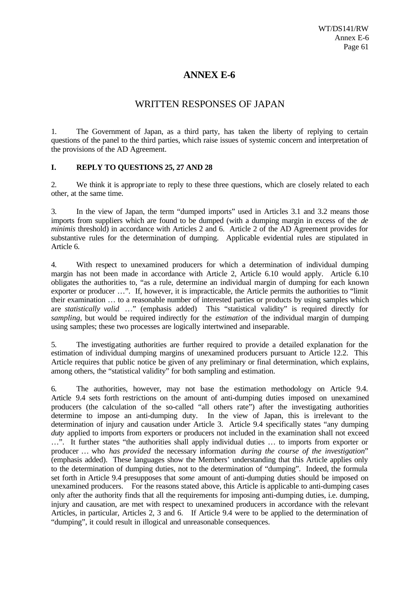# **ANNEX E-6**

# WRITTEN RESPONSES OF JAPAN

1. The Government of Japan, as a third party, has taken the liberty of replying to certain questions of the panel to the third parties, which raise issues of systemic concern and interpretation of the provisions of the AD Agreement.

## **I. REPLY TO QUESTIONS 25, 27 AND 28**

2. We think it is appropriate to reply to these three questions, which are closely related to each other, at the same time.

3. In the view of Japan, the term "dumped imports" used in Articles 3.1 and 3.2 means those imports from suppliers which are found to be dumped (with a dumping margin in excess of the *de minimis* threshold) in accordance with Articles 2 and 6. Article 2 of the AD Agreement provides for substantive rules for the determination of dumping. Applicable evidential rules are stipulated in Article 6.

4. With respect to unexamined producers for which a determination of individual dumping margin has not been made in accordance with Article 2, Article 6.10 would apply. Article 6.10 obligates the authorities to, "as a rule, determine an individual margin of dumping for each known exporter or producer …". If, however, it is impracticable, the Article permits the authorities to "limit their examination … to a reasonable number of interested parties or products by using samples which are *statistically valid* …" (emphasis added) This "statistical validity" is required directly for *sampling*, but would be required indirectly for the *estimation* of the individual margin of dumping using samples; these two processes are logically intertwined and inseparable.

5. The investigating authorities are further required to provide a detailed explanation for the estimation of individual dumping margins of unexamined producers pursuant to Article 12.2. This Article requires that public notice be given of any preliminary or final determination, which explains, among others, the "statistical validity" for both sampling and estimation.

6. The authorities, however, may not base the estimation methodology on Article 9.4. Article 9.4 sets forth restrictions on the amount of anti-dumping duties imposed on unexamined producers (the calculation of the so-called "all others rate") after the investigating authorities determine to impose an anti-dumping duty. In the view of Japan, this is irrelevant to the determination of injury and causation under Article 3. Article 9.4 specifically states "any dumping *duty* applied to imports from exporters or producers not included in the examination shall not exceed …". It further states "the authorities shall apply individual duties … to imports from exporter or producer … who *has provided* the necessary information *during the course of the investigation*" (emphasis added). These languages show the Members' understanding that this Article applies only to the determination of dumping duties, not to the determination of "dumping". Indeed, the formula set forth in Article 9.4 presupposes that *some* amount of anti-dumping duties should be imposed on unexamined producers. For the reasons stated above, this Article is applicable to anti-dumping cases only after the authority finds that all the requirements for imposing anti-dumping duties, i.e. dumping, injury and causation, are met with respect to unexamined producers in accordance with the relevant Articles, in particular, Articles 2, 3 and 6. If Article 9.4 were to be applied to the determination of "dumping", it could result in illogical and unreasonable consequences.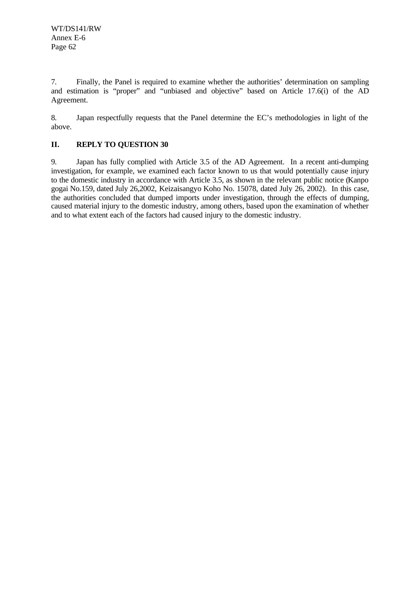7. Finally, the Panel is required to examine whether the authorities' determination on sampling and estimation is "proper" and "unbiased and objective" based on Article 17.6(i) of the AD Agreement.

8. Japan respectfully requests that the Panel determine the EC's methodologies in light of the above.

# **II. REPLY TO QUESTION 30**

9. Japan has fully complied with Article 3.5 of the AD Agreement. In a recent anti-dumping investigation, for example, we examined each factor known to us that would potentially cause injury to the domestic industry in accordance with Article 3.5, as shown in the relevant public notice (Kanpo gogai No.159, dated July 26,2002, Keizaisangyo Koho No. 15078, dated July 26, 2002). In this case, the authorities concluded that dumped imports under investigation, through the effects of dumping, caused material injury to the domestic industry, among others, based upon the examination of whether and to what extent each of the factors had caused injury to the domestic industry.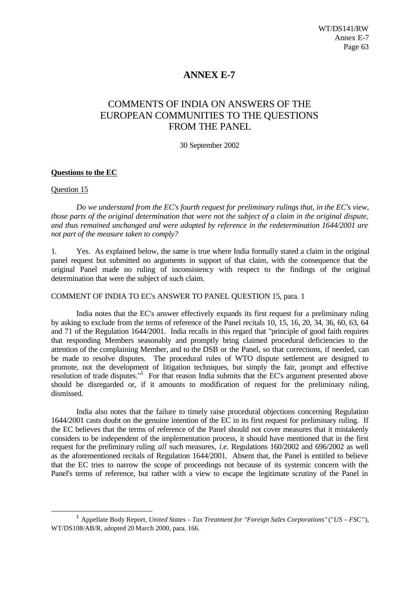# **ANNEX E-7**

# COMMENTS OF INDIA ON ANSWERS OF THE EUROPEAN COMMUNITIES TO THE QUESTIONS FROM THE PANEL

30 September 2002

## **Questions to the EC**

## Question 15

l

*Do we understand from the EC's fourth request for preliminary rulings that, in the EC's view, those parts of the original determination that were not the subject of a claim in the original dispute, and thus remained unchanged and were adopted by reference in the redetermination 1644/2001 are not part of the measure taken to comply?*

1. Yes. As explained below, the same is true where India formally stated a claim in the original panel request but submitted no arguments in support of that claim, with the consequence that the original Panel made no ruling of inconsistency with respect to the findings of the original determination that were the subject of such claim.

COMMENT OF INDIA TO EC's ANSWER TO PANEL QUESTION 15, para. 1

India notes that the EC's answer effectively expands its first request for a preliminary ruling by asking to exclude from the terms of reference of the Panel recitals 10, 15, 16, 20, 34, 36, 60, 63, 64 and 71 of the Regulation 1644/2001. India recalls in this regard that "principle of good faith requires that responding Members seasonably and promptly bring claimed procedural deficiencies to the attention of the complaining Member, and to the DSB or the Panel, so that corrections, if needed, can be made to resolve disputes. The procedural rules of WTO dispute settlement are designed to promote, not the development of litigation techniques, but simply the fair, prompt and effective resolution of trade disputes."<sup>1</sup> For that reason India submits that the EC's argument presented above should be disregarded or, if it amounts to modification of request for the preliminary ruling, dismissed.

India also notes that the failure to timely raise procedural objections concerning Regulation 1644/2001 casts doubt on the genuine intention of the EC in its first request for preliminary ruling. If the EC believes that the terms of reference of the Panel should not cover measures that it mistakenly considers to be independent of the implementation process, it should have mentioned that in the first request for the preliminary ruling *all* such measures, *i.e.* Regulations 160/2002 and 696/2002 as well as the aforementioned recitals of Regulation 1644/2001. Absent that, the Panel is entitled to believe that the EC tries to narrow the scope of proceedings not because of its systemic concern with the Panel's terms of reference, but rather with a view to escape the legitimate scrutiny of the Panel in

<sup>1</sup> Appellate Body Report, *United States – Tax Treatment for "Foreign Sales Corporations"* ("*US – FSC*"), WT/DS108/AB/R, adopted 20 March 2000, para. 166.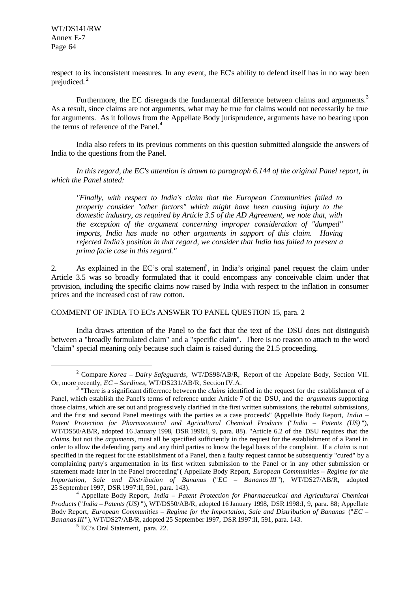WT/DS141/RW Annex E-7 Page 64

l

respect to its inconsistent measures. In any event, the EC's ability to defend itself has in no way been prejudiced. <sup>2</sup>

Furthermore, the EC disregards the fundamental difference between claims and arguments.<sup>3</sup> As a result, since claims are not arguments, what may be true for claims would not necessarily be true for arguments. As it follows from the Appellate Body jurisprudence, arguments have no bearing upon the terms of reference of the Panel.<sup>4</sup>

India also refers to its previous comments on this question submitted alongside the answers of India to the questions from the Panel.

*In this regard, the EC's attention is drawn to paragraph 6.144 of the original Panel report, in which the Panel stated:*

*"Finally, with respect to India's claim that the European Communities failed to properly consider "other factors" which might have been causing injury to the domestic industry, as required by Article 3.5 of the AD Agreement, we note that, with the exception of the argument concerning improper consideration of "dumped" imports, India has made no other arguments in support of this claim. Having rejected India's position in that regard, we consider that India has failed to present a prima facie case in this regard."*

2. As explained in the EC's oral statement, in India's original panel request the claim under Article 3.5 was so broadly formulated that it could encompass any conceivable claim under that provision, including the specific claims now raised by India with respect to the inflation in consumer prices and the increased cost of raw cotton.

COMMENT OF INDIA TO EC's ANSWER TO PANEL QUESTION 15, para. 2

India draws attention of the Panel to the fact that the text of the DSU does not distinguish between a "broadly formulated claim" and a "specific claim". There is no reason to attach to the word "claim" special meaning only because such claim is raised during the 21.5 proceeding.

<sup>2</sup> Compare *Korea – Dairy Safeguards,* WT/DS98/AB/R, Report of the Appelate Body, Section VII. Or, more recently, *EC – Sardines,* WT/DS231/AB/R, Section IV.A.

<sup>&</sup>lt;sup>3</sup> "There is a significant difference between the *claims* identified in the request for the establishment of a Panel, which establish the Panel's terms of reference under Article 7 of the DSU, and the *arguments* supporting those claims, which are set out and progressively clarified in the first written submissions, the rebuttal submissions, and the first and second Panel meetings with the parties as a case proceeds" (Appellate Body Report, *India – Patent Protection for Pharmaceutical and Agricultural Chemical Products* ("*India – Patents (US)* "), WT/DS50/AB/R, adopted 16 January 1998, DSR 1998:I, 9, para. 88). "Article 6.2 of the DSU requires that the *claims*, but not the *arguments*, must all be specified sufficiently in the request for the establishment of a Panel in order to allow the defending party and any third parties to know the legal basis of the complaint. If a *claim* is not specified in the request for the establishment of a Panel, then a faulty request cannot be subsequently "cured" by a complaining party's argumentation in its first written submission to the Panel or in any other submission or statement made later in the Panel proceeding"( Appellate Body Report, *European Communities – Regime for the Importation, Sale and Distribution of Bananas* ("*EC – Bananas III* "), WT/DS27/AB/R, adopted 25 September 1997, DSR 1997:II, 591, para. 143).

<sup>4</sup> Appellate Body Report, *India – Patent Protection for Pharmaceutical and Agricultural Chemical Products* ("*India – Patents (US)* "), WT/DS50/AB/R, adopted 16 January 1998, DSR 1998:I, 9, para. 88; Appellate Body Report, *European Communities – Regime for the Importation, Sale and Distribution of Bananas* ("*EC – Bananas III* "), WT/DS27/AB/R, adopted 25 September 1997, DSR 1997:II, 591, para. 143.

<sup>5</sup> EC's Oral Statement, para. 22.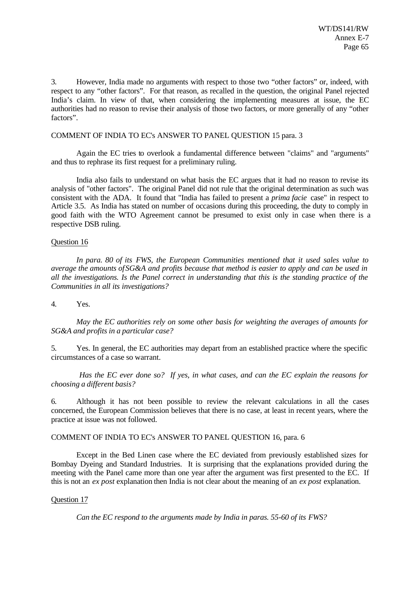3. However, India made no arguments with respect to those two "other factors" or, indeed, with respect to any "other factors". For that reason, as recalled in the question, the original Panel rejected India's claim. In view of that, when considering the implementing measures at issue, the EC authorities had no reason to revise their analysis of those two factors, or more generally of any "other factors".

#### COMMENT OF INDIA TO EC's ANSWER TO PANEL QUESTION 15 para. 3

Again the EC tries to overlook a fundamental difference between "claims" and "arguments" and thus to rephrase its first request for a preliminary ruling.

India also fails to understand on what basis the EC argues that it had no reason to revise its analysis of "other factors". The original Panel did not rule that the original determination as such was consistent with the ADA. It found that "India has failed to present a *prima facie* case" in respect to Article 3.5. As India has stated on number of occasions during this proceeding, the duty to comply in good faith with the WTO Agreement cannot be presumed to exist only in case when there is a respective DSB ruling.

#### Question 16

*In para. 80 of its FWS, the European Communities mentioned that it used sales value to average the amounts of SG&A and profits because that method is easier to apply and can be used in all the investigations. Is the Panel correct in understanding that this is the standing practice of the Communities in all its investigations?*

4. Yes.

*May the EC authorities rely on some other basis for weighting the averages of amounts for SG&A and profits in a particular case?*

5. Yes. In general, the EC authorities may depart from an established practice where the specific circumstances of a case so warrant.

 *Has the EC ever done so? If yes, in what cases, and can the EC explain the reasons for choosing a different basis?*

6. Although it has not been possible to review the relevant calculations in all the cases concerned, the European Commission believes that there is no case, at least in recent years, where the practice at issue was not followed.

COMMENT OF INDIA TO EC's ANSWER TO PANEL QUESTION 16, para. 6

Except in the Bed Linen case where the EC deviated from previously established sizes for Bombay Dyeing and Standard Industries. It is surprising that the explanations provided during the meeting with the Panel came more than one year after the argument was first presented to the EC. If this is not an *ex post* explanation then India is not clear about the meaning of an *ex post* explanation.

#### Question 17

*Can the EC respond to the arguments made by India in paras. 55-60 of its FWS?*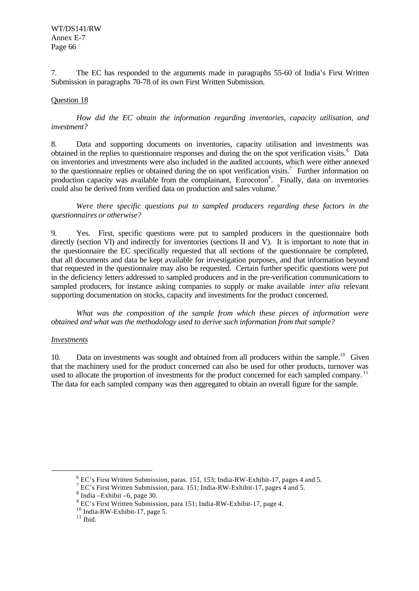7. The EC has responded to the arguments made in paragraphs 55-60 of India's First Written Submission in paragraphs 70-78 of its own First Written Submission.

## Question 18

*How did the EC obtain the information regarding inventories, capacity utilisation, and investment?*

8. Data and supporting documents on inventories, capacity utilisation and investments was obtained in the replies to questionnaire responses and during the on the spot verification visits.<sup>6</sup> Data on inventories and investments were also included in the audited accounts, which were either annexed to the questionnaire replies or obtained during the on spot verification visits.<sup>7</sup> Further information on production capacity was available from the complainant, Eurocoton<sup>8</sup>. Finally, data on inventories could also be derived from verified data on production and sales volume.<sup>9</sup>

*Were there specific questions put to sampled producers regarding these factors in the questionnaires or otherwise?*

9. Yes. First, specific questions were put to sampled producers in the questionnaire both directly (section VI) and indirectly for inventories (sections II and V). It is important to note that in the questionnaire the EC specifically requested that all sections of the questionnaire be completed, that all documents and data be kept available for investigation purposes, and that information beyond that requested in the questionnaire may also be requested. Certain further specific questions were put in the deficiency letters addressed to sampled producers and in the pre-verification communications to sampled producers, for instance asking companies to supply or make available *inter alia* relevant supporting documentation on stocks, capacity and investments for the product concerned.

*What was the composition of the sample from which these pieces of information were obtained and what was the methodology used to derive such information from that sample?*

## *Investments*

l

10. Data on investments was sought and obtained from all producers within the sample.<sup>10</sup> Given that the machinery used for the product concerned can also be used for other products, turnover was used to allocate the proportion of investments for the product concerned for each sampled company.<sup>11</sup> The data for each sampled company was then aggregated to obtain an overall figure for the sample.

 $6$  EC's First Written Submission, paras. 151, 153; India-RW-Exhibit-17, pages 4 and 5.

<sup>&</sup>lt;sup>7</sup> EC's First Written Submission, para. 151; India-RW-Exhibit-17, pages 4 and 5.

 $8$  India – Exhibit – 6, page 30.

<sup>&</sup>lt;sup>9</sup> EC's First Written Submission, para 151; India-RW-Exhibit-17, page 4.

 $^{10}$  India-RW-Exhibit-17, page 5.

 $^{\rm 11}$  Ibid.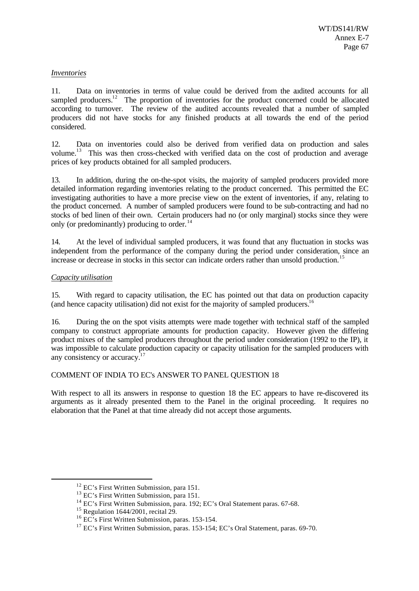## *Inventories*

11. Data on inventories in terms of value could be derived from the audited accounts for all sampled producers.<sup>12</sup> The proportion of inventories for the product concerned could be allocated according to turnover. The review of the audited accounts revealed that a number of sampled producers did not have stocks for any finished products at all towards the end of the period considered.

12. Data on inventories could also be derived from verified data on production and sales volume.<sup>13</sup> This was then cross-checked with verified data on the cost of production and average prices of key products obtained for all sampled producers.

13. In addition, during the on-the-spot visits, the majority of sampled producers provided more detailed information regarding inventories relating to the product concerned. This permitted the EC investigating authorities to have a more precise view on the extent of inventories, if any, relating to the product concerned. A number of sampled producers were found to be sub-contracting and had no stocks of bed linen of their own. Certain producers had no (or only marginal) stocks since they were only (or predominantly) producing to order. $14$ 

14. At the level of individual sampled producers, it was found that any fluctuation in stocks was independent from the performance of the company during the period under consideration, since an increase or decrease in stocks in this sector can indicate orders rather than unsold production.<sup>15</sup>

## *Capacity utilisation*

l

15. With regard to capacity utilisation, the EC has pointed out that data on production capacity (and hence capacity utilisation) did not exist for the majority of sampled producers.<sup>16</sup>

16. During the on the spot visits attempts were made together with technical staff of the sampled company to construct appropriate amounts for production capacity. However given the differing product mixes of the sampled producers throughout the period under consideration (1992 to the IP), it was impossible to calculate production capacity or capacity utilisation for the sampled producers with any consistency or accuracy. $17$ 

## COMMENT OF INDIA TO EC's ANSWER TO PANEL QUESTION 18

With respect to all its answers in response to question 18 the EC appears to have re-discovered its arguments as it already presented them to the Panel in the original proceeding. It requires no elaboration that the Panel at that time already did not accept those arguments.

<sup>&</sup>lt;sup>12</sup> EC's First Written Submission, para 151.

<sup>&</sup>lt;sup>13</sup> EC's First Written Submission, para 151.

<sup>&</sup>lt;sup>14</sup> EC's First Written Submission, para. 192; EC's Oral Statement paras. 67-68.

<sup>15</sup> Regulation 1644/2001, recital 29.

<sup>&</sup>lt;sup>16</sup> EC's First Written Submission, paras. 153-154.

<sup>&</sup>lt;sup>17</sup> EC's First Written Submission, paras. 153-154; EC's Oral Statement, paras. 69-70.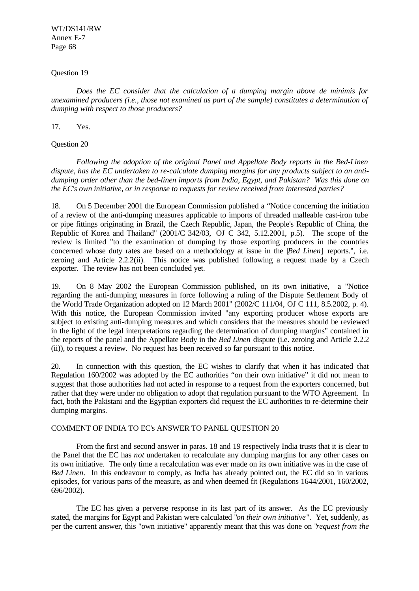WT/DS141/RW Annex E-7 Page 68

#### Question 19

*Does the EC consider that the calculation of a dumping margin above de minimis for unexamined producers (i.e., those not examined as part of the sample) constitutes a determination of dumping with respect to those producers?*

## 17. Yes.

## Question 20

*Following the adoption of the original Panel and Appellate Body reports in the Bed-Linen dispute, has the EC undertaken to re-calculate dumping margins for any products subject to an antidumping order other than the bed-linen imports from India, Egypt, and Pakistan? Was this done on the EC's own initiative, or in response to requests for review received from interested parties?*

18. On 5 December 2001 the European Commission published a "Notice concerning the initiation of a review of the anti-dumping measures applicable to imports of threaded malleable cast-iron tube or pipe fittings originating in Brazil, the Czech Republic, Japan, the People's Republic of China, the Republic of Korea and Thailand" (2001/C 342/03, OJ C 342, 5.12.2001, p.5). The scope of the review is limited "to the examination of dumping by those exporting producers in the countries concerned whose duty rates are based on a methodology at issue in the [*Bed Linen*] reports.", i.e. zeroing and Article 2.2.2(ii). This notice was published following a request made by a Czech exporter. The review has not been concluded yet.

19. On 8 May 2002 the European Commission published, on its own initiative, a "Notice regarding the anti-dumping measures in force following a ruling of the Dispute Settlement Body of the World Trade Organization adopted on 12 March 2001" (2002/C 111/04, OJ C 111, 8.5.2002, p. 4). With this notice, the European Commission invited "any exporting producer whose exports are subject to existing anti-dumping measures and which considers that the measures should be reviewed in the light of the legal interpretations regarding the determination of dumping margins" contained in the reports of the panel and the Appellate Body in the *Bed Linen* dispute (i.e. zeroing and Article 2.2.2 (ii)), to request a review. No request has been received so far pursuant to this notice.

20. In connection with this question, the EC wishes to clarify that when it has indic ated that Regulation 160/2002 was adopted by the EC authorities "on their own initiative" it did not mean to suggest that those authorities had not acted in response to a request from the exporters concerned, but rather that they were under no obligation to adopt that regulation pursuant to the WTO Agreement. In fact, both the Pakistani and the Egyptian exporters did request the EC authorities to re-determine their dumping margins.

#### COMMENT OF INDIA TO EC's ANSWER TO PANEL QUESTION 20

From the first and second answer in paras. 18 and 19 respectively India trusts that it is clear to the Panel that the EC has *not* undertaken to recalculate any dumping margins for any other cases on its own initiative. The only time a recalculation was ever made on its own initiative was in the case of *Bed Linen*. In this endeavour to comply, as India has already pointed out, the EC did so in various episodes, for various parts of the measure, as and when deemed fit (Regulations 1644/2001, 160/2002, 696/2002).

The EC has given a perverse response in its last part of its answer. As the EC previously stated, the margins for Egypt and Pakistan were calculated "*on their own initiative*". Yet, suddenly, as per the current answer, this "own initiative" apparently meant that this was done on "*request from the*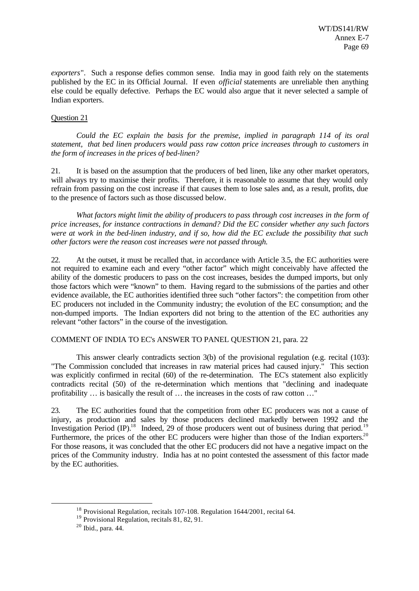*exporters*". Such a response defies common sense. India may in good faith rely on the statements published by the EC in its Official Journal. If even *official* statements are unreliable then anything else could be equally defective. Perhaps the EC would also argue that it never selected a sample of Indian exporters.

## Question 21

*Could the EC explain the basis for the premise, implied in paragraph 114 of its oral statement, that bed linen producers would pass raw cotton price increases through to customers in the form of increases in the prices of bed-linen?*

21. It is based on the assumption that the producers of bed linen, like any other market operators, will always try to maximise their profits. Therefore, it is reasonable to assume that they would only refrain from passing on the cost increase if that causes them to lose sales and, as a result, profits, due to the presence of factors such as those discussed below.

*What factors might limit the ability of producers to pass through cost increases in the form of price increases, for instance contractions in demand? Did the EC consider whether any such factors were at work in the bed-linen industry, and if so, how did the EC exclude the possibility that such other factors were the reason cost increases were not passed through.*

22. At the outset, it must be recalled that, in accordance with Article 3.5, the EC authorities were not required to examine each and every "other factor" which might conceivably have affected the ability of the domestic producers to pass on the cost increases, besides the dumped imports, but only those factors which were "known" to them. Having regard to the submissions of the parties and other evidence available, the EC authorities identified three such "other factors": the competition from other EC producers not included in the Community industry; the evolution of the EC consumption; and the non-dumped imports. The Indian exporters did not bring to the attention of the EC authorities any relevant "other factors" in the course of the investigation.

## COMMENT OF INDIA TO EC's ANSWER TO PANEL QUESTION 21, para. 22

This answer clearly contradicts section 3(b) of the provisional regulation (e.g. recital (103): "The Commission concluded that increases in raw material prices had caused injury." This section was explicitly confirmed in recital (60) of the re-determination. The EC's statement also explicitly contradicts recital (50) of the re-determination which mentions that "declining and inadequate profitability ... is basically the result of ... the increases in the costs of raw cotton ...

23. The EC authorities found that the competition from other EC producers was not a cause of injury, as production and sales by those producers declined markedly between 1992 and the Investigation Period  $(\text{IP})$ <sup>18</sup> Indeed, 29 of those producers went out of business during that period.<sup>19</sup> Furthermore, the prices of the other EC producers were higher than those of the Indian exporters.<sup>20</sup> For those reasons, it was concluded that the other EC producers did not have a negative impact on the prices of the Community industry. India has at no point contested the assessment of this factor made by the EC authorities.

<sup>18</sup> Provisional Regulation, recitals 107-108. Regulation 1644/2001, recital 64.

<sup>19</sup> Provisional Regulation, recitals 81, 82, 91.

 $20$  Ibid., para. 44.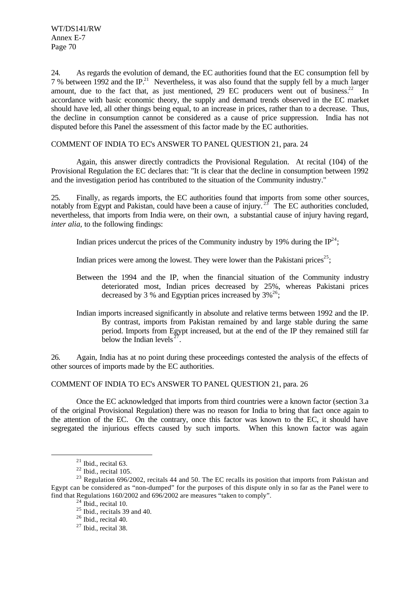WT/DS141/RW Annex E-7 Page 70

24. As regards the evolution of demand, the EC authorities found that the EC consumption fell by 7 % between 1992 and the IP.<sup>21</sup> Nevertheless, it was also found that the supply fell by a much larger amount, due to the fact that, as just mentioned, 29 EC producers went out of business.<sup>22</sup> In accordance with basic economic theory, the supply and demand trends observed in the EC market should have led, all other things being equal, to an increase in prices, rather than to a decrease. Thus, the decline in consumption cannot be considered as a cause of price suppression. India has not disputed before this Panel the assessment of this factor made by the EC authorities.

## COMMENT OF INDIA TO EC's ANSWER TO PANEL QUESTION 21, para. 24

Again, this answer directly contradicts the Provisional Regulation. At recital (104) of the Provisional Regulation the EC declares that: "It is clear that the decline in consumption between 1992 and the investigation period has contributed to the situation of the Community industry."

25. Finally, as regards imports, the EC authorities found that imports from some other sources, notably from Egypt and Pakistan, could have been a cause of injury.<sup>25</sup> The EC authorities concluded, nevertheless, that imports from India were, on their own, a substantial cause of injury having regard, *inter alia,* to the following findings:

Indian prices undercut the prices of the Community industry by 19% during the  $IP^{24}$ ;

Indian prices were among the lowest. They were lower than the Pakistani prices<sup>25</sup>;

- Between the 1994 and the IP, when the financial situation of the Community industry deteriorated most, Indian prices decreased by 25%, whereas Pakistani prices decreased by 3 % and Egyptian prices increased by  $3\%^{26}$ ;
- Indian imports increased significantly in absolute and relative terms between 1992 and the IP. By contrast, imports from Pakistan remained by and large stable during the same period. Imports from Egypt increased, but at the end of the IP they remained still far below the Indian levels<sup> $27$ </sup>.

26. Again, India has at no point during these proceedings contested the analysis of the effects of other sources of imports made by the EC authorities.

# COMMENT OF INDIA TO EC's ANSWER TO PANEL QUESTION 21, para. 26

Once the EC acknowledged that imports from third countries were a known factor (section 3.a of the original Provisional Regulation) there was no reason for India to bring that fact once again to the attention of the EC. On the contrary, once this factor was known to the EC, it should have segregated the injurious effects caused by such imports. When this known factor was again

 $21$  Ibid., recital 63.

 $22$  Ibid., recital 105.

<sup>&</sup>lt;sup>23</sup> Regulation 696/2002, recitals 44 and 50. The EC recalls its position that imports from Pakistan and Egypt can be considered as "non-dumped" for the purposes of this dispute only in so far as the Panel were to find that Regulations 160/2002 and 696/2002 are measures "taken to comply".

 $24$  Ibid., recital 10.

 $25$  Ibid., recitals 39 and 40.

 $26$  Ibid., recital 40.

 $27$  Ibid., recital 38.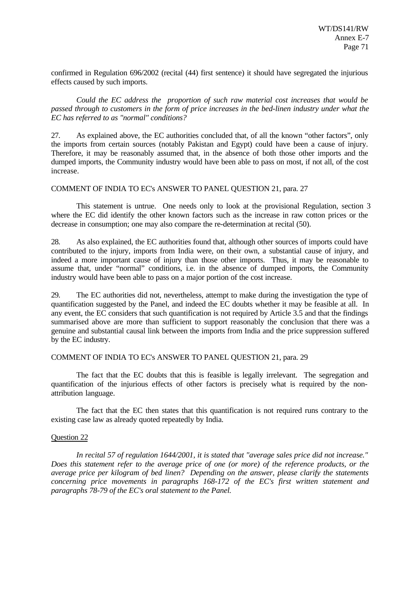confirmed in Regulation 696/2002 (recital (44) first sentence) it should have segregated the injurious effects caused by such imports.

*Could the EC address the proportion of such raw material cost increases that would be passed through to customers in the form of price increases in the bed-linen industry under what the EC has referred to as "normal" conditions?*

27. As explained above, the EC authorities concluded that, of all the known "other factors", only the imports from certain sources (notably Pakistan and Egypt) could have been a cause of injury. Therefore, it may be reasonably assumed that, in the absence of both those other imports and the dumped imports, the Community industry would have been able to pass on most, if not all, of the cost increase.

#### COMMENT OF INDIA TO EC's ANSWER TO PANEL QUESTION 21, para. 27

This statement is untrue. One needs only to look at the provisional Regulation, section 3 where the EC did identify the other known factors such as the increase in raw cotton prices or the decrease in consumption; one may also compare the re-determination at recital (50).

28. As also explained, the EC authorities found that, although other sources of imports could have contributed to the injury, imports from India were, on their own, a substantial cause of injury, and indeed a more important cause of injury than those other imports. Thus, it may be reasonable to assume that, under "normal" conditions, i.e. in the absence of dumped imports, the Community industry would have been able to pass on a major portion of the cost increase.

29. The EC authorities did not, nevertheless, attempt to make during the investigation the type of quantification suggested by the Panel, and indeed the EC doubts whether it may be feasible at all. In any event, the EC considers that such quantification is not required by Article 3.5 and that the findings summarised above are more than sufficient to support reasonably the conclusion that there was a genuine and substantial causal link between the imports from India and the price suppression suffered by the EC industry.

#### COMMENT OF INDIA TO EC's ANSWER TO PANEL QUESTION 21, para. 29

The fact that the EC doubts that this is feasible is legally irrelevant. The segregation and quantification of the injurious effects of other factors is precisely what is required by the nonattribution language.

The fact that the EC then states that this quantification is not required runs contrary to the existing case law as already quoted repeatedly by India.

#### Question 22

*In recital 57 of regulation 1644/2001, it is stated that "average sales price did not increase." Does this statement refer to the average price of one (or more) of the reference products, or the average price per kilogram of bed linen? Depending on the answer, please clarify the statements concerning price movements in paragraphs 168-172 of the EC's first written statement and paragraphs 78-79 of the EC's oral statement to the Panel.*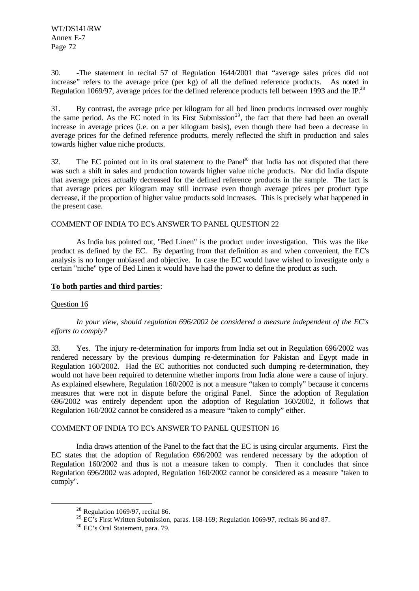WT/DS141/RW Annex E-7 Page 72

30. -The statement in recital 57 of Regulation 1644/2001 that "average sales prices did not increase" refers to the average price (per kg) of all the defined reference products. As noted in Regulation 1069/97, average prices for the defined reference products fell between 1993 and the IP.<sup>28</sup>

31. By contrast, the average price per kilogram for all bed linen products increased over roughly the same period. As the EC noted in its First Submission<sup>29</sup>, the fact that there had been an overall increase in average prices (i.e. on a per kilogram basis), even though there had been a decrease in average prices for the defined reference products, merely reflected the shift in production and sales towards higher value niche products.

32. The EC pointed out in its oral statement to the Pane $\hat{J}^0$  that India has not disputed that there was such a shift in sales and production towards higher value niche products. Nor did India dispute that average prices actually decreased for the defined reference products in the sample. The fact is that average prices per kilogram may still increase even though average prices per product type decrease, if the proportion of higher value products sold increases. This is precisely what happened in the present case.

#### COMMENT OF INDIA TO EC's ANSWER TO PANEL QUESTION 22

As India has pointed out, "Bed Linen" is the product under investigation. This was the like product as defined by the EC. By departing from that definition as and when convenient, the EC's analysis is no longer unbiased and objective. In case the EC would have wished to investigate only a certain "niche" type of Bed Linen it would have had the power to define the product as such.

#### **To both parties and third parties**:

## Question 16

l

*In your view, should regulation 696/2002 be considered a measure independent of the EC's efforts to comply?*

33. Yes. The injury re-determination for imports from India set out in Regulation 696/2002 was rendered necessary by the previous dumping re-determination for Pakistan and Egypt made in Regulation 160/2002. Had the EC authorities not conducted such dumping re-determination, they would not have been required to determine whether imports from India alone were a cause of injury. As explained elsewhere, Regulation 160/2002 is not a measure "taken to comply" because it concerns measures that were not in dispute before the original Panel. Since the adoption of Regulation 696/2002 was entirely dependent upon the adoption of Regulation 160/2002, it follows that Regulation 160/2002 cannot be considered as a measure "taken to comply" either.

## COMMENT OF INDIA TO EC's ANSWER TO PANEL QUESTION 16

India draws attention of the Panel to the fact that the EC is using circular arguments. First the EC states that the adoption of Regulation 696/2002 was rendered necessary by the adoption of Regulation 160/2002 and thus is not a measure taken to comply. Then it concludes that since Regulation 696/2002 was adopted, Regulation 160/2002 cannot be considered as a measure "taken to comply".

 $28$  Regulation 1069/97, recital 86.

<sup>&</sup>lt;sup>29</sup> EC's First Written Submission, paras. 168-169; Regulation 1069/97, recitals 86 and 87.

<sup>30</sup> EC's Oral Statement, para. 79.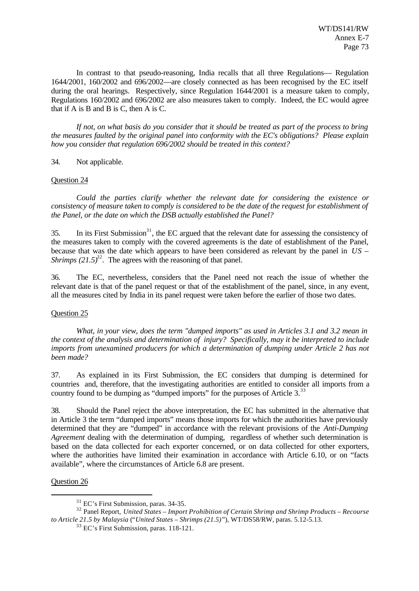In contrast to that pseudo-reasoning, India recalls that all three Regulations— Regulation 1644/2001, 160/2002 and 696/2002—are closely connected as has been recognised by the EC itself during the oral hearings. Respectively, since Regulation 1644/2001 is a measure taken to comply, Regulations 160/2002 and 696/2002 are also measures taken to comply. Indeed, the EC would agree that if A is B and B is C, then A is C.

*If not, on what basis do you consider that it should be treated as part of the process to bring the measures faulted by the original panel into conformity with the EC's obligations? Please explain how you consider that regulation 696/2002 should be treated in this context?*

34. Not applicable.

#### Question 24

*Could the parties clarify whether the relevant date for considering the existence or consistency of measure taken to comply is considered to be the date of the request for establishment of the Panel, or the date on which the DSB actually established the Panel?*

 $35.$  In its First Submission<sup>31</sup>, the EC argued that the relevant date for assessing the consistency of the measures taken to comply with the covered agreements is the date of establishment of the Panel, because that was the date which appears to have been considered as relevant by the panel in *US – Shrimps*  $(21.5)^{32}$ . The agrees with the reasoning of that panel.

36. The EC, nevertheless, considers that the Panel need not reach the issue of whether the relevant date is that of the panel request or that of the establishment of the panel, since, in any event, all the measures cited by India in its panel request were taken before the earlier of those two dates.

#### Question 25

*What, in your view, does the term "dumped imports" as used in Articles 3.1 and 3.2 mean in the context of the analysis and determination of injury? Specifically, may it be interpreted to include imports from unexamined producers for which a determination of dumping under Article 2 has not been made?*

37. As explained in its First Submission, the EC considers that dumping is determined for countries and, therefore, that the investigating authorities are entitled to consider all imports from a country found to be dumping as "dumped imports" for the purposes of Article 3.<sup>33</sup>

38. Should the Panel reject the above interpretation, the EC has submitted in the alternative that in Article 3 the term "dumped imports" means those imports for which the authorities have previously determined that they are "dumped" in accordance with the relevant provisions of the *Anti-Dumping Agreement* dealing with the determination of dumping, regardless of whether such determination is based on the data collected for each exporter concerned, or on data collected for other exporters, where the authorities have limited their examination in accordance with Article 6.10, or on "facts available", where the circumstances of Article 6.8 are present.

Question 26

l

 $31$  EC's First Submission, paras. 34-35.

<sup>32</sup> Panel Report, *United States – Import Prohibition of Certain Shrimp and Shrimp Products – Recourse to Article 21.5 by Malaysia* ("*United States – Shrimps (21.5)*"), WT/DS58/RW, paras. 5.12-5.13.

<sup>33</sup> EC's First Submission, paras. 118-121.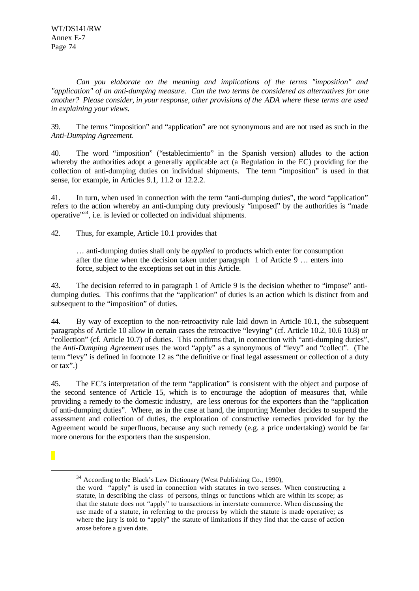*Can you elaborate on the meaning and implications of the terms "imposition" and "application" of an anti-dumping measure. Can the two terms be considered as alternatives for one another? Please consider, in your response, other provisions of the ADA where these terms are used in explaining your views.*

39. The terms "imposition" and "application" are not synonymous and are not used as such in the *Anti-Dumping Agreement*.

40. The word "imposition" ("establecimiento" in the Spanish version) alludes to the action whereby the authorities adopt a generally applicable act (a Regulation in the EC) providing for the collection of anti-dumping duties on individual shipments. The term "imposition" is used in that sense, for example, in Articles 9.1, 11.2 or 12.2.2.

41. In turn, when used in connection with the term "anti-dumping duties", the word "application" refers to the action whereby an anti-dumping duty previously "imposed" by the authorities is "made operative"<sup>34</sup>, i.e. is levied or collected on individual shipments.

42. Thus, for example, Article 10.1 provides that

… anti-dumping duties shall only be *applied* to products which enter for consumption after the time when the decision taken under paragraph 1 of Article 9 … enters into force, subject to the exceptions set out in this Article.

43. The decision referred to in paragraph 1 of Article 9 is the decision whether to "impose" antidumping duties. This confirms that the "application" of duties is an action which is distinct from and subsequent to the "imposition" of duties.

44. By way of exception to the non-retroactivity rule laid down in Article 10.1, the subsequent paragraphs of Article 10 allow in certain cases the retroactive "levying" (cf. Article 10.2, 10.6 10.8) or "collection" (cf. Article 10.7) of duties. This confirms that, in connection with "anti-dumping duties", the *Anti-Dumping Agreement* uses the word "apply" as a synonymous of "levy" and "collect". (The term "levy" is defined in footnote 12 as "the definitive or final legal assessment or collection of a duty or tax".)

45. The EC's interpretation of the term "application" is consistent with the object and purpose of the second sentence of Article 15, which is to encourage the adoption of measures that, while providing a remedy to the domestic industry, are less onerous for the exporters than the "application of anti-dumping duties". Where, as in the case at hand, the importing Member decides to suspend the assessment and collection of duties, the exploration of constructive remedies provided for by the Agreement would be superfluous, because any such remedy (e.g. a price undertaking) would be far more onerous for the exporters than the suspension.

l

<sup>&</sup>lt;sup>34</sup> According to the Black's Law Dictionary (West Publishing Co., 1990),

the word "apply" is used in connection with statutes in two senses. When constructing a statute, in describing the class of persons, things or functions which are within its scope; as that the statute does not "apply" to transactions in interstate commerce. When discussing the use made of a statute, in referring to the process by which the statute is made operative; as where the jury is told to "apply" the statute of limitations if they find that the cause of action arose before a given date.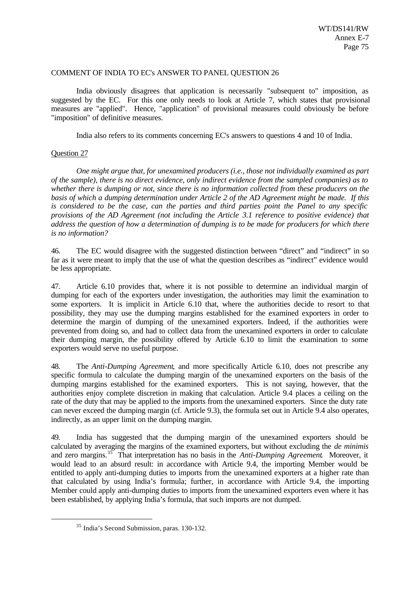#### COMMENT OF INDIA TO EC's ANSWER TO PANEL QUESTION 26

India obviously disagrees that application is necessarily "subsequent to" imposition, as suggested by the EC. For this one only needs to look at Article 7, which states that provisional measures are "applied". Hence, "application" of provisional measures could obviously be before "imposition" of definitive measures.

India also refers to its comments concerning EC's answers to questions 4 and 10 of India.

# Question 27

l

*One might argue that, for unexamined producers (i.e., those not individually examined as part of the sample), there is no direct evidence, only indirect evidence from the sampled companies) as to whether there is dumping or not, since there is no information collected from these producers on the basis of which a dumping determination under Article 2 of the AD Agreement might be made. If this is considered to be the case, can the parties and third parties point the Panel to any specific provisions of the AD Agreement (not including the Article 3.1 reference to positive evidence) that address the question of how a determination of dumping is to be made for producers for which there is no information?*

46. The EC would disagree with the suggested distinction between "direct" and "indirect" in so far as it were meant to imply that the use of what the question describes as "indirect" evidence would be less appropriate.

47. Article 6.10 provides that, where it is not possible to determine an individual margin of dumping for each of the exporters under investigation, the authorities may limit the examination to some exporters. It is implicit in Article 6.10 that, where the authorities decide to resort to that possibility, they may use the dumping margins established for the examined exporters in order to determine the margin of dumping of the unexamined exporters. Indeed, if the authorities were prevented from doing so, and had to collect data from the unexamined exporters in order to calculate their dumping margin, the possibility offered by Article 6.10 to limit the examination to some exporters would serve no useful purpose.

48. The *Anti-Dumping Agreement*, and more specifically Article 6.10, does not prescribe any specific formula to calculate the dumping margin of the unexamined exporters on the basis of the dumping margins established for the examined exporters. This is not saying, however, that the authorities enjoy complete discretion in making that calculation. Article 9.4 places a ceiling on the rate of the duty that may be applied to the imports from the unexamined exporters. Since the duty rate can never exceed the dumping margin (cf. Article 9.3), the formula set out in Article 9.4 also operates, indirectly, as an upper limit on the dumping margin.

49. India has suggested that the dumping margin of the unexamined exporters should be calculated by averaging the margins of the examined exporters, but without excluding the *de minimis* and zero margins.<sup>35</sup> That interpretation has no basis in the *Anti-Dumping Agreement*. Moreover, it would lead to an absurd result: in accordance with Article 9.4, the importing Member would be entitled to apply anti-dumping duties to imports from the unexamined exporters at a higher rate than that calculated by using India's formula; further, in accordance with Article 9.4, the importing Member could apply anti-dumping duties to imports from the unexamined exporters even where it has been established, by applying India's formula, that such imports are not dumped.

<sup>35</sup> India's Second Submission, paras. 130-132.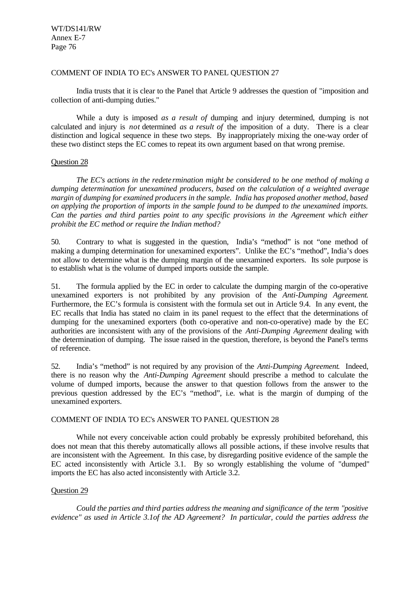WT/DS141/RW Annex E-7 Page 76

#### COMMENT OF INDIA TO EC's ANSWER TO PANEL QUESTION 27

India trusts that it is clear to the Panel that Article 9 addresses the question of "imposition and collection of anti-dumping duties."

While a duty is imposed *as a result of* dumping and injury determined, dumping is not calculated and injury is *not* determined *as a result of* the imposition of a duty. There is a clear distinction and logical sequence in these two steps. By inappropriately mixing the one-way order of these two distinct steps the EC comes to repeat its own argument based on that wrong premise.

#### Question 28

*The EC's actions in the redete rmination might be considered to be one method of making a dumping determination for unexamined producers, based on the calculation of a weighted average margin of dumping for examined producers in the sample. India has proposed another method, based on applying the proportion of imports in the sample found to be dumped to the unexamined imports. Can the parties and third parties point to any specific provisions in the Agreement which either prohibit the EC method or require the Indian method?*

50. Contrary to what is suggested in the question, India's "method" is not "one method of making a dumping determination for unexamined exporters". Unlike the EC's "method", India's does not allow to determine what is the dumping margin of the unexamined exporters. Its sole purpose is to establish what is the volume of dumped imports outside the sample.

51. The formula applied by the EC in order to calculate the dumping margin of the co-operative unexamined exporters is not prohibited by any provision of the *Anti-Dumping Agreement*. Furthermore, the EC's formula is consistent with the formula set out in Article 9.4. In any event, the EC recalls that India has stated no claim in its panel request to the effect that the determinations of dumping for the unexamined exporters (both co-operative and non-co-operative) made by the EC authorities are inconsistent with any of the provisions of the *Anti-Dumping Agreement* dealing with the determination of dumping. The issue raised in the question, therefore, is beyond the Panel's terms of reference.

52. India's "method" is not required by any provision of the *Anti-Dumping Agreement*. Indeed, there is no reason why the *Anti-Dumping Agreement* should prescribe a method to calculate the volume of dumped imports, because the answer to that question follows from the answer to the previous question addressed by the EC's "method", i.e. what is the margin of dumping of the unexamined exporters.

#### COMMENT OF INDIA TO EC's ANSWER TO PANEL QUESTION 28

While not every conceivable action could probably be expressly prohibited beforehand, this does not mean that this thereby automatically allows all possible actions, if these involve results that are inconsistent with the Agreement. In this case, by disregarding positive evidence of the sample the EC acted inconsistently with Article 3.1. By so wrongly establishing the volume of "dumped" imports the EC has also acted inconsistently with Article 3.2.

#### Question 29

*Could the parties and third parties address the meaning and significance of the term "positive evidence" as used in Article 3.1of the AD Agreement? In particular, could the parties address the*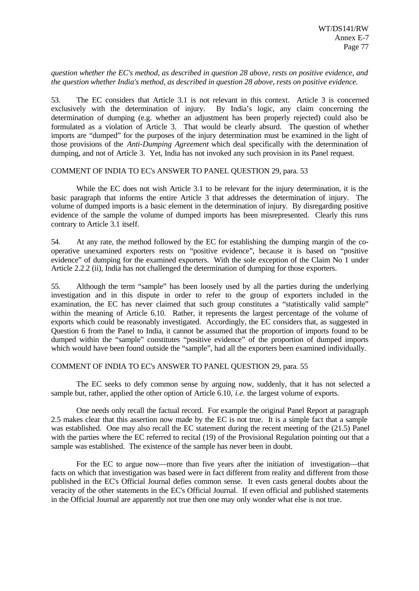#### *question whether the EC's method, as described in question 28 above, rests on positive evidence, and the question whether India's method, as described in question 28 above, rests on positive evidence.*

53. The EC considers that Article 3.1 is not relevant in this context. Article 3 is concerned exclusively with the determination of injury. By India's logic, any claim concerning the determination of dumping (e.g. whether an adjustment has been properly rejected) could also be formulated as a violation of Article 3. That would be clearly absurd. The question of whether imports are "dumped" for the purposes of the injury determination must be examined in the light of those provisions of the *Anti-Dumping Agreement* which deal specifically with the determination of dumping, and not of Article 3. Yet, India has not invoked any such provision in its Panel request.

#### COMMENT OF INDIA TO EC's ANSWER TO PANEL QUESTION 29, para. 53

While the EC does not wish Article 3.1 to be relevant for the injury determination, it is the basic paragraph that informs the entire Article 3 that addresses the determination of injury. The volume of dumped imports is a basic element in the determination of injury. By disregarding positive evidence of the sample the volume of dumped imports has been misrepresented. Clearly this runs contrary to Article 3.1 itself.

54. At any rate, the method followed by the EC for establishing the dumping margin of the cooperative unexamined exporters rests on "positive evidence", because it is based on "positive evidence" of dumping for the examined exporters. With the sole exception of the Claim No 1 under Article 2.2.2 (ii), India has not challenged the determination of dumping for those exporters.

55. Although the term "sample" has been loosely used by all the parties during the underlying investigation and in this dispute in order to refer to the group of exporters included in the examination, the EC has never claimed that such group constitutes a "statistically valid sample" within the meaning of Article 6.10. Rather, it represents the largest percentage of the volume of exports which could be reasonably investigated. Accordingly, the EC considers that, as suggested in Question 6 from the Panel to India, it cannot be assumed that the proportion of imports found to be dumped within the "sample" constitutes "positive evidence" of the proportion of dumped imports which would have been found outside the "sample", had all the exporters been examined individually.

### COMMENT OF INDIA TO EC's ANSWER TO PANEL QUESTION 29, para. 55

The EC seeks to defy common sense by arguing now, suddenly, that it has not selected a sample but, rather, applied the other option of Article 6.10, *i.e.* the largest volume of exports.

One needs only recall the factual record. For example the original Panel Report at paragraph 2.5 makes clear that this assertion now made by the EC is not true. It is a simple fact that a sample was established. One may also recall the EC statement during the recent meeting of the (21.5) Panel with the parties where the EC referred to recital (19) of the Provisional Regulation pointing out that a sample was established. The existence of the sample has never been in doubt.

For the EC to argue now—more than five years after the initiation of investigation—that facts on which that investigation was based were in fact different from reality and different from those published in the EC's Official Journal defies common sense. It even casts general doubts about the veracity of the other statements in the EC's Official Journal. If even official and published statements in the Official Journal are apparently not true then one may only wonder what else is not true.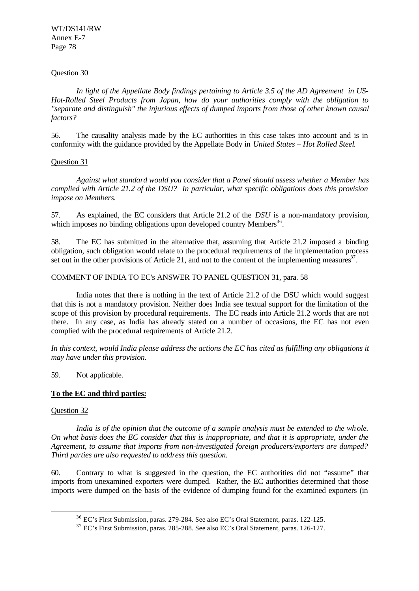WT/DS141/RW Annex E-7 Page 78

#### Question 30

*In light of the Appellate Body findings pertaining to Article 3.5 of the AD Agreement in US-Hot-Rolled Steel Products from Japan, how do your authorities comply with the obligation to "separate and distinguish" the injurious effects of dumped imports from those of other known causal factors?*

56. The causality analysis made by the EC authorities in this case takes into account and is in conformity with the guidance provided by the Appellate Body in *United States – Hot Rolled Steel*.

#### Question 31

*Against what standard would you consider that a Panel should assess whether a Member has complied with Article 21.2 of the DSU? In particular, what specific obligations does this provision impose on Members.*

57. As explained, the EC considers that Article 21.2 of the *DSU* is a non-mandatory provision, which imposes no binding obligations upon developed country Members<sup>36</sup>.

58. The EC has submitted in the alternative that, assuming that Article 21.2 imposed a binding obligation, such obligation would relate to the procedural requirements of the implementation process set out in the other provisions of Article 21, and not to the content of the implementing measures $3^7$ .

#### COMMENT OF INDIA TO EC's ANSWER TO PANEL QUESTION 31, para. 58

India notes that there is nothing in the text of Article 21.2 of the DSU which would suggest that this is not a mandatory provision. Neither does India see textual support for the limitation of the scope of this provision by procedural requirements. The EC reads into Article 21.2 words that are not there. In any case, as India has already stated on a number of occasions, the EC has not even complied with the procedural requirements of Article 21.2.

*In this context, would India please address the actions the EC has cited as fulfilling any obligations it may have under this provision.*

59. Not applicable.

#### **To the EC and third parties:**

### Question 32

l

*India is of the opinion that the outcome of a sample analysis must be extended to the whole. On what basis does the EC consider that this is inappropriate, and that it is appropriate, under the Agreement, to assume that imports from non-investigated foreign producers/exporters are dumped? Third parties are also requested to address this question.*

60. Contrary to what is suggested in the question, the EC authorities did not "assume" that imports from unexamined exporters were dumped. Rather, the EC authorities determined that those imports were dumped on the basis of the evidence of dumping found for the examined exporters (in

<sup>36</sup> EC's First Submission, paras. 279-284. See also EC's Oral Statement, paras. 122-125.

<sup>37</sup> EC's First Submission, paras. 285-288. See also EC's Oral Statement, paras. 126-127.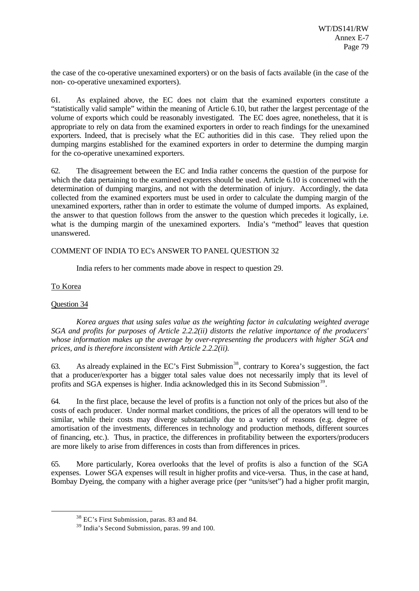the case of the co-operative unexamined exporters) or on the basis of facts available (in the case of the non- co-operative unexamined exporters).

61. As explained above, the EC does not claim that the examined exporters constitute a "statistically valid sample" within the meaning of Article 6.10, but rather the largest percentage of the volume of exports which could be reasonably investigated. The EC does agree, nonetheless, that it is appropriate to rely on data from the examined exporters in order to reach findings for the unexamined exporters. Indeed, that is precisely what the EC authorities did in this case. They relied upon the dumping margins established for the examined exporters in order to determine the dumping margin for the co-operative unexamined exporters.

62. The disagreement between the EC and India rather concerns the question of the purpose for which the data pertaining to the examined exporters should be used. Article 6.10 is concerned with the determination of dumping margins, and not with the determination of injury. Accordingly, the data collected from the examined exporters must be used in order to calculate the dumping margin of the unexamined exporters, rather than in order to estimate the volume of dumped imports. As explained, the answer to that question follows from the answer to the question which precedes it logically, i.e. what is the dumping margin of the unexamined exporters. India's "method" leaves that question unanswered.

# COMMENT OF INDIA TO EC's ANSWER TO PANEL QUESTION 32

India refers to her comments made above in respect to question 29.

# To Korea

# Question 34

l

*Korea argues that using sales value as the weighting factor in calculating weighted average SGA and profits for purposes of Article 2.2.2(ii) distorts the relative importance of the producers' whose information makes up the average by over-representing the producers with higher SGA and prices, and is therefore inconsistent with Article 2.2.2(ii).*

63. As already explained in the EC's First Submission<sup>38</sup>, contrary to Korea's suggestion, the fact that a producer/exporter has a bigger total sales value does not necessarily imply that its level of profits and SGA expenses is higher. India acknowledged this in its Second Submission<sup>39</sup>.

64. In the first place, because the level of profits is a function not only of the prices but also of the costs of each producer. Under normal market conditions, the prices of all the operators will tend to be similar, while their costs may diverge substantially due to a variety of reasons (e.g. degree of amortisation of the investments, differences in technology and production methods, different sources of financing, etc.). Thus, in practice, the differences in profitability between the exporters/producers are more likely to arise from differences in costs than from differences in prices.

65. More particularly, Korea overlooks that the level of profits is also a function of the SGA expenses. Lower SGA expenses will result in higher profits and vice-versa. Thus, in the case at hand, Bombay Dyeing, the company with a higher average price (per "units/set") had a higher profit margin,

<sup>38</sup> EC's First Submission, paras. 83 and 84.

<sup>39</sup> India's Second Submission, paras. 99 and 100.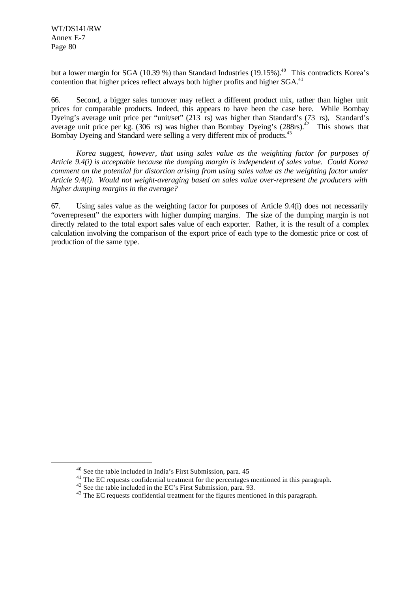WT/DS141/RW Annex E-7 Page 80

l

but a lower margin for SGA (10.39 %) than Standard Industries (19.15%).<sup>40</sup> This contradicts Korea's contention that higher prices reflect always both higher profits and higher SGA.<sup>41</sup>

66. Second, a bigger sales turnover may reflect a different product mix, rather than higher unit prices for comparable products. Indeed, this appears to have been the case here. While Bombay Dyeing's average unit price per "unit/set" (213 rs) was higher than Standard's (73 rs), Standard's average unit price per kg.  $(306 \text{ rs})$  was higher than Bombay Dyeing's  $(288 \text{ rs})$ .<sup>42</sup> This shows that Bombay Dyeing and Standard were selling a very different mix of products.<sup>43</sup>

*Korea suggest, however, that using sales value as the weighting factor for purposes of Article 9.4(i) is acceptable because the dumping margin is independent of sales value. Could Korea comment on the potential for distortion arising from using sales value as the weighting factor under Article 9.4(i). Would not weight-averaging based on sales value over-represent the producers with higher dumping margins in the average?*

67. Using sales value as the weighting factor for purposes of Article 9.4(i) does not necessarily "overrepresent" the exporters with higher dumping margins. The size of the dumping margin is not directly related to the total export sales value of each exporter. Rather, it is the result of a complex calculation involving the comparison of the export price of each type to the domestic price or cost of production of the same type.

<sup>40</sup> See the table included in India's First Submission, para. 45

<sup>&</sup>lt;sup>41</sup> The EC requests confidential treatment for the percentages mentioned in this paragraph.

<sup>42</sup> See the table included in the EC's First Submission, para. 93.

<sup>&</sup>lt;sup>43</sup> The EC requests confidential treatment for the figures mentioned in this paragraph.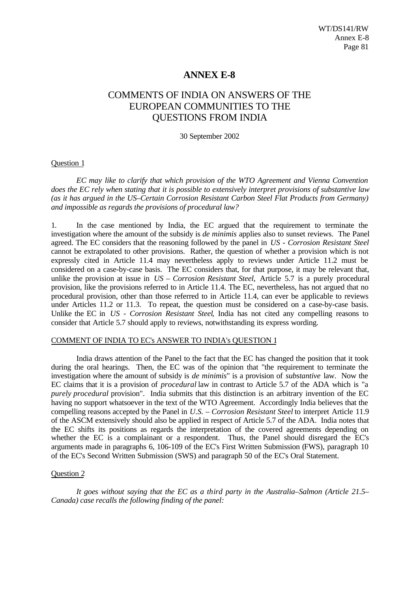# **ANNEX E-8**

# COMMENTS OF INDIA ON ANSWERS OF THE EUROPEAN COMMUNITIES TO THE QUESTIONS FROM INDIA

30 September 2002

#### Question 1

*EC may like to clarify that which provision of the WTO Agreement and Vienna Convention does the EC rely when stating that it is possible to extensively interpret provisions of substantive law (as it has argued in the US–Certain Corrosion Resistant Carbon Steel Flat Products from Germany) and impossible as regards the provisions of procedural law?*

1. In the case mentioned by India, the EC argued that the requirement to terminate the investigation where the amount of the subsidy is *de minimis* applies also to sunset reviews. The Panel agreed. The EC considers that the reasoning followed by the panel in *US - Corrosion Resistant Steel* cannot be extrapolated to other provisions. Rather, the question of whether a provision which is not expressly cited in Article 11.4 may nevertheless apply to reviews under Article 11.2 must be considered on a case-by-case basis. The EC considers that, for that purpose, it may be relevant that, unlike the provision at issue in *US – Corrosion Resistant Steel,* Article 5.7 is a purely procedural provision, like the provisions referred to in Article 11.4. The EC, nevertheless, has not argued that no procedural provision, other than those referred to in Article 11.4, can ever be applicable to reviews under Articles 11.2 or 11.3. To repeat, the question must be considered on a case-by-case basis. Unlike the EC in *US - Corrosion Resistant Steel*, India has not cited any compelling reasons to consider that Article 5.7 should apply to reviews, notwithstanding its express wording.

#### COMMENT OF INDIA TO EC's ANSWER TO INDIA's QUESTION 1

India draws attention of the Panel to the fact that the EC has changed the position that it took during the oral hearings. Then, the EC was of the opinion that "the requirement to terminate the investigation where the amount of subsidy is *de minimis*" is a provision of *substantive* law. Now the EC claims that it is a provision of *procedural* law in contrast to Article 5.7 of the ADA which is "a *purely procedural* provision". India submits that this distinction is an arbitrary invention of the EC having no support whatsoever in the text of the WTO Agreement. Accordingly India believes that the compelling reasons accepted by the Panel in *U.S. – Corrosion Resistant Steel* to interpret Article 11.9 of the ASCM extensively should also be applied in respect of Article 5.7 of the ADA. India notes that the EC shifts its positions as regards the interpretation of the covered agreements depending on whether the EC is a complainant or a respondent. Thus, the Panel should disregard the EC's arguments made in paragraphs 6, 106-109 of the EC's First Written Submission (FWS), paragraph 10 of the EC's Second Written Submission (SWS) and paragraph 50 of the EC's Oral Statement.

#### Question 2

*It goes without saying that the EC as a third party in the Australia–Salmon (Article 21.5– Canada) case recalls the following finding of the panel:*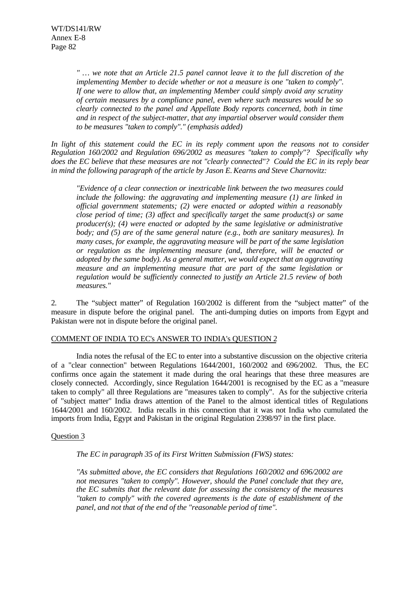*" … we note that an Article 21.5 panel cannot leave it to the full discretion of the implementing Member to decide whether or not a measure is one "taken to comply". If one were to allow that, an implementing Member could simply avoid any scrutiny of certain measures by a compliance panel, even where such measures would be so clearly connected to the panel and Appellate Body reports concerned, both in time and in respect of the subject-matter, that any impartial observer would consider them to be measures "taken to comply"." (emphasis added)*

*In light of this statement could the EC in its reply comment upon the reasons not to consider Regulation 160/2002 and Regulation 696/2002 as measures "taken to comply"? Specifically why does the EC believe that these measures are not "clearly connected"? Could the EC in its reply bear in mind the following paragraph of the article by Jason E. Kearns and Steve Charnovitz:*

*"Evidence of a clear connection or inextricable link between the two measures could include the following: the aggravating and implementing measure (1) are linked in official government statements; (2) were enacted or adopted within a reasonably close period of time; (3) affect and specifically target the same product(s) or same producer(s); (4) were enacted or adopted by the same legislative or administrative body; and (5) are of the same general nature (e.g., both are sanitary measures). In many cases, for example, the aggravating measure will be part of the same legislation or regulation as the implementing measure (and, therefore, will be enacted or adopted by the same body). As a general matter, we would expect that an aggravating measure and an implementing measure that are part of the same legislation or regulation would be sufficiently connected to justify an Article 21.5 review of both measures."*

2. The "subject matter" of Regulation 160/2002 is different from the "subject matter" of the measure in dispute before the original panel. The anti-dumping duties on imports from Egypt and Pakistan were not in dispute before the original panel.

#### COMMENT OF INDIA TO EC's ANSWER TO INDIA's QUESTION 2

India notes the refusal of the EC to enter into a substantive discussion on the objective criteria of a "clear connection" between Regulations 1644/2001, 160/2002 and 696/2002. Thus, the EC confirms once again the statement it made during the oral hearings that these three measures are closely connected. Accordingly, since Regulation 1644/2001 is recognised by the EC as a "measure taken to comply" all three Regulations are "measures taken to comply". As for the subjective criteria of "subject matter" India draws attention of the Panel to the almost identical titles of Regulations 1644/2001 and 160/2002. India recalls in this connection that it was not India who cumulated the imports from India, Egypt and Pakistan in the original Regulation 2398/97 in the first place.

#### Question 3

*The EC in paragraph 35 of its First Written Submission (FWS) states:*

*"As submitted above, the EC considers that Regulations 160/2002 and 696/2002 are not measures "taken to comply". However, should the Panel conclude that they are, the EC submits that the relevant date for assessing the consistency of the measures "taken to comply" with the covered agreements is the date of establishment of the panel, and not that of the end of the "reasonable period of time".*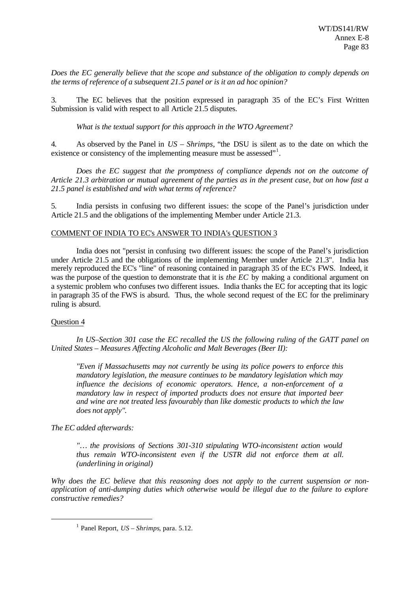*Does the EC generally believe that the scope and substance of the obligation to comply depends on the terms of reference of a subsequent 21.5 panel or is it an ad hoc opinion?*

3. The EC believes that the position expressed in paragraph 35 of the EC's First Written Submission is valid with respect to all Article 21.5 disputes.

*What is the textual support for this approach in the WTO Agreement?*

4. As observed by the Panel in *US – Shrimps*, "the DSU is silent as to the date on which the existence or consistency of the implementing measure must be assessed"<sup>1</sup>.

*Does the EC suggest that the promptness of compliance depends not on the outcome of Article 21.3 arbitration or mutual agreement of the parties as in the present case, but on how fast a 21.5 panel is established and with what terms of reference?*

5. India persists in confusing two different issues: the scope of the Panel's jurisdiction under Article 21.5 and the obligations of the implementing Member under Article 21.3.

#### COMMENT OF INDIA TO EC's ANSWER TO INDIA's QUESTION 3

India does not "persist in confusing two different issues: the scope of the Panel's jurisdiction under Article 21.5 and the obligations of the implementing Member under Article 21.3". India has merely reproduced the EC's "line" of reasoning contained in paragraph 35 of the EC's FWS. Indeed, it was the purpose of the question to demonstrate that it is *the EC* by making a conditional argument on a systemic problem who confuses two different issues. India thanks the EC for accepting that its logic in paragraph 35 of the FWS is absurd. Thus, the whole second request of the EC for the preliminary ruling is absurd.

#### Question 4

l

*In US–Section 301 case the EC recalled the US the following ruling of the GATT panel on United States – Measures Affecting Alcoholic and Malt Beverages (Beer II):*

*"Even if Massachusetts may not currently be using its police powers to enforce this mandatory legislation, the measure continues to be mandatory legislation which may influence the decisions of economic operators. Hence, a non-enforcement of a mandatory law in respect of imported products does not ensure that imported beer and wine are not treated less favourably than like domestic products to which the law does not apply".*

*The EC added afterwards:*

*"… the provisions of Sections 301-310 stipulating WTO-inconsistent action would thus remain WTO-inconsistent even if the USTR did not enforce them at all. (underlining in original)*

*Why does the EC believe that this reasoning does not apply to the current suspension or nonapplication of anti-dumping duties which otherwise would be illegal due to the failure to explore constructive remedies?*

<sup>1</sup> Panel Report, *US – Shrimps*, para. 5.12.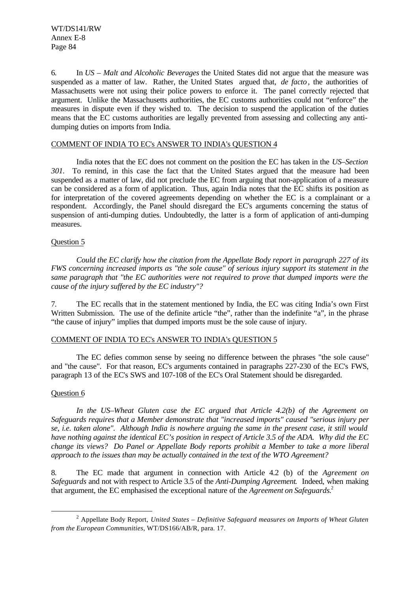6. In *US – Malt and Alcoholic Beverages* the United States did not argue that the measure was suspended as a matter of law. Rather, the United States argued that, *de facto*, the authorities of Massachusetts were not using their police powers to enforce it. The panel correctly rejected that argument. Unlike the Massachusetts authorities, the EC customs authorities could not "enforce" the measures in dispute even if they wished to. The decision to suspend the application of the duties means that the EC customs authorities are legally prevented from assessing and collecting any antidumping duties on imports from India.

#### COMMENT OF INDIA TO EC's ANSWER TO INDIA's QUESTION 4

India notes that the EC does not comment on the position the EC has taken in the *US–Section 301.* To remind, in this case the fact that the United States argued that the measure had been suspended as a matter of law, did not preclude the EC from arguing that non-application of a measure can be considered as a form of application. Thus, again India notes that the EC shifts its position as for interpretation of the covered agreements depending on whether the EC is a complainant or a respondent. Accordingly, the Panel should disregard the EC's arguments concerning the status of suspension of anti-dumping duties. Undoubtedly, the latter is a form of application of anti-dumping measures.

#### Question 5

*Could the EC clarify how the citation from the Appellate Body report in paragraph 227 of its FWS concerning increased imports as "the sole cause" of serious injury support its statement in the same paragraph that "the EC authorities were not required to prove that dumped imports were the cause of the injury suffered by the EC industry"?*

7. The EC recalls that in the statement mentioned by India, the EC was citing India's own First Written Submission. The use of the definite article "the", rather than the indefinite "a", in the phrase "the cause of injury" implies that dumped imports must be the sole cause of injury.

#### COMMENT OF INDIA TO EC's ANSWER TO INDIA's QUESTION 5

The EC defies common sense by seeing no difference between the phrases "the sole cause" and "the cause". For that reason, EC's arguments contained in paragraphs 227-230 of the EC's FWS, paragraph 13 of the EC's SWS and 107-108 of the EC's Oral Statement should be disregarded.

#### Question 6

l

*In the US–Wheat Gluten case the EC argued that Article 4.2(b) of the Agreement on Safeguards requires that a Member demonstrate that "increased imports" caused "serious injury per se, i.e. taken alone". Although India is nowhere arguing the same in the present case, it still would have nothing against the identical EC's position in respect of Article 3.5 of the ADA. Why did the EC change its views? Do Panel or Appellate Body reports prohibit a Member to take a more liberal approach to the issues than may be actually contained in the text of the WTO Agreement?*

8. The EC made that argument in connection with Article 4.2 (b) of the *Agreement on Safeguards* and not with respect to Article 3.5 of the *Anti-Dumping Agreement*. Indeed, when making that argument, the EC emphasised the exceptional nature of the *Agreement on Safeguards.*<sup>2</sup>

<sup>2</sup> Appellate Body Report, *United States – Definitive Safeguard measures on Imports of Wheat Gluten from the European Communities*, WT/DS166/AB/R, para. 17.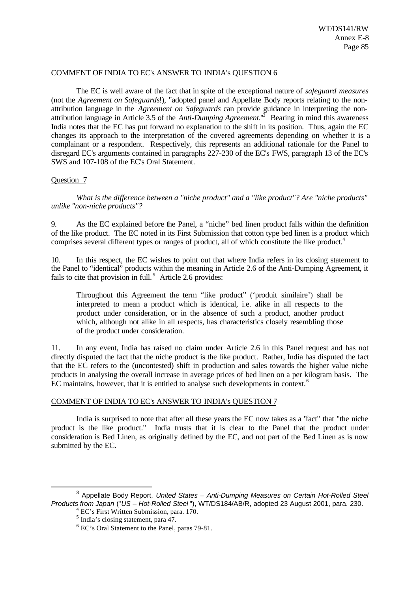#### COMMENT OF INDIA TO EC's ANSWER TO INDIA's QUESTION 6

The EC is well aware of the fact that in spite of the exceptional nature of *safeguard measures* (not the *Agreement on Safeguards*!), "adopted panel and Appellate Body reports relating to the nonattribution language in the *Agreement on Safeguards* can provide guidance in interpreting the nonattribution language in Article 3.5 of the *Anti-Dumping Agreement*."<sup>3</sup> Bearing in mind this awareness India notes that the EC has put forward no explanation to the shift in its position. Thus, again the EC changes its approach to the interpretation of the covered agreements depending on whether it is a complainant or a respondent. Respectively, this represents an additional rationale for the Panel to disregard EC's arguments contained in paragraphs 227-230 of the EC's FWS, paragraph 13 of the EC's SWS and 107-108 of the EC's Oral Statement.

#### Question 7

l

*What is the difference between a "niche product" and a "like product"? Are "niche products" unlike "non-niche products"?*

9. As the EC explained before the Panel, a "niche" bed linen product falls within the definition of the like product. The EC noted in its First Submission that cotton type bed linen is a product which comprises several different types or ranges of product, all of which constitute the like product.<sup>4</sup>

10. In this respect, the EC wishes to point out that where India refers in its closing statement to the Panel to "identical" products within the meaning in Article 2.6 of the Anti-Dumping Agreement, it fails to cite that provision in full.<sup>5</sup> Article 2.6 provides:

Throughout this Agreement the term "like product" ('produit similaire') shall be interpreted to mean a product which is identical, i.e. alike in all respects to the product under consideration, or in the absence of such a product, another product which, although not alike in all respects, has characteristics closely resembling those of the product under consideration.

11. In any event, India has raised no claim under Article 2.6 in this Panel request and has not directly disputed the fact that the niche product is the like product. Rather, India has disputed the fact that the EC refers to the (uncontested) shift in production and sales towards the higher value niche products in analysing the overall increase in average prices of bed linen on a per kilogram basis. The EC maintains, however, that it is entitled to analyse such developments in context.<sup>6</sup>

### COMMENT OF INDIA TO EC's ANSWER TO INDIA's QUESTION 7

India is surprised to note that after all these years the EC now takes as a "fact" that "the niche product is the like product." India trusts that it is clear to the Panel that the product under consideration is Bed Linen, as originally defined by the EC, and not part of the Bed Linen as is now submitted by the EC.

<sup>3</sup> Appellate Body Report, *United States – Anti-Dumping Measures on Certain Hot-Rolled Steel Products from Japan* ("*US – Hot-Rolled Steel* "), WT/DS184/AB/R, adopted 23 August 2001, para. 230. <sup>4</sup> EC's First Written Submission, para. 170.

<sup>&</sup>lt;sup>5</sup> India's closing statement, para 47.

<sup>6</sup> EC's Oral Statement to the Panel, paras 79-81.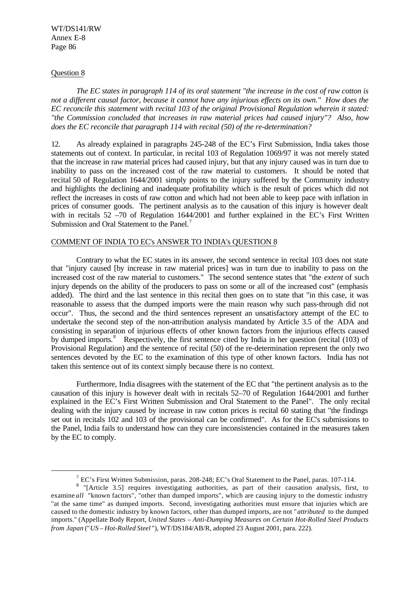WT/DS141/RW Annex E-8 Page 86

#### Question 8

l

*The EC states in paragraph 114 of its oral statement "the increase in the cost of raw cotton is not a different causal factor, because it cannot have any injurious effects on its own." How does the EC reconcile this statement with recital 103 of the original Provisional Regulation wherein it stated: "the Commission concluded that increases in raw material prices had caused injury"? Also, how does the EC reconcile that paragraph 114 with recital (50) of the re-determination?*

12. As already explained in paragraphs 245-248 of the EC's First Submission, India takes those statements out of context. In particular, in recital 103 of Regulation 1069/97 it was not merely stated that the increase in raw material prices had caused injury, but that any injury caused was in turn due to inability to pass on the increased cost of the raw material to customers. It should be noted that recital 50 of Regulation 1644/2001 simply points to the injury suffered by the Community industry and highlights the declining and inadequate profitability which is the result of prices which did not reflect the increases in costs of raw cotton and which had not been able to keep pace with inflation in prices of consumer goods. The pertinent analysis as to the causation of this injury is however dealt with in recitals 52 –70 of Regulation 1644/2001 and further explained in the EC's First Written Submission and Oral Statement to the Panel.<sup>7</sup>

### COMMENT OF INDIA TO EC's ANSWER TO INDIA's QUESTION 8

Contrary to what the EC states in its answer, the second sentence in recital 103 does not state that "injury caused [by increase in raw material prices] was in turn due to inability to pass on the increased cost of the raw material to customers." The second sentence states that "the *extent* of such injury depends on the ability of the producers to pass on some or all of the increased cost" (emphasis added). The third and the last sentence in this recital then goes on to state that "in this case, it was reasonable to assess that the dumped imports were the main reason why such pass-through did not occur". Thus, the second and the third sentences represent an unsatisfactory attempt of the EC to undertake the second step of the non-attribution analysis mandated by Article 3.5 of the ADA and consisting in separation of injurious effects of other known factors from the injurious effects caused by dumped imports.<sup>8</sup> Respectively, the first sentence cited by India in her question (recital (103) of Provisional Regulation) and the sentence of recital (50) of the re-determination represent the only two sentences devoted by the EC to the examination of this type of other known factors. India has not taken this sentence out of its context simply because there is no context.

Furthermore, India disagrees with the statement of the EC that "the pertinent analysis as to the causation of this injury is however dealt with in recitals 52–70 of Regulation 1644/2001 and further explained in the EC's First Written Submission and Oral Statement to the Panel". The only recital dealing with the injury caused by increase in raw cotton prices is recital 60 stating that "the findings set out in recitals 102 and 103 of the provisional can be confirmed". As for the EC's submissions to the Panel, India fails to understand how can they cure inconsistencies contained in the measures taken by the EC to comply.

 $^7$  EC's First Written Submission, paras. 208-248; EC's Oral Statement to the Panel, paras. 107-114.

<sup>&</sup>lt;sup>8</sup> "[Article 3.5] requires investigating authorities, as part of their causation analysis, first, to examine *all* "known factors", "other than dumped imports", which are causing injury to the domestic industry "at the same time" as dumped imports. Second, investigating authorities must ensure that injuries which are caused to the domestic industry by known factors, other than dumped imports, are not "*attributed* to the dumped imports." (Appellate Body Report, *United States – Anti-Dumping Measures on Certain Hot-Rolled Steel Products from Japan* ("*US – Hot-Rolled Steel* "), WT/DS184/AB/R, adopted 23 August 2001, para. 222).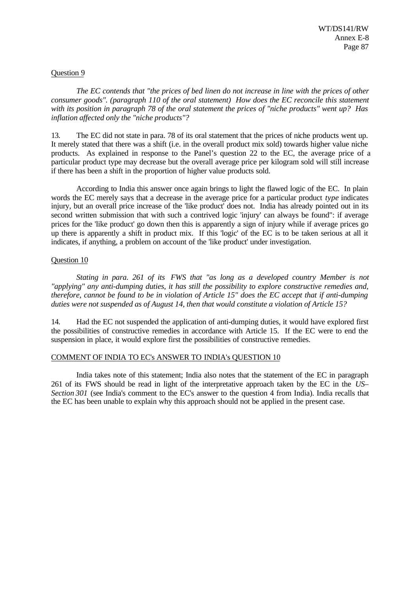### Question 9

*The EC contends that "the prices of bed linen do not increase in line with the prices of other consumer goods". (paragraph 110 of the oral statement) How does the EC reconcile this statement with its position in paragraph 78 of the oral statement the prices of "niche products" went up? Has inflation affected only the "niche products"?*

13. The EC did not state in para. 78 of its oral statement that the prices of niche products went up. It merely stated that there was a shift (i.e. in the overall product mix sold) towards higher value niche products. As explained in response to the Panel's question 22 to the EC, the average price of a particular product type may decrease but the overall average price per kilogram sold will still increase if there has been a shift in the proportion of higher value products sold.

According to India this answer once again brings to light the flawed logic of the EC. In plain words the EC merely says that a decrease in the average price for a particular product *type* indicates injury, but an overall price increase of the 'like product' does not. India has already pointed out in its second written submission that with such a contrived logic 'injury' can always be found": if average prices for the 'like product' go down then this is apparently a sign of injury while if average prices go up there is apparently a shift in product mix. If this 'logic' of the EC is to be taken serious at all it indicates, if anything, a problem on account of the 'like product' under investigation.

# Question 10

*Stating in para. 261 of its FWS that "as long as a developed country Member is not "applying" any anti-dumping duties, it has still the possibility to explore constructive remedies and, therefore, cannot be found to be in violation of Article 15" does the EC accept that if anti-dumping duties were not suspended as of August 14, then that would constitute a violation of Article 15?*

14. Had the EC not suspended the application of anti-dumping duties, it would have explored first the possibilities of constructive remedies in accordance with Article 15. If the EC were to end the suspension in place, it would explore first the possibilities of constructive remedies.

# COMMENT OF INDIA TO EC's ANSWER TO INDIA's QUESTION 10

India takes note of this statement; India also notes that the statement of the EC in paragraph 261 of its FWS should be read in light of the interpretative approach taken by the EC in the *US– Section 301* (see India's comment to the EC's answer to the question 4 from India). India recalls that the EC has been unable to explain why this approach should not be applied in the present case.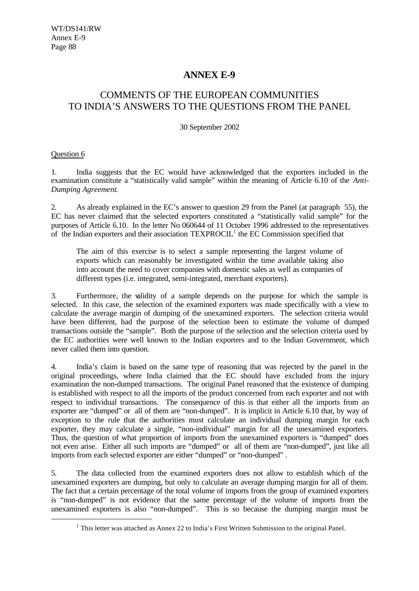# **ANNEX E-9**

# COMMENTS OF THE EUROPEAN COMMUNITIES TO INDIA'S ANSWERS TO THE QUESTIONS FROM THE PANEL

30 September 2002

# Question 6

l

1. India suggests that the EC would have acknowledged that the exporters included in the examination constitute a "statistically valid sample" within the meaning of Article 6.10 of the *Anti-Dumping Agreement*.

2. As already explained in the EC's answer to question 29 from the Panel (at paragraph 55), the EC has never claimed that the selected exporters constituted a "statistically valid sample" for the purposes of Article 6.10. In the letter No 060644 of 11 October 1996 addressed to the representatives of the Indian exporters and their association  $TEXPROCIL<sup>1</sup>$  the EC Commission specified that

The aim of this exercise is to select a sample representing the largest volume of exports which can reasonably be investigated within the time available taking also into account the need to cover companies with domestic sales as well as companies of different types (i.e. integrated, semi-integrated, merchant exporters).

3. Furthermore, the validity of a sample depends on the purpose for which the sample is selected. In this case, the selection of the examined exporters was made specifically with a view to calculate the average margin of dumping of the unexamined exporters. The selection criteria would have been different, had the purpose of the selection been to estimate the volume of dumped transactions outside the "sample". Both the purpose of the selection and the selection criteria used by the EC authorities were well known to the Indian exporters and to the Indian Government, which never called them into question.

4. India's claim is based on the same type of reasoning that was rejected by the panel in the original proceedings, where India claimed that the EC should have excluded from the injury examination the non-dumped transactions. The original Panel reasoned that the existence of dumping is established with respect to all the imports of the product concerned from each exporter and not with respect to individual transactions. The consequence of this is that either all the imports from an exporter are "dumped" or all of them are "non-dumped". It is implicit in Article 6.10 that, by way of exception to the rule that the authorities must calculate an individual dumping margin for each exporter, they may calculate a single, "non-individual" margin for all the unexamined exporters. Thus, the question of what proportion of imports from the unexamined exporters is "dumped" does not even arise. Either all such imports are "dumped" or all of them are "non-dumped", just like all imports from each selected exporter are either "dumped" or "non-dumped".

5. The data collected from the examined exporters does not allow to establish which of the unexamined exporters are dumping, but only to calculate an average dumping margin for all of them. The fact that a certain percentage of the total volume of imports from the group of examined exporters is "non-dumped" is not evidence that the same percentage of the volume of imports from the unexamined exporters is also "non-dumped". This is so because the dumping margin must be

 $<sup>1</sup>$  This letter was attached as Annex 22 to India's First Written Submission to the original Panel.</sup>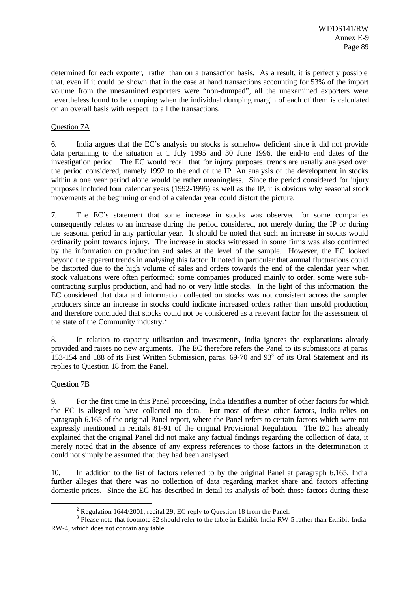determined for each exporter, rather than on a transaction basis. As a result, it is perfectly possible that, even if it could be shown that in the case at hand transactions accounting for 53% of the import volume from the unexamined exporters were "non-dumped", all the unexamined exporters were nevertheless found to be dumping when the individual dumping margin of each of them is calculated on an overall basis with respect to all the transactions.

### Question 7A

6. India argues that the EC's analysis on stocks is somehow deficient since it did not provide data pertaining to the situation at 1 July 1995 and 30 June 1996, the end-to end dates of the investigation period. The EC would recall that for injury purposes, trends are usually analysed over the period considered, namely 1992 to the end of the IP. An analysis of the development in stocks within a one year period alone would be rather meaningless. Since the period considered for injury purposes included four calendar years (1992-1995) as well as the IP, it is obvious why seasonal stock movements at the beginning or end of a calendar year could distort the picture.

7. The EC's statement that some increase in stocks was observed for some companies consequently relates to an increase during the period considered, not merely during the IP or during the seasonal period in any particular year. It should be noted that such an increase in stocks would ordinarily point towards injury. The increase in stocks witnessed in some firms was also confirmed by the information on production and sales at the level of the sample. However, the EC looked beyond the apparent trends in analysing this factor. It noted in particular that annual fluctuations could be distorted due to the high volume of sales and orders towards the end of the calendar year when stock valuations were often performed; some companies produced mainly to order, some were subcontracting surplus production, and had no or very little stocks. In the light of this information, the EC considered that data and information collected on stocks was not consistent across the sampled producers since an increase in stocks could indicate increased orders rather than unsold production, and therefore concluded that stocks could not be considered as a relevant factor for the assessment of the state of the Community industry.<sup>2</sup>

8. In relation to capacity utilisation and investments, India ignores the explanations already provided and raises no new arguments. The EC therefore refers the Panel to its submissions at paras. 153-154 and 188 of its First Written Submission, paras.  $69-70$  and  $93<sup>3</sup>$  of its Oral Statement and its replies to Question 18 from the Panel.

#### Question 7B

l

9. For the first time in this Panel proceeding, India identifies a number of other factors for which the EC is alleged to have collected no data. For most of these other factors, India relies on paragraph 6.165 of the original Panel report, where the Panel refers to certain factors which were not expressly mentioned in recitals 81-91 of the original Provisional Regulation. The EC has already explained that the original Panel did not make any factual findings regarding the collection of data, it merely noted that in the absence of any express references to those factors in the determination it could not simply be assumed that they had been analysed.

10. In addition to the list of factors referred to by the original Panel at paragraph 6.165, India further alleges that there was no collection of data regarding market share and factors affecting domestic prices. Since the EC has described in detail its analysis of both those factors during these

<sup>&</sup>lt;sup>2</sup> Regulation 1644/2001, recital 29; EC reply to Question 18 from the Panel.

<sup>&</sup>lt;sup>3</sup> Please note that footnote 82 should refer to the table in Exhibit-India-RW-5 rather than Exhibit-India-RW-4, which does not contain any table.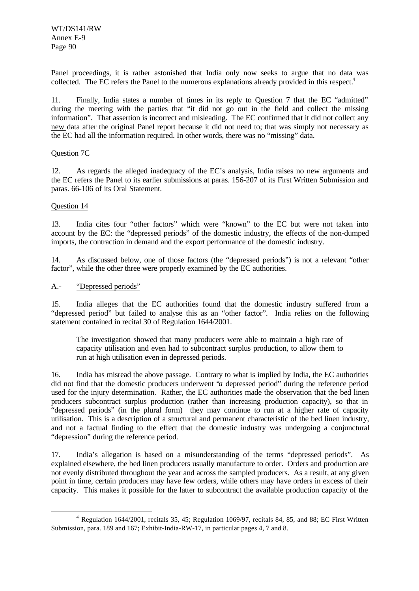WT/DS141/RW Annex E-9 Page 90

Panel proceedings, it is rather astonished that India only now seeks to argue that no data was collected. The EC refers the Panel to the numerous explanations already provided in this respect.<sup>4</sup>

11. Finally, India states a number of times in its reply to Question 7 that the EC "admitted" during the meeting with the parties that "it did not go out in the field and collect the missing information". That assertion is incorrect and misleading. The EC confirmed that it did not collect any new data after the original Panel report because it did not need to; that was simply not necessary as the EC had all the information required. In other words, there was no "missing" data.

#### Question 7C

12. As regards the alleged inadequacy of the EC's analysis, India raises no new arguments and the EC refers the Panel to its earlier submissions at paras. 156-207 of its First Written Submission and paras. 66-106 of its Oral Statement.

# Question 14

l

13. India cites four "other factors" which were "known" to the EC but were not taken into account by the EC: the "depressed periods" of the domestic industry, the effects of the non-dumped imports, the contraction in demand and the export performance of the domestic industry.

14. As discussed below, one of those factors (the "depressed periods") is not a relevant "other factor", while the other three were properly examined by the EC authorities.

# A.- "Depressed periods"

15. India alleges that the EC authorities found that the domestic industry suffered from a "depressed period" but failed to analyse this as an "other factor". India relies on the following statement contained in recital 30 of Regulation 1644/2001.

The investigation showed that many producers were able to maintain a high rate of capacity utilisation and even had to subcontract surplus production, to allow them to run at high utilisation even in depressed periods.

16. India has misread the above passage. Contrary to what is implied by India, the EC authorities did not find that the domestic producers underwent "*a* depressed period" during the reference period used for the injury determination. Rather, the EC authorities made the observation that the bed linen producers subcontract surplus production (rather than increasing production capacity), so that in "depressed periods" (in the plural form) they may continue to run at a higher rate of capacity utilisation. This is a description of a structural and permanent characteristic of the bed linen industry, and not a factual finding to the effect that the domestic industry was undergoing a conjunctural "depression" during the reference period.

17. India's allegation is based on a misunderstanding of the terms "depressed periods". As explained elsewhere, the bed linen producers usually manufacture to order. Orders and production are not evenly distributed throughout the year and across the sampled producers. As a result, at any given point in time, certain producers may have few orders, while others may have orders in excess of their capacity. This makes it possible for the latter to subcontract the available production capacity of the

<sup>&</sup>lt;sup>4</sup> Regulation 1644/2001, recitals 35, 45; Regulation 1069/97, recitals 84, 85, and 88; EC First Written Submission, para. 189 and 167; Exhibit-India-RW-17, in particular pages 4, 7 and 8.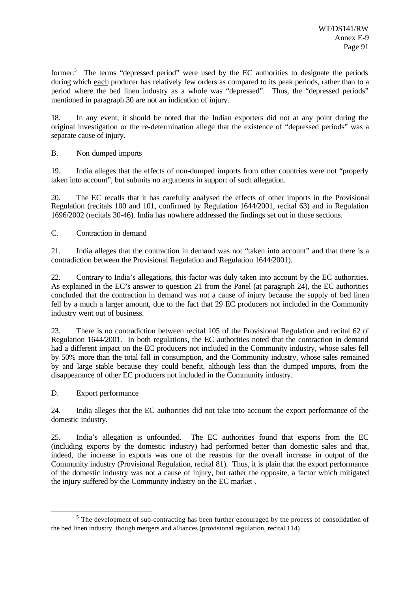former.<sup>5</sup> The terms "depressed period" were used by the EC authorities to designate the periods during which each producer has relatively few orders as compared to its peak periods, rather than to a period where the bed linen industry as a whole was "depressed". Thus, the "depressed periods" mentioned in paragraph 30 are not an indication of injury.

18. In any event, it should be noted that the Indian exporters did not at any point during the original investigation or the re-determination allege that the existence of "depressed periods" was a separate cause of injury.

# B. Non dumped imports

19. India alleges that the effects of non-dumped imports from other countries were not "properly taken into account", but submits no arguments in support of such allegation.

20. The EC recalls that it has carefully analysed the effects of other imports in the Provisional Regulation (recitals 100 and 101, confirmed by Regulation 1644/2001, recital 63) and in Regulation 1696/2002 (recitals 30-46). India has nowhere addressed the findings set out in those sections.

# C. Contraction in demand

21. India alleges that the contraction in demand was not "taken into account" and that there is a contradiction between the Provisional Regulation and Regulation 1644/2001).

22. Contrary to India's allegations, this factor was duly taken into account by the EC authorities. As explained in the EC's answer to question 21 from the Panel (at paragraph 24), the EC authorities concluded that the contraction in demand was not a cause of injury because the supply of bed linen fell by a much a larger amount, due to the fact that 29 EC producers not included in the Community industry went out of business.

23. There is no contradiction between recital 105 of the Provisional Regulation and recital 62 of Regulation 1644/2001. In both regulations, the EC authorities noted that the contraction in demand had a different impact on the EC producers not included in the Community industry, whose sales fell by 50% more than the total fall in consumption, and the Community industry, whose sales remained by and large stable because they could benefit, although less than the dumped imports, from the disappearance of other EC producers not included in the Community industry.

#### D. Export performance

l

24. India alleges that the EC authorities did not take into account the export performance of the domestic industry.

25. India's allegation is unfounded. The EC authorities found that exports from the EC (including exports by the domestic industry) had performed better than domestic sales and that, indeed, the increase in exports was one of the reasons for the overall increase in output of the Community industry (Provisional Regulation, recital 81). Thus, it is plain that the export performance of the domestic industry was not a cause of injury, but rather the opposite, a factor which mitigated the injury suffered by the Community industry on the EC market .

 $<sup>5</sup>$  The development of sub-contracting has been further encouraged by the process of consolidation of</sup> the bed linen industry though mergers and alliances (provisional regulation, recital 114)